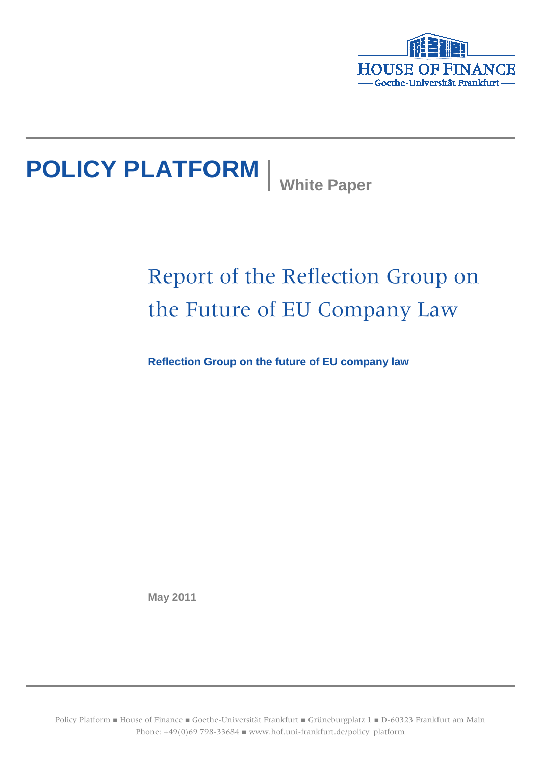

# **POLICY PLATFORM** White Paper

# Report of the Reflection Group on the Future of EU Company Law

**Reflection Group on the future of EU company law**

**May 2011**

Policy Platform ■ House of Finance ■ Goethe-Universität Frankfurt ■ Grüneburgplatz 1 ■ D-60323 Frankfurt am Main Phone: +49(0)69 798-33684 ■ www.hof.uni-frankfurt.de/policy\_platform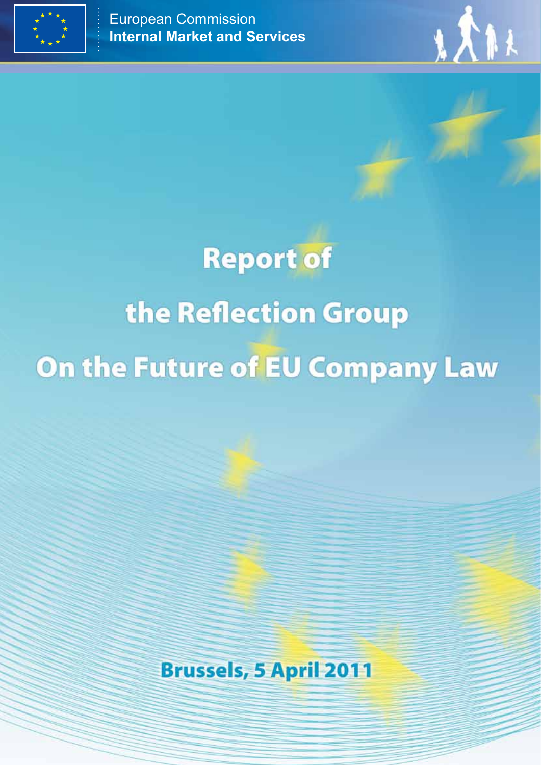



# **Report of** the Reflection Group On the Future of EU Company Law

**Brussels, 5 April 2011**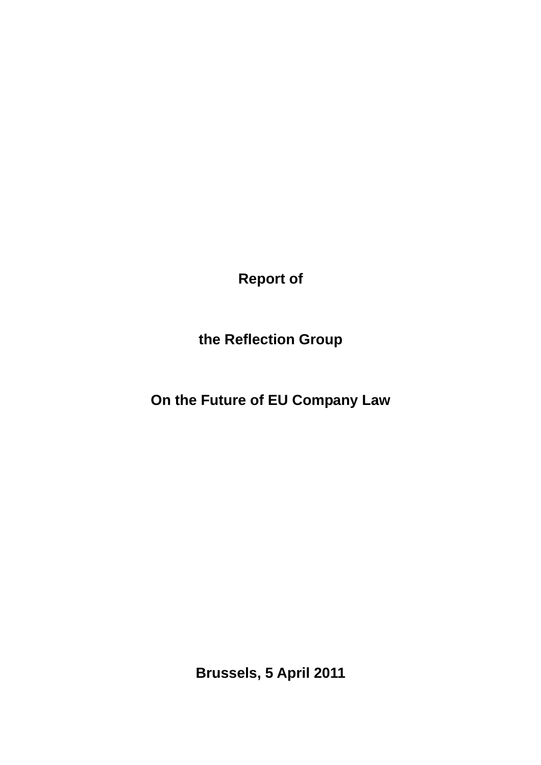**Report of** 

**the Reflection Group** 

**On the Future of EU Company Law** 

**Brussels, 5 April 2011**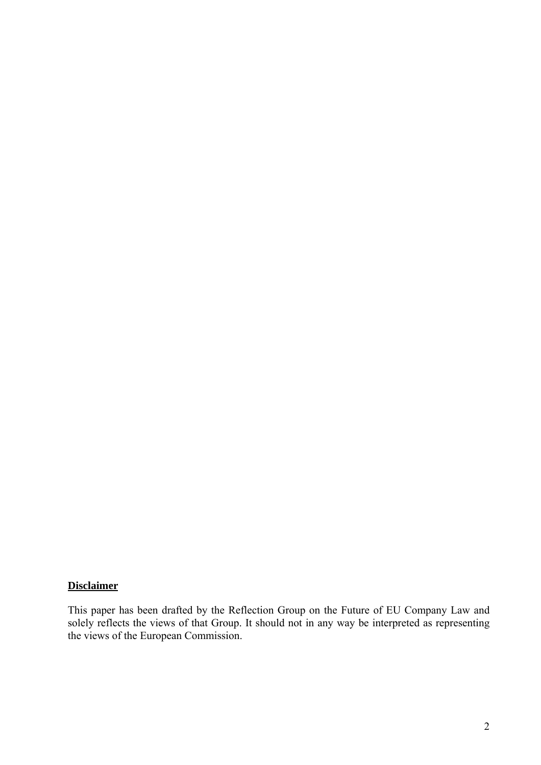#### **Disclaimer**

This paper has been drafted by the Reflection Group on the Future of EU Company Law and solely reflects the views of that Group. It should not in any way be interpreted as representing the views of the European Commission.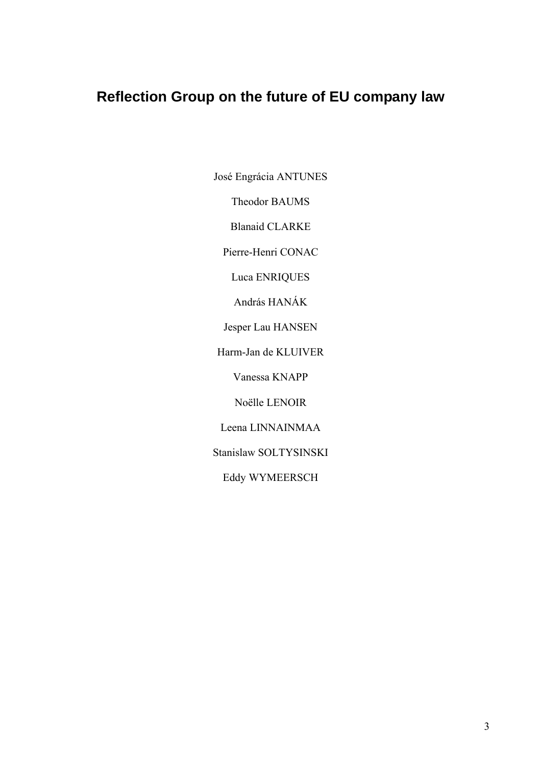# **Reflection Group on the future of EU company law**

José Engrácia ANTUNES

Theodor BAUMS

Blanaid CLARKE

Pierre-Henri CONAC

Luca ENRIQUES

András HANÁK

Jesper Lau HANSEN

Harm-Jan de KLUIVER

Vanessa KNAPP

Noëlle LENOIR

Leena LINNAINMAA

Stanislaw SOLTYSINSKI

Eddy WYMEERSCH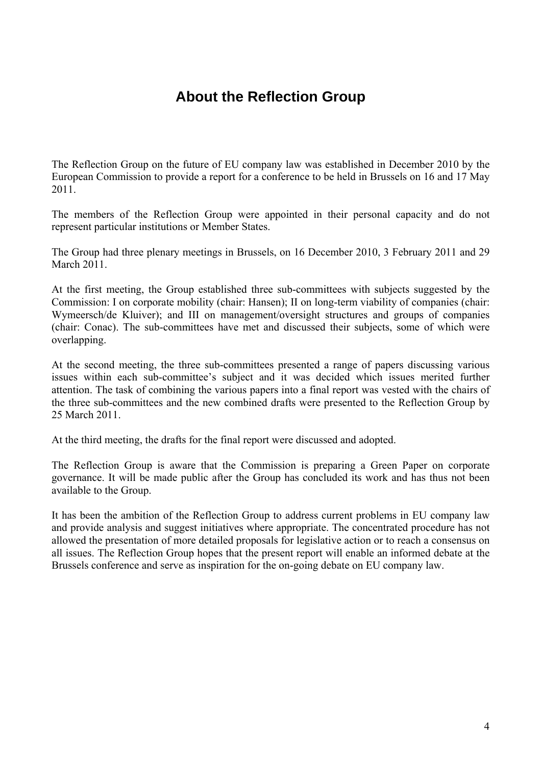# **About the Reflection Group**

The Reflection Group on the future of EU company law was established in December 2010 by the European Commission to provide a report for a conference to be held in Brussels on 16 and 17 May 2011.

The members of the Reflection Group were appointed in their personal capacity and do not represent particular institutions or Member States.

The Group had three plenary meetings in Brussels, on 16 December 2010, 3 February 2011 and 29 March 2011

At the first meeting, the Group established three sub-committees with subjects suggested by the Commission: I on corporate mobility (chair: Hansen); II on long-term viability of companies (chair: Wymeersch/de Kluiver); and III on management/oversight structures and groups of companies (chair: Conac). The sub-committees have met and discussed their subjects, some of which were overlapping.

At the second meeting, the three sub-committees presented a range of papers discussing various issues within each sub-committee's subject and it was decided which issues merited further attention. The task of combining the various papers into a final report was vested with the chairs of the three sub-committees and the new combined drafts were presented to the Reflection Group by 25 March 2011.

At the third meeting, the drafts for the final report were discussed and adopted.

The Reflection Group is aware that the Commission is preparing a Green Paper on corporate governance. It will be made public after the Group has concluded its work and has thus not been available to the Group.

It has been the ambition of the Reflection Group to address current problems in EU company law and provide analysis and suggest initiatives where appropriate. The concentrated procedure has not allowed the presentation of more detailed proposals for legislative action or to reach a consensus on all issues. The Reflection Group hopes that the present report will enable an informed debate at the Brussels conference and serve as inspiration for the on-going debate on EU company law.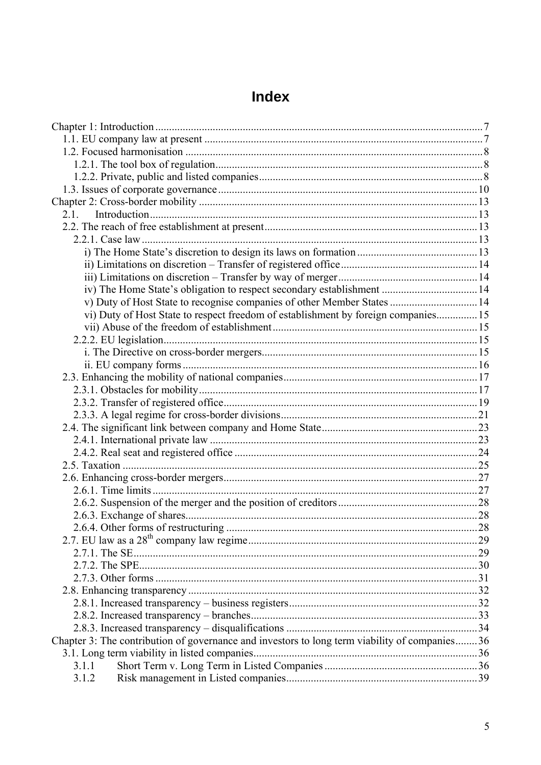#### $2.1.$ 2.2 The reach of free establishment at present vi) Duty of Host State to respect freedom of establishment by foreign companies................15 Chapter 3: The contribution of governance and investors to long term viability of companies........36  $311$  $3.1.2$

# **Index**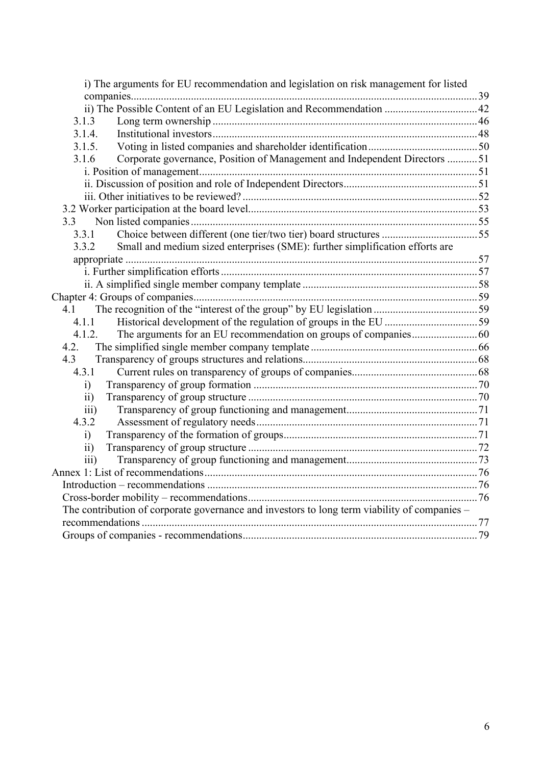| i) The arguments for EU recommendation and legislation on risk management for listed         |  |
|----------------------------------------------------------------------------------------------|--|
|                                                                                              |  |
|                                                                                              |  |
| 3.1.3                                                                                        |  |
| 3.1.4.                                                                                       |  |
| 3.1.5.                                                                                       |  |
| Corporate governance, Position of Management and Independent Directors 51<br>3.1.6           |  |
|                                                                                              |  |
|                                                                                              |  |
|                                                                                              |  |
|                                                                                              |  |
| 3.3                                                                                          |  |
| 3.3.1                                                                                        |  |
| Small and medium sized enterprises (SME): further simplification efforts are<br>3.3.2        |  |
|                                                                                              |  |
|                                                                                              |  |
|                                                                                              |  |
|                                                                                              |  |
| 4.1                                                                                          |  |
| 4.1.1                                                                                        |  |
| 4.1.2.                                                                                       |  |
| 4.2.                                                                                         |  |
| 4.3                                                                                          |  |
| 4.3.1                                                                                        |  |
| i)                                                                                           |  |
| $\overline{ii}$                                                                              |  |
| $\overline{iii}$                                                                             |  |
| 4.3.2                                                                                        |  |
| i)                                                                                           |  |
| $\overline{ii}$                                                                              |  |
| iii)                                                                                         |  |
|                                                                                              |  |
|                                                                                              |  |
|                                                                                              |  |
| The contribution of corporate governance and investors to long term viability of companies – |  |
|                                                                                              |  |
|                                                                                              |  |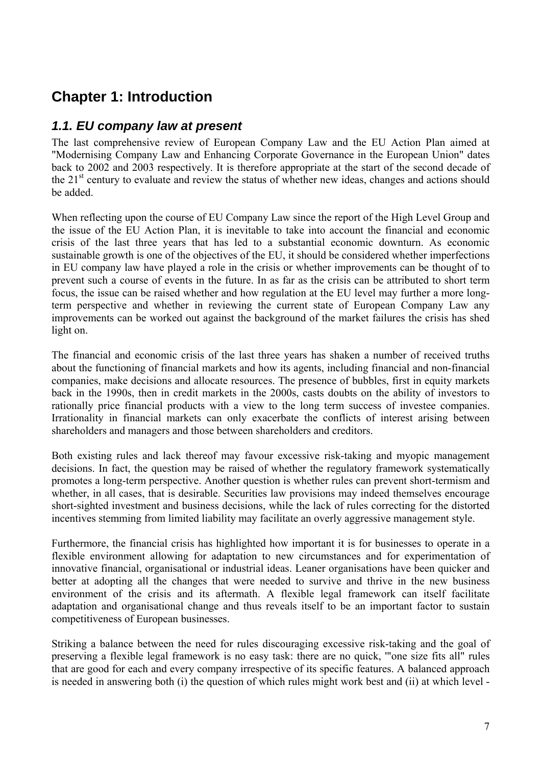# <span id="page-8-0"></span>**Chapter 1: Introduction**

# <span id="page-8-1"></span>*1.1. EU company law at present*

The last comprehensive review of European Company Law and the EU Action Plan aimed at "Modernising Company Law and Enhancing Corporate Governance in the European Union" dates back to 2002 and 2003 respectively. It is therefore appropriate at the start of the second decade of the  $21<sup>st</sup>$  century to evaluate and review the status of whether new ideas, changes and actions should be added.

When reflecting upon the course of EU Company Law since the report of the High Level Group and the issue of the EU Action Plan, it is inevitable to take into account the financial and economic crisis of the last three years that has led to a substantial economic downturn. As economic sustainable growth is one of the objectives of the EU, it should be considered whether imperfections in EU company law have played a role in the crisis or whether improvements can be thought of to prevent such a course of events in the future. In as far as the crisis can be attributed to short term focus, the issue can be raised whether and how regulation at the EU level may further a more longterm perspective and whether in reviewing the current state of European Company Law any improvements can be worked out against the background of the market failures the crisis has shed light on.

The financial and economic crisis of the last three years has shaken a number of received truths about the functioning of financial markets and how its agents, including financial and non-financial companies, make decisions and allocate resources. The presence of bubbles, first in equity markets back in the 1990s, then in credit markets in the 2000s, casts doubts on the ability of investors to rationally price financial products with a view to the long term success of investee companies. Irrationality in financial markets can only exacerbate the conflicts of interest arising between shareholders and managers and those between shareholders and creditors.

Both existing rules and lack thereof may favour excessive risk-taking and myopic management decisions. In fact, the question may be raised of whether the regulatory framework systematically promotes a long-term perspective. Another question is whether rules can prevent short-termism and whether, in all cases, that is desirable. Securities law provisions may indeed themselves encourage short-sighted investment and business decisions, while the lack of rules correcting for the distorted incentives stemming from limited liability may facilitate an overly aggressive management style.

Furthermore, the financial crisis has highlighted how important it is for businesses to operate in a flexible environment allowing for adaptation to new circumstances and for experimentation of innovative financial, organisational or industrial ideas. Leaner organisations have been quicker and better at adopting all the changes that were needed to survive and thrive in the new business environment of the crisis and its aftermath. A flexible legal framework can itself facilitate adaptation and organisational change and thus reveals itself to be an important factor to sustain competitiveness of European businesses.

Striking a balance between the need for rules discouraging excessive risk-taking and the goal of preserving a flexible legal framework is no easy task: there are no quick, '"one size fits all" rules that are good for each and every company irrespective of its specific features. A balanced approach is needed in answering both (i) the question of which rules might work best and (ii) at which level -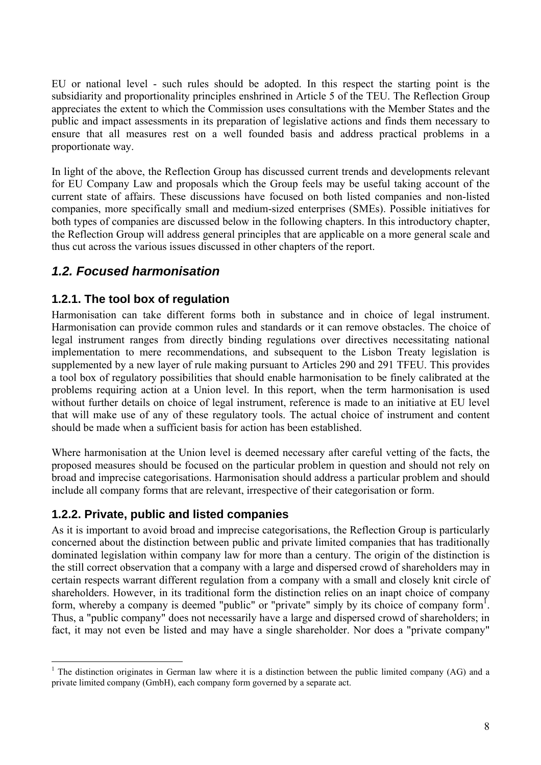EU or national level - such rules should be adopted. In this respect the starting point is the subsidiarity and proportionality principles enshrined in Article 5 of the TEU. The Reflection Group appreciates the extent to which the Commission uses consultations with the Member States and the public and impact assessments in its preparation of legislative actions and finds them necessary to ensure that all measures rest on a well founded basis and address practical problems in a proportionate way.

In light of the above, the Reflection Group has discussed current trends and developments relevant for EU Company Law and proposals which the Group feels may be useful taking account of the current state of affairs. These discussions have focused on both listed companies and non-listed companies, more specifically small and medium-sized enterprises (SMEs). Possible initiatives for both types of companies are discussed below in the following chapters. In this introductory chapter, the Reflection Group will address general principles that are applicable on a more general scale and thus cut across the various issues discussed in other chapters of the report.

# <span id="page-9-0"></span>*1.2. Focused harmonisation*

#### <span id="page-9-1"></span>**1.2.1. The tool box of regulation**

Harmonisation can take different forms both in substance and in choice of legal instrument. Harmonisation can provide common rules and standards or it can remove obstacles. The choice of legal instrument ranges from directly binding regulations over directives necessitating national implementation to mere recommendations, and subsequent to the Lisbon Treaty legislation is supplemented by a new layer of rule making pursuant to Articles 290 and 291 TFEU. This provides a tool box of regulatory possibilities that should enable harmonisation to be finely calibrated at the problems requiring action at a Union level. In this report, when the term harmonisation is used without further details on choice of legal instrument, reference is made to an initiative at EU level that will make use of any of these regulatory tools. The actual choice of instrument and content should be made when a sufficient basis for action has been established.

Where harmonisation at the Union level is deemed necessary after careful vetting of the facts, the proposed measures should be focused on the particular problem in question and should not rely on broad and imprecise categorisations. Harmonisation should address a particular problem and should include all company forms that are relevant, irrespective of their categorisation or form.

#### <span id="page-9-2"></span>**1.2.2. Private, public and listed companies**

 $\overline{a}$ 

As it is important to avoid broad and imprecise categorisations, the Reflection Group is particularly concerned about the distinction between public and private limited companies that has traditionally dominated legislation within company law for more than a century. The origin of the distinction is the still correct observation that a company with a large and dispersed crowd of shareholders may in certain respects warrant different regulation from a company with a small and closely knit circle of shareholders. However, in its traditional form the distinction relies on an inapt choice of company form, whereby a company is deemed "public" or "private" simply by its choice of company form<sup>1</sup>. Thus, a "public company" does not necessarily have a large and dispersed crowd of shareholders; in fact, it may not even be listed and may have a single shareholder. Nor does a "private company"

<sup>&</sup>lt;sup>1</sup> The distinction originates in German law where it is a distinction between the public limited company (AG) and a private limited company (GmbH), each company form governed by a separate act.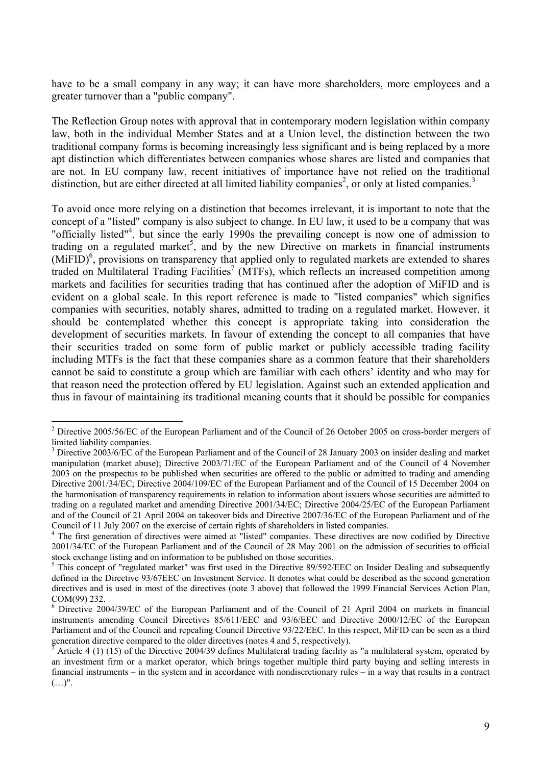have to be a small company in any way; it can have more shareholders, more employees and a greater turnover than a "public company".

The Reflection Group notes with approval that in contemporary modern legislation within company law, both in the individual Member States and at a Union level, the distinction between the two traditional company forms is becoming increasingly less significant and is being replaced by a more apt distinction which differentiates between companies whose shares are listed and companies that are not. In EU company law, recent initiatives of importance have not relied on the traditional distinction, but are either directed at all limited liability companies<sup>2</sup>, or only at listed companies.<sup>3</sup>

To avoid once more relying on a distinction that becomes irrelevant, it is important to note that the concept of a "listed" company is also subject to change. In EU law, it used to be a company that was "officially listed"<sup>4</sup>, but since the early 1990s the prevailing concept is now one of admission to trading on a regulated market<sup>5</sup>, and by the new Directive on markets in financial instruments  $(MIFID)<sup>6</sup>$ , provisions on transparency that applied only to regulated markets are extended to shares traded on Multilateral Trading Facilities<sup>7</sup> (MTFs), which reflects an increased competition among markets and facilities for securities trading that has continued after the adoption of MiFID and is evident on a global scale. In this report reference is made to "listed companies" which signifies companies with securities, notably shares, admitted to trading on a regulated market. However, it should be contemplated whether this concept is appropriate taking into consideration the development of securities markets. In favour of extending the concept to all companies that have their securities traded on some form of public market or publicly accessible trading facility including MTFs is the fact that these companies share as a common feature that their shareholders cannot be said to constitute a group which are familiar with each others' identity and who may for that reason need the protection offered by EU legislation. Against such an extended application and thus in favour of maintaining its traditional meaning counts that it should be possible for companies

<sup>&</sup>lt;sup>2</sup> Directive 2005/56/EC of the European Parliament and of the Council of 26 October 2005 on cross-border mergers of limited liability companies.

 $3$  Directive 2003/6/EC of the European Parliament and of the Council of 28 January 2003 on insider dealing and market manipulation (market abuse); Directive 2003/71/EC of the European Parliament and of the Council of 4 November 2003 on the prospectus to be published when securities are offered to the public or admitted to trading and amending Directive 2001/34/EC; Directive 2004/109/EC of the European Parliament and of the Council of 15 December 2004 on the harmonisation of transparency requirements in relation to information about issuers whose securities are admitted to trading on a regulated market and amending Directive 2001/34/EC; Directive 2004/25/EC of the European Parliament and of the Council of 21 April 2004 on takeover bids and Directive 2007/36/EC of the European Parliament and of the Council of 11 July 2007 on the exercise of certain rights of shareholders in listed companies. 4

The first generation of directives were aimed at "listed" companies. These directives are now codified by Directive 2001/34/EC of the European Parliament and of the Council of 28 May 2001 on the admission of securities to official stock exchange listing and on information to be published on those securities.

<sup>&</sup>lt;sup>5</sup> This concept of "regulated market" was first used in the Directive 89/592/EEC on Insider Dealing and subsequently defined in the Directive 93/67EEC on Investment Service. It denotes what could be described as the second generation directives and is used in most of the directives (note 3 above) that followed the 1999 Financial Services Action Plan, COM(99) 232.

<sup>&</sup>lt;sup>6</sup> Directive 2004/39/EC of the European Parliament and of the Council of 21 April 2004 on markets in financial instruments amending Council Directives 85/611/EEC and 93/6/EEC and Directive 2000/12/EC of the European Parliament and of the Council and repealing Council Directive 93/22/EEC. In this respect, MiFID can be seen as a third generation directive compared to the older directives (notes 4 and 5, respectively).

Article 4 (1) (15) of the Directive 2004/39 defines Multilateral trading facility as "a multilateral system, operated by an investment firm or a market operator, which brings together multiple third party buying and selling interests in financial instruments – in the system and in accordance with nondiscretionary rules – in a way that results in a contract  $(\ldots)$ ".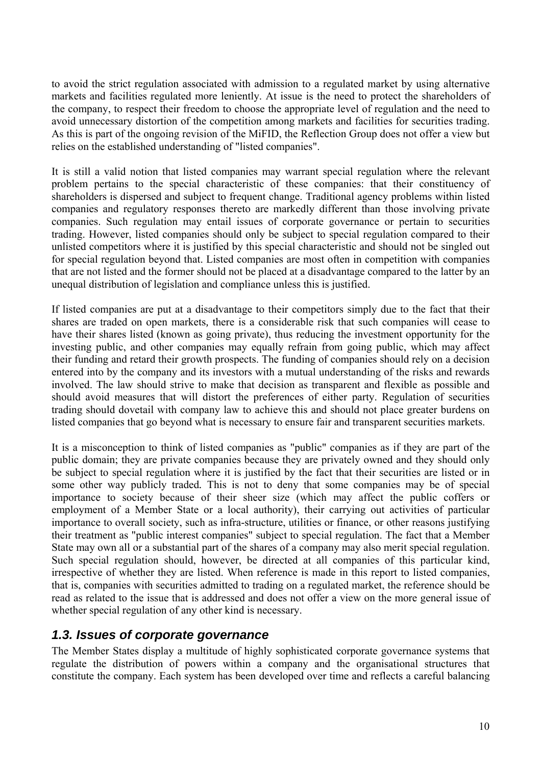to avoid the strict regulation associated with admission to a regulated market by using alternative markets and facilities regulated more leniently. At issue is the need to protect the shareholders of the company, to respect their freedom to choose the appropriate level of regulation and the need to avoid unnecessary distortion of the competition among markets and facilities for securities trading. As this is part of the ongoing revision of the MiFID, the Reflection Group does not offer a view but relies on the established understanding of "listed companies".

It is still a valid notion that listed companies may warrant special regulation where the relevant problem pertains to the special characteristic of these companies: that their constituency of shareholders is dispersed and subject to frequent change. Traditional agency problems within listed companies and regulatory responses thereto are markedly different than those involving private companies. Such regulation may entail issues of corporate governance or pertain to securities trading. However, listed companies should only be subject to special regulation compared to their unlisted competitors where it is justified by this special characteristic and should not be singled out for special regulation beyond that. Listed companies are most often in competition with companies that are not listed and the former should not be placed at a disadvantage compared to the latter by an unequal distribution of legislation and compliance unless this is justified.

If listed companies are put at a disadvantage to their competitors simply due to the fact that their shares are traded on open markets*,* there is a considerable risk that such companies will cease to have their shares listed (known as going private), thus reducing the investment opportunity for the investing public, and other companies may equally refrain from going public, which may affect their funding and retard their growth prospects. The funding of companies should rely on a decision entered into by the company and its investors with a mutual understanding of the risks and rewards involved. The law should strive to make that decision as transparent and flexible as possible and should avoid measures that will distort the preferences of either party. Regulation of securities trading should dovetail with company law to achieve this and should not place greater burdens on listed companies that go beyond what is necessary to ensure fair and transparent securities markets.

It is a misconception to think of listed companies as "public" companies as if they are part of the public domain; they are private companies because they are privately owned and they should only be subject to special regulation where it is justified by the fact that their securities are listed or in some other way publicly traded*.* This is not to deny that some companies may be of special importance to society because of their sheer size (which may affect the public coffers or employment of a Member State or a local authority), their carrying out activities of particular importance to overall society, such as infra-structure, utilities or finance, or other reasons justifying their treatment as "public interest companies" subject to special regulation. The fact that a Member State may own all or a substantial part of the shares of a company may also merit special regulation. Such special regulation should, however, be directed at all companies of this particular kind, irrespective of whether they are listed. When reference is made in this report to listed companies, that is, companies with securities admitted to trading on a regulated market, the reference should be read as related to the issue that is addressed and does not offer a view on the more general issue of whether special regulation of any other kind is necessary.

### <span id="page-11-0"></span>*1.3. Issues of corporate governance*

The Member States display a multitude of highly sophisticated corporate governance systems that regulate the distribution of powers within a company and the organisational structures that constitute the company. Each system has been developed over time and reflects a careful balancing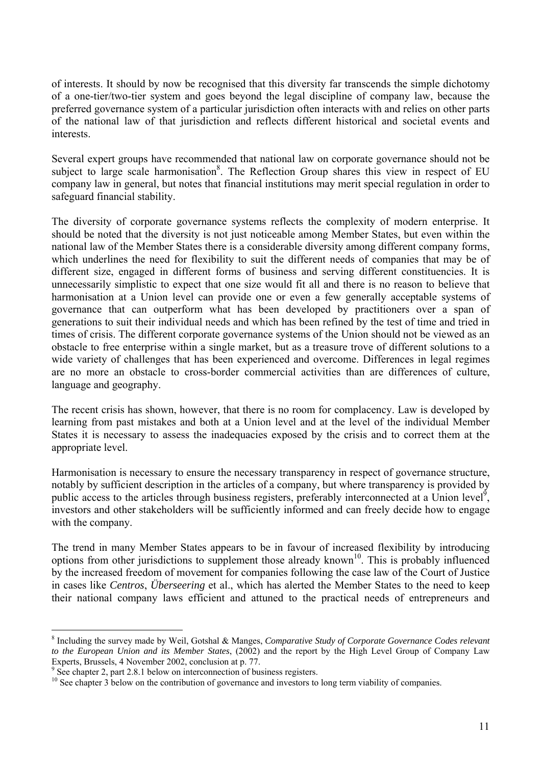of interests. It should by now be recognised that this diversity far transcends the simple dichotomy of a one-tier/two-tier system and goes beyond the legal discipline of company law, because the preferred governance system of a particular jurisdiction often interacts with and relies on other parts of the national law of that jurisdiction and reflects different historical and societal events and interests.

Several expert groups have recommended that national law on corporate governance should not be subject to large scale harmonisation<sup>8</sup>. The Reflection Group shares this view in respect of EU company law in general, but notes that financial institutions may merit special regulation in order to safeguard financial stability.

The diversity of corporate governance systems reflects the complexity of modern enterprise. It should be noted that the diversity is not just noticeable among Member States, but even within the national law of the Member States there is a considerable diversity among different company forms, which underlines the need for flexibility to suit the different needs of companies that may be of different size, engaged in different forms of business and serving different constituencies. It is unnecessarily simplistic to expect that one size would fit all and there is no reason to believe that harmonisation at a Union level can provide one or even a few generally acceptable systems of governance that can outperform what has been developed by practitioners over a span of generations to suit their individual needs and which has been refined by the test of time and tried in times of crisis. The different corporate governance systems of the Union should not be viewed as an obstacle to free enterprise within a single market, but as a treasure trove of different solutions to a wide variety of challenges that has been experienced and overcome. Differences in legal regimes are no more an obstacle to cross-border commercial activities than are differences of culture, language and geography.

The recent crisis has shown, however, that there is no room for complacency. Law is developed by learning from past mistakes and both at a Union level and at the level of the individual Member States it is necessary to assess the inadequacies exposed by the crisis and to correct them at the appropriate level.

Harmonisation is necessary to ensure the necessary transparency in respect of governance structure, notably by sufficient description in the articles of a company, but where transparency is provided by public access to the articles through business registers, preferably interconnected at a Union level<sup>9</sup>, investors and other stakeholders will be sufficiently informed and can freely decide how to engage with the company.

The trend in many Member States appears to be in favour of increased flexibility by introducing options from other jurisdictions to supplement those already known<sup>10</sup>. This is probably influenced by the increased freedom of movement for companies following the case law of the Court of Justice in cases like *Centros*, *Überseering* et al., which has alerted the Member States to the need to keep their national company laws efficient and attuned to the practical needs of entrepreneurs and

<sup>8</sup> Including the survey made by Weil, Gotshal & Manges, *Comparative Study of Corporate Governance Codes relevant to the European Union and its Member States*, (2002) and the report by the High Level Group of Company Law Experts, Brussels, 4 November 2002, conclusion at p. 77.

<sup>&</sup>lt;sup>9</sup> See chapter 2, part 2.8.1 below on interconnection of business registers.

<sup>&</sup>lt;sup>10</sup> See chapter 3 below on the contribution of governance and investors to long term viability of companies.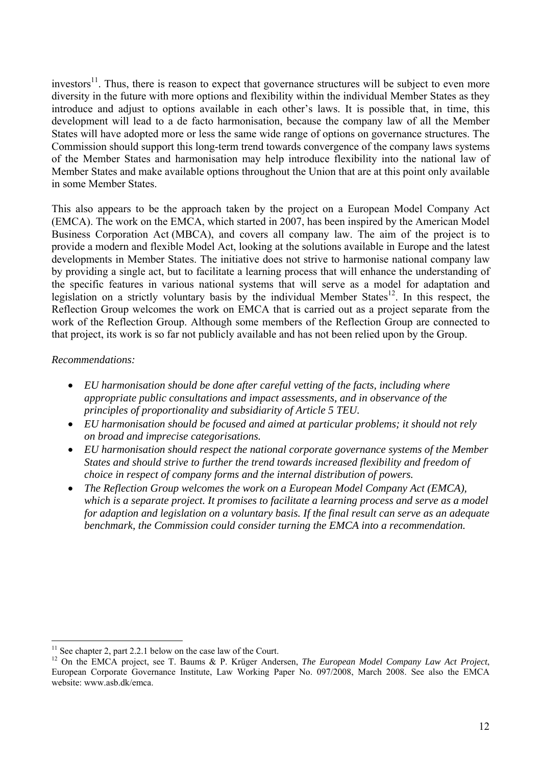investors<sup>11</sup>. Thus, there is reason to expect that governance structures will be subject to even more diversity in the future with more options and flexibility within the individual Member States as they introduce and adjust to options available in each other's laws. It is possible that, in time, this development will lead to a de facto harmonisation, because the company law of all the Member States will have adopted more or less the same wide range of options on governance structures. The Commission should support this long-term trend towards convergence of the company laws systems of the Member States and harmonisation may help introduce flexibility into the national law of Member States and make available options throughout the Union that are at this point only available in some Member States.

This also appears to be the approach taken by the project on a European Model Company Act (EMCA). The work on the EMCA, which started in 2007, has been inspired by the American Model Business Corporation Act (MBCA), and covers all company law. The aim of the project is to provide a modern and flexible Model Act, looking at the solutions available in Europe and the latest developments in Member States. The initiative does not strive to harmonise national company law by providing a single act, but to facilitate a learning process that will enhance the understanding of the specific features in various national systems that will serve as a model for adaptation and legislation on a strictly voluntary basis by the individual Member States<sup>12</sup>. In this respect, the Reflection Group welcomes the work on EMCA that is carried out as a project separate from the work of the Reflection Group. Although some members of the Reflection Group are connected to that project, its work is so far not publicly available and has not been relied upon by the Group.

#### *Recommendations:*

- *EU harmonisation should be done after careful vetting of the facts, including where appropriate public consultations and impact assessments, and in observance of the principles of proportionality and subsidiarity of Article 5 TEU.*
- *EU harmonisation should be focused and aimed at particular problems; it should not rely on broad and imprecise categorisations.*
- *EU harmonisation should respect the national corporate governance systems of the Member States and should strive to further the trend towards increased flexibility and freedom of choice in respect of company forms and the internal distribution of powers.*
- *The Reflection Group welcomes the work on a European Model Company Act (EMCA), which is a separate project. It promises to facilitate a learning process and serve as a model for adaption and legislation on a voluntary basis. If the final result can serve as an adequate benchmark, the Commission could consider turning the EMCA into a recommendation.*

 $\overline{a}$  $11$  See chapter 2, part 2.2.1 below on the case law of the Court.

<sup>12</sup> On the EMCA project, see T. Baums & P. Krüger Andersen, *The European Model Company Law Act Project*, European Corporate Governance Institute, Law Working Paper No. 097/2008, March 2008. See also the EMCA website: www.asb.dk/emca.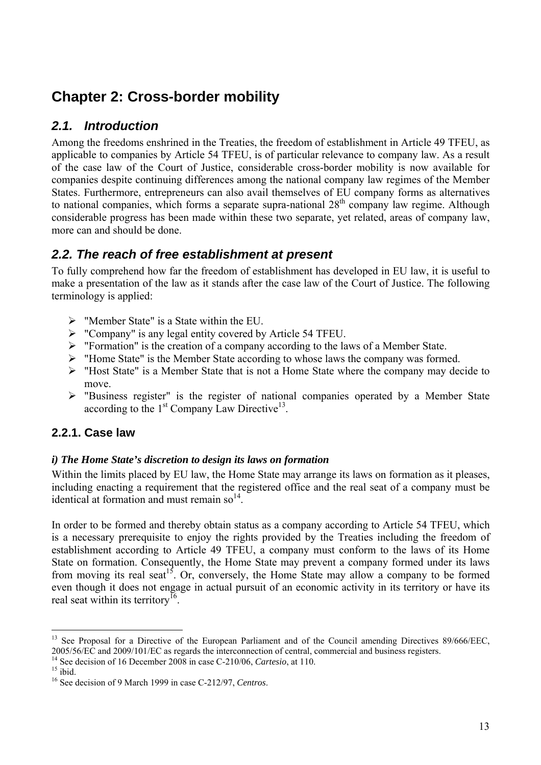# <span id="page-14-0"></span>**Chapter 2: Cross-border mobility**

# <span id="page-14-1"></span>*2.1. Introduction*

Among the freedoms enshrined in the Treaties, the freedom of establishment in Article 49 TFEU, as applicable to companies by Article 54 TFEU, is of particular relevance to company law. As a result of the case law of the Court of Justice, considerable cross-border mobility is now available for companies despite continuing differences among the national company law regimes of the Member States. Furthermore, entrepreneurs can also avail themselves of EU company forms as alternatives to national companies, which forms a separate supra-national  $28<sup>th</sup>$  company law regime. Although considerable progress has been made within these two separate, yet related, areas of company law, more can and should be done.

# <span id="page-14-2"></span>*2.2. The reach of free establishment at present*

To fully comprehend how far the freedom of establishment has developed in EU law, it is useful to make a presentation of the law as it stands after the case law of the Court of Justice. The following terminology is applied:

- $\triangleright$  "Member State" is a State within the EU.
- ¾ "Company" is any legal entity covered by Article 54 TFEU.
- $\triangleright$  "Formation" is the creation of a company according to the laws of a Member State.
- ¾ "Home State" is the Member State according to whose laws the company was formed.
- ¾ "Host State" is a Member State that is not a Home State where the company may decide to move.
- ¾ "Business register" is the register of national companies operated by a Member State according to the  $1<sup>st</sup>$  Company Law Directive<sup>13</sup>.

# <span id="page-14-3"></span>**2.2.1. Case law**

#### <span id="page-14-4"></span>*i) The Home State's discretion to design its laws on formation*

Within the limits placed by EU law, the Home State may arrange its laws on formation as it pleases, including enacting a requirement that the registered office and the real seat of a company must be identical at formation and must remain  $\text{so}^{14}$ .

In order to be formed and thereby obtain status as a company according to Article 54 TFEU, which is a necessary prerequisite to enjoy the rights provided by the Treaties including the freedom of establishment according to Article 49 TFEU, a company must conform to the laws of its Home State on formation. Consequently, the Home State may prevent a company formed under its laws from moving its real seat<sup>15</sup>. Or, conversely, the Home State may allow a company to be formed even though it does not engage in actual pursuit of an economic activity in its territory or have its real seat within its territory<sup>16</sup>.

 $\overline{a}$ <sup>13</sup> See Proposal for a Directive of the European Parliament and of the Council amending Directives 89/666/EEC, 2005/56/EC and 2009/101/EC as regards the interconnection of central, commercial and business registers.

<sup>&</sup>lt;sup>14</sup> See decision of 16 December 2008 in case C-210/06, *Cartesio*, at 110.<br><sup>15</sup> ibid.

<sup>16</sup> See decision of 9 March 1999 in case C-212/97, *Centros*.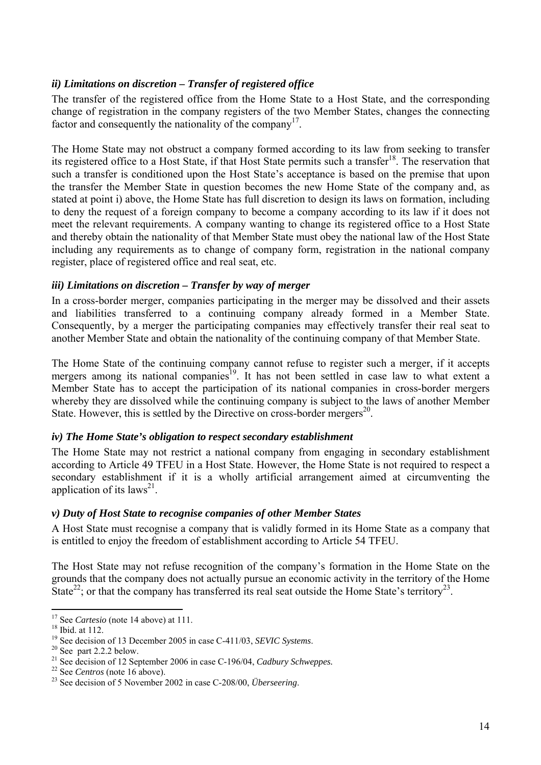#### <span id="page-15-0"></span>*ii) Limitations on discretion – Transfer of registered office*

The transfer of the registered office from the Home State to a Host State, and the corresponding change of registration in the company registers of the two Member States, changes the connecting factor and consequently the nationality of the company<sup>17</sup>.

The Home State may not obstruct a company formed according to its law from seeking to transfer its registered office to a Host State, if that Host State permits such a transfer<sup>18</sup>. The reservation that such a transfer is conditioned upon the Host State's acceptance is based on the premise that upon the transfer the Member State in question becomes the new Home State of the company and, as stated at point i) above, the Home State has full discretion to design its laws on formation, including to deny the request of a foreign company to become a company according to its law if it does not meet the relevant requirements. A company wanting to change its registered office to a Host State and thereby obtain the nationality of that Member State must obey the national law of the Host State including any requirements as to change of company form, registration in the national company register, place of registered office and real seat, etc.

#### <span id="page-15-1"></span>*iii) Limitations on discretion – Transfer by way of merger*

In a cross-border merger, companies participating in the merger may be dissolved and their assets and liabilities transferred to a continuing company already formed in a Member State. Consequently, by a merger the participating companies may effectively transfer their real seat to another Member State and obtain the nationality of the continuing company of that Member State.

The Home State of the continuing company cannot refuse to register such a merger, if it accepts mergers among its national companies<sup>19</sup>. It has not been settled in case law to what extent a Member State has to accept the participation of its national companies in cross-border mergers whereby they are dissolved while the continuing company is subject to the laws of another Member State. However, this is settled by the Directive on cross-border mergers<sup>20</sup>.

#### <span id="page-15-2"></span>*iv) The Home State's obligation to respect secondary establishment*

The Home State may not restrict a national company from engaging in secondary establishment according to Article 49 TFEU in a Host State. However, the Home State is not required to respect a secondary establishment if it is a wholly artificial arrangement aimed at circumventing the application of its laws<sup>21</sup>.

#### <span id="page-15-3"></span>*v) Duty of Host State to recognise companies of other Member States*

A Host State must recognise a company that is validly formed in its Home State as a company that is entitled to enjoy the freedom of establishment according to Article 54 TFEU.

The Host State may not refuse recognition of the company's formation in the Home State on the grounds that the company does not actually pursue an economic activity in the territory of the Home State<sup>22</sup>; or that the company has transferred its real seat outside the Home State's territory<sup>23</sup>.

<sup>&</sup>lt;sup>17</sup> See *Cartesio* (note 14 above) at 111.<br><sup>18</sup> Ibid. at 112.

<sup>&</sup>lt;sup>19</sup> See decision of 13 December 2005 in case C-411/03, *SEVIC Systems*. <sup>20</sup> See part 2.2.2 below.

<sup>&</sup>lt;sup>21</sup> See decision of 12 September 2006 in case C-196/04, *Cadbury Schweppes.*<br><sup>22</sup> See *Centros* (note 16 above).<br><sup>23</sup> See decision of 5 November 2002 in case C-208/00, *Überseering*.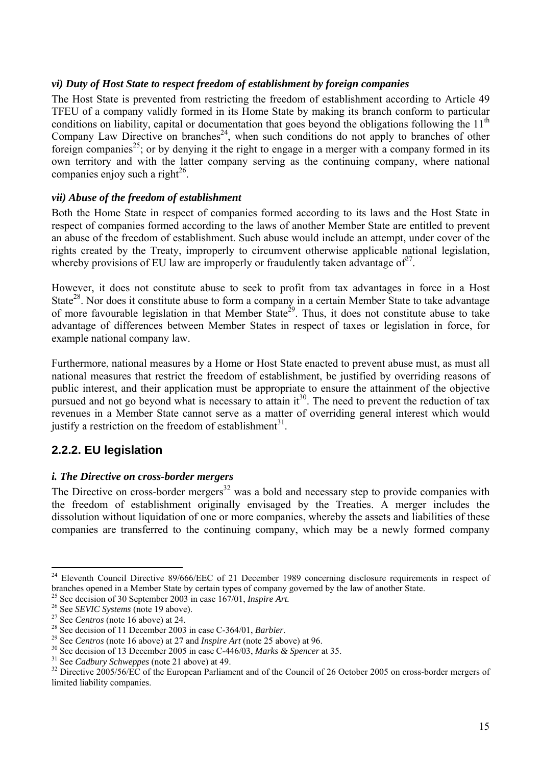#### <span id="page-16-0"></span>*vi) Duty of Host State to respect freedom of establishment by foreign companies*

The Host State is prevented from restricting the freedom of establishment according to Article 49 TFEU of a company validly formed in its Home State by making its branch conform to particular conditions on liability, capital or documentation that goes beyond the obligations following the  $11<sup>th</sup>$ Company Law Directive on branches<sup>24</sup>, when such conditions do not apply to branches of other foreign companies<sup>25</sup>; or by denying it the right to engage in a merger with a company formed in its own territory and with the latter company serving as the continuing company, where national companies enjoy such a right $^{26}$ .

#### <span id="page-16-1"></span>*vii) Abuse of the freedom of establishment*

Both the Home State in respect of companies formed according to its laws and the Host State in respect of companies formed according to the laws of another Member State are entitled to prevent an abuse of the freedom of establishment. Such abuse would include an attempt, under cover of the rights created by the Treaty, improperly to circumvent otherwise applicable national legislation, whereby provisions of EU law are improperly or fraudulently taken advantage of  $2^7$ .

However, it does not constitute abuse to seek to profit from tax advantages in force in a Host State<sup>28</sup>. Nor does it constitute abuse to form a company in a certain Member State to take advantage of more favourable legislation in that Member State<sup>29</sup>. Thus, it does not constitute abuse to take advantage of differences between Member States in respect of taxes or legislation in force, for example national company law.

Furthermore, national measures by a Home or Host State enacted to prevent abuse must, as must all national measures that restrict the freedom of establishment, be justified by overriding reasons of public interest, and their application must be appropriate to ensure the attainment of the objective pursued and not go beyond what is necessary to attain it<sup>30</sup>. The need to prevent the reduction of tax revenues in a Member State cannot serve as a matter of overriding general interest which would justify a restriction on the freedom of establishment $31$ .

#### <span id="page-16-2"></span>**2.2.2. EU legislation**

#### <span id="page-16-3"></span>*i. The Directive on cross-border mergers*

The Directive on cross-border mergers<sup>32</sup> was a bold and necessary step to provide companies with the freedom of establishment originally envisaged by the Treaties. A merger includes the dissolution without liquidation of one or more companies, whereby the assets and liabilities of these companies are transferred to the continuing company, which may be a newly formed company

<sup>&</sup>lt;sup>24</sup> Eleventh Council Directive 89/666/EEC of 21 December 1989 concerning disclosure requirements in respect of branches opened in a Member State by certain types of company governed by the law of another State.<br>
<sup>25</sup> See decision of 30 September 2003 in case 167/01, *Inspire Art*.<br>
<sup>26</sup> See *SEVIC Systems* (note 19 above).<br>
<sup>27</sup> S

limited liability companies.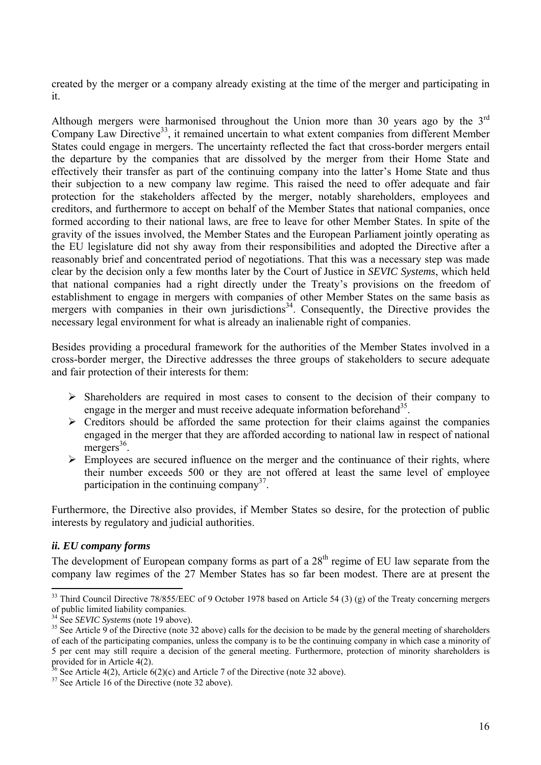created by the merger or a company already existing at the time of the merger and participating in it.

Although mergers were harmonised throughout the Union more than 30 years ago by the  $3<sup>rd</sup>$ Company Law Directive<sup>33</sup>, it remained uncertain to what extent companies from different Member States could engage in mergers. The uncertainty reflected the fact that cross-border mergers entail the departure by the companies that are dissolved by the merger from their Home State and effectively their transfer as part of the continuing company into the latter's Home State and thus their subjection to a new company law regime. This raised the need to offer adequate and fair protection for the stakeholders affected by the merger, notably shareholders, employees and creditors, and furthermore to accept on behalf of the Member States that national companies, once formed according to their national laws, are free to leave for other Member States. In spite of the gravity of the issues involved, the Member States and the European Parliament jointly operating as the EU legislature did not shy away from their responsibilities and adopted the Directive after a reasonably brief and concentrated period of negotiations. That this was a necessary step was made clear by the decision only a few months later by the Court of Justice in *SEVIC Systems*, which held that national companies had a right directly under the Treaty's provisions on the freedom of establishment to engage in mergers with companies of other Member States on the same basis as mergers with companies in their own jurisdictions<sup>34</sup>. Consequently, the Directive provides the necessary legal environment for what is already an inalienable right of companies.

Besides providing a procedural framework for the authorities of the Member States involved in a cross-border merger, the Directive addresses the three groups of stakeholders to secure adequate and fair protection of their interests for them:

- $\triangleright$  Shareholders are required in most cases to consent to the decision of their company to engage in the merger and must receive adequate information beforehand<sup>35</sup>.
- $\triangleright$  Creditors should be afforded the same protection for their claims against the companies engaged in the merger that they are afforded according to national law in respect of national mergers $36$ .
- $\triangleright$  Employees are secured influence on the merger and the continuance of their rights, where their number exceeds 500 or they are not offered at least the same level of employee participation in the continuing company<sup>37</sup>.

Furthermore, the Directive also provides, if Member States so desire, for the protection of public interests by regulatory and judicial authorities.

#### <span id="page-17-0"></span>*ii. EU company forms*

 $\overline{a}$ 

The development of European company forms as part of a  $28<sup>th</sup>$  regime of EU law separate from the company law regimes of the 27 Member States has so far been modest. There are at present the

<sup>&</sup>lt;sup>33</sup> Third Council Directive 78/855/EEC of 9 October 1978 based on Article 54 (3) (g) of the Treaty concerning mergers of public limited liability companies.<br><sup>34</sup> See *SEVIC Systems* (note 19 above).

<sup>&</sup>lt;sup>35</sup> See Article 9 of the Directive (note 32 above) calls for the decision to be made by the general meeting of shareholders of each of the participating companies, unless the company is to be the continuing company in which case a minority of 5 per cent may still require a decision of the general meeting. Furthermore, protection of minority shareholders is provided for in Article  $4(2)$ .

 $36$  See Article 4(2), Article 6(2)(c) and Article 7 of the Directive (note 32 above).

 $37$  See Article 16 of the Directive (note 32 above).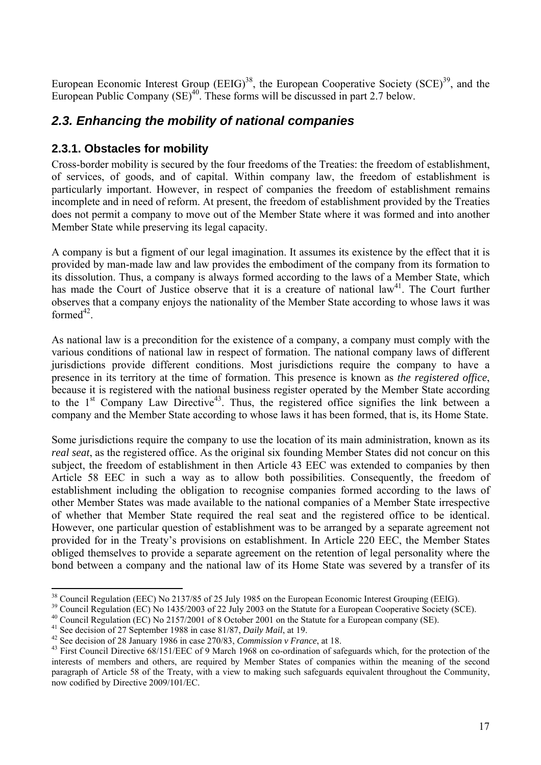European Economic Interest Group (EEIG)<sup>38</sup>, the European Cooperative Society (SCE)<sup>39</sup>, and the European Public Company  $(SE)^{40}$ . These forms will be discussed in part 2.7 below.

### <span id="page-18-0"></span>*2.3. Enhancing the mobility of national companies*

#### <span id="page-18-1"></span>**2.3.1. Obstacles for mobility**

Cross-border mobility is secured by the four freedoms of the Treaties: the freedom of establishment, of services, of goods, and of capital. Within company law, the freedom of establishment is particularly important. However, in respect of companies the freedom of establishment remains incomplete and in need of reform. At present, the freedom of establishment provided by the Treaties does not permit a company to move out of the Member State where it was formed and into another Member State while preserving its legal capacity.

A company is but a figment of our legal imagination. It assumes its existence by the effect that it is provided by man-made law and law provides the embodiment of the company from its formation to its dissolution. Thus, a company is always formed according to the laws of a Member State, which has made the Court of Justice observe that it is a creature of national law<sup>41</sup>. The Court further observes that a company enjoys the nationality of the Member State according to whose laws it was  $formed^{42}$ 

As national law is a precondition for the existence of a company, a company must comply with the various conditions of national law in respect of formation. The national company laws of different jurisdictions provide different conditions. Most jurisdictions require the company to have a presence in its territory at the time of formation. This presence is known as *the registered office*, because it is registered with the national business register operated by the Member State according to the  $1<sup>st</sup>$  Company Law Directive<sup>43</sup>. Thus, the registered office signifies the link between a company and the Member State according to whose laws it has been formed, that is, its Home State.

Some jurisdictions require the company to use the location of its main administration, known as its *real seat*, as the registered office. As the original six founding Member States did not concur on this subject, the freedom of establishment in then Article 43 EEC was extended to companies by then Article 58 EEC in such a way as to allow both possibilities. Consequently, the freedom of establishment including the obligation to recognise companies formed according to the laws of other Member States was made available to the national companies of a Member State irrespective of whether that Member State required the real seat and the registered office to be identical. However, one particular question of establishment was to be arranged by a separate agreement not provided for in the Treaty's provisions on establishment. In Article 220 EEC, the Member States obliged themselves to provide a separate agreement on the retention of legal personality where the bond between a company and the national law of its Home State was severed by a transfer of its

<sup>&</sup>lt;sup>38</sup> Council Regulation (EEC) No 2137/85 of 25 July 1985 on the European Economic Interest Grouping (EEIG).

<sup>&</sup>lt;sup>39</sup> Council Regulation (EC) No 1435/2003 of 22 July 2003 on the Statute for a European Cooperative Society (SCE).

<sup>&</sup>lt;sup>40</sup> Council Regulation (EC) No 2157/2001 of 8 October 2001 on the Statute for a European company (SE).<br><sup>41</sup> See decision of 27 September 1988 in case 81/87, *Daily Mail*, at 19.

<sup>&</sup>lt;sup>42</sup> See decision of 28 January 1986 in case 270/83, *Commission v France*, at 18.<br><sup>43</sup> First Council Directive 68/151/EEC of 9 March 1968 on co-ordination of safeguards which, for the protection of the interests of members and others, are required by Member States of companies within the meaning of the second paragraph of Article 58 of the Treaty, with a view to making such safeguards equivalent throughout the Community, now codified by Directive 2009/101/EC.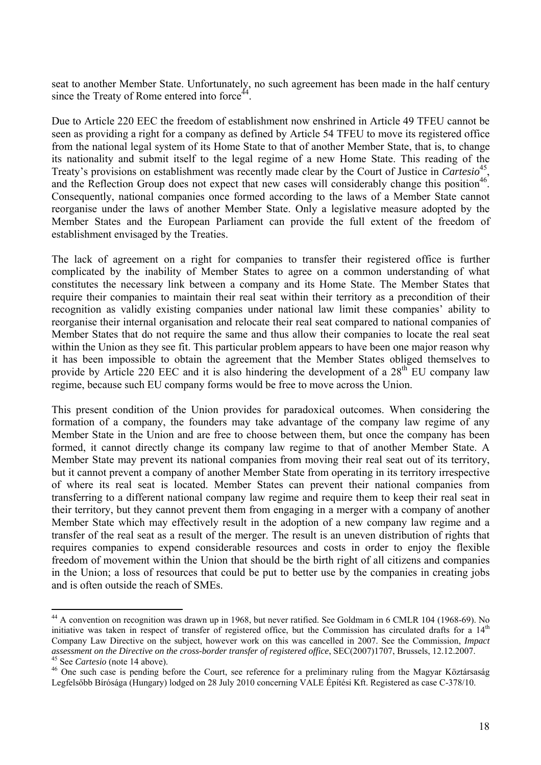seat to another Member State. Unfortunately, no such agreement has been made in the half century since the Treaty of Rome entered into force $44$ .

Due to Article 220 EEC the freedom of establishment now enshrined in Article 49 TFEU cannot be seen as providing a right for a company as defined by Article 54 TFEU to move its registered office from the national legal system of its Home State to that of another Member State, that is, to change its nationality and submit itself to the legal regime of a new Home State. This reading of the Treaty's provisions on establishment was recently made clear by the Court of Justice in *Cartesio*45, and the Reflection Group does not expect that new cases will considerably change this position<sup>46</sup>. Consequently, national companies once formed according to the laws of a Member State cannot reorganise under the laws of another Member State. Only a legislative measure adopted by the Member States and the European Parliament can provide the full extent of the freedom of establishment envisaged by the Treaties.

The lack of agreement on a right for companies to transfer their registered office is further complicated by the inability of Member States to agree on a common understanding of what constitutes the necessary link between a company and its Home State. The Member States that require their companies to maintain their real seat within their territory as a precondition of their recognition as validly existing companies under national law limit these companies' ability to reorganise their internal organisation and relocate their real seat compared to national companies of Member States that do not require the same and thus allow their companies to locate the real seat within the Union as they see fit. This particular problem appears to have been one major reason why it has been impossible to obtain the agreement that the Member States obliged themselves to provide by Article 220 EEC and it is also hindering the development of a  $28<sup>th</sup>$  EU company law regime, because such EU company forms would be free to move across the Union.

This present condition of the Union provides for paradoxical outcomes. When considering the formation of a company, the founders may take advantage of the company law regime of any Member State in the Union and are free to choose between them, but once the company has been formed, it cannot directly change its company law regime to that of another Member State. A Member State may prevent its national companies from moving their real seat out of its territory, but it cannot prevent a company of another Member State from operating in its territory irrespective of where its real seat is located. Member States can prevent their national companies from transferring to a different national company law regime and require them to keep their real seat in their territory, but they cannot prevent them from engaging in a merger with a company of another Member State which may effectively result in the adoption of a new company law regime and a transfer of the real seat as a result of the merger. The result is an uneven distribution of rights that requires companies to expend considerable resources and costs in order to enjoy the flexible freedom of movement within the Union that should be the birth right of all citizens and companies in the Union; a loss of resources that could be put to better use by the companies in creating jobs and is often outside the reach of SMEs.

<sup>44</sup> A convention on recognition was drawn up in 1968, but never ratified. See Goldmam in 6 CMLR 104 (1968-69). No initiative was taken in respect of transfer of registered office, but the Commission has circulated drafts for a  $14<sup>th</sup>$ Company Law Directive on the subject, however work on this was cancelled in 2007. See the Commission, *Impact* 

<sup>&</sup>lt;sup>45</sup> See *Cartesio* (note 14 above).<br><sup>46</sup> One such case is pending before the Court, see reference for a preliminary ruling from the Magyar Köztársaság Legfelsőbb Bírósága (Hungary) lodged on 28 July 2010 concerning VALE Építési Kft. Registered as case C-378/10.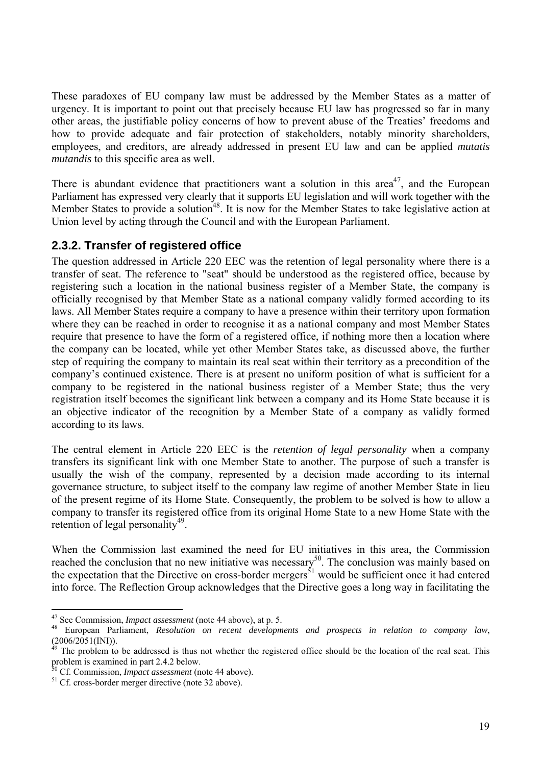These paradoxes of EU company law must be addressed by the Member States as a matter of urgency. It is important to point out that precisely because EU law has progressed so far in many other areas, the justifiable policy concerns of how to prevent abuse of the Treaties' freedoms and how to provide adequate and fair protection of stakeholders, notably minority shareholders, employees, and creditors, are already addressed in present EU law and can be applied *mutatis mutandis* to this specific area as well.

There is abundant evidence that practitioners want a solution in this area<sup>47</sup>, and the European Parliament has expressed very clearly that it supports EU legislation and will work together with the Member States to provide a solution<sup>48</sup>. It is now for the Member States to take legislative action at Union level by acting through the Council and with the European Parliament.

#### <span id="page-20-0"></span>**2.3.2. Transfer of registered office**

The question addressed in Article 220 EEC was the retention of legal personality where there is a transfer of seat. The reference to "seat" should be understood as the registered office, because by registering such a location in the national business register of a Member State, the company is officially recognised by that Member State as a national company validly formed according to its laws. All Member States require a company to have a presence within their territory upon formation where they can be reached in order to recognise it as a national company and most Member States require that presence to have the form of a registered office, if nothing more then a location where the company can be located, while yet other Member States take, as discussed above, the further step of requiring the company to maintain its real seat within their territory as a precondition of the company's continued existence. There is at present no uniform position of what is sufficient for a company to be registered in the national business register of a Member State; thus the very registration itself becomes the significant link between a company and its Home State because it is an objective indicator of the recognition by a Member State of a company as validly formed according to its laws.

The central element in Article 220 EEC is the *retention of legal personality* when a company transfers its significant link with one Member State to another. The purpose of such a transfer is usually the wish of the company, represented by a decision made according to its internal governance structure, to subject itself to the company law regime of another Member State in lieu of the present regime of its Home State. Consequently, the problem to be solved is how to allow a company to transfer its registered office from its original Home State to a new Home State with the retention of legal personality<sup>49</sup>.

When the Commission last examined the need for EU initiatives in this area, the Commission reached the conclusion that no new initiative was necessary<sup>50</sup>. The conclusion was mainly based on the expectation that the Directive on cross-border mergers<sup>51</sup> would be sufficient once it had entered into force. The Reflection Group acknowledges that the Directive goes a long way in facilitating the

<sup>47</sup> See Commission, *Impact assessment* (note 44 above), at p. 5. 48 European Parliament, *Resolution on recent developments and prospects in relation to company law*,  $(2006/2051(INI))$ .

The problem to be addressed is thus not whether the registered office should be the location of the real seat. This problem is examined in part 2.4.2 below.<br><sup>50</sup> Cf. Commission, *Impact assessment* (note 44 above).

<sup>&</sup>lt;sup>51</sup> Cf. cross-border merger directive (note 32 above).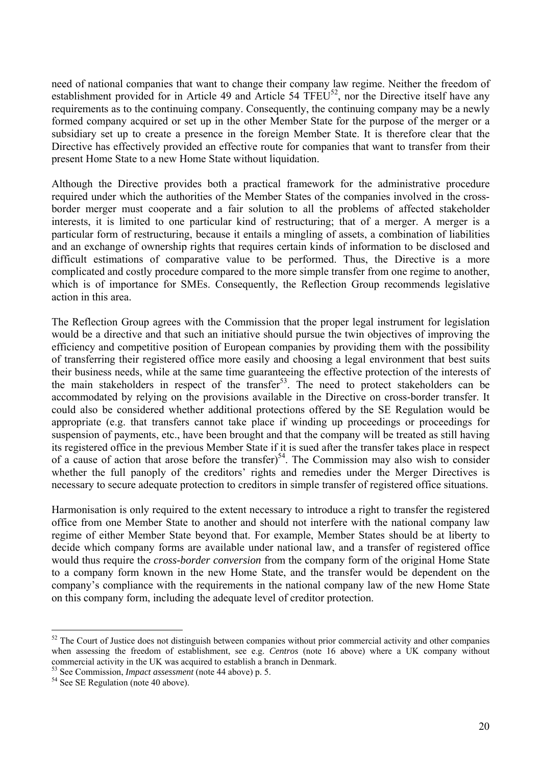need of national companies that want to change their company law regime. Neither the freedom of establishment provided for in Article 49 and Article 54 TFEU<sup>52</sup>, nor the Directive itself have any requirements as to the continuing company. Consequently, the continuing company may be a newly formed company acquired or set up in the other Member State for the purpose of the merger or a subsidiary set up to create a presence in the foreign Member State. It is therefore clear that the Directive has effectively provided an effective route for companies that want to transfer from their present Home State to a new Home State without liquidation.

Although the Directive provides both a practical framework for the administrative procedure required under which the authorities of the Member States of the companies involved in the crossborder merger must cooperate and a fair solution to all the problems of affected stakeholder interests, it is limited to one particular kind of restructuring; that of a merger. A merger is a particular form of restructuring, because it entails a mingling of assets, a combination of liabilities and an exchange of ownership rights that requires certain kinds of information to be disclosed and difficult estimations of comparative value to be performed. Thus, the Directive is a more complicated and costly procedure compared to the more simple transfer from one regime to another, which is of importance for SMEs. Consequently, the Reflection Group recommends legislative action in this area.

The Reflection Group agrees with the Commission that the proper legal instrument for legislation would be a directive and that such an initiative should pursue the twin objectives of improving the efficiency and competitive position of European companies by providing them with the possibility of transferring their registered office more easily and choosing a legal environment that best suits their business needs, while at the same time guaranteeing the effective protection of the interests of the main stakeholders in respect of the transfer<sup>53</sup>. The need to protect stakeholders can be accommodated by relying on the provisions available in the Directive on cross-border transfer. It could also be considered whether additional protections offered by the SE Regulation would be appropriate (e.g. that transfers cannot take place if winding up proceedings or proceedings for suspension of payments, etc., have been brought and that the company will be treated as still having its registered office in the previous Member State if it is sued after the transfer takes place in respect of a cause of action that arose before the transfer)<sup>54</sup>. The Commission may also wish to consider whether the full panoply of the creditors' rights and remedies under the Merger Directives is necessary to secure adequate protection to creditors in simple transfer of registered office situations.

Harmonisation is only required to the extent necessary to introduce a right to transfer the registered office from one Member State to another and should not interfere with the national company law regime of either Member State beyond that. For example, Member States should be at liberty to decide which company forms are available under national law, and a transfer of registered office would thus require the *cross-border conversion* from the company form of the original Home State to a company form known in the new Home State, and the transfer would be dependent on the company's compliance with the requirements in the national company law of the new Home State on this company form, including the adequate level of creditor protection.

<sup>&</sup>lt;sup>52</sup> The Court of Justice does not distinguish between companies without prior commercial activity and other companies when assessing the freedom of establishment, see e.g. *Centros* (note 16 above) where a UK company without commercial activity in the UK was acquired to establish a branch in Denmark.<br><sup>53</sup> See Commission, *Impact assessment* (note 44 above) p. 5.<br><sup>54</sup> See SE Regulation (note 40 above).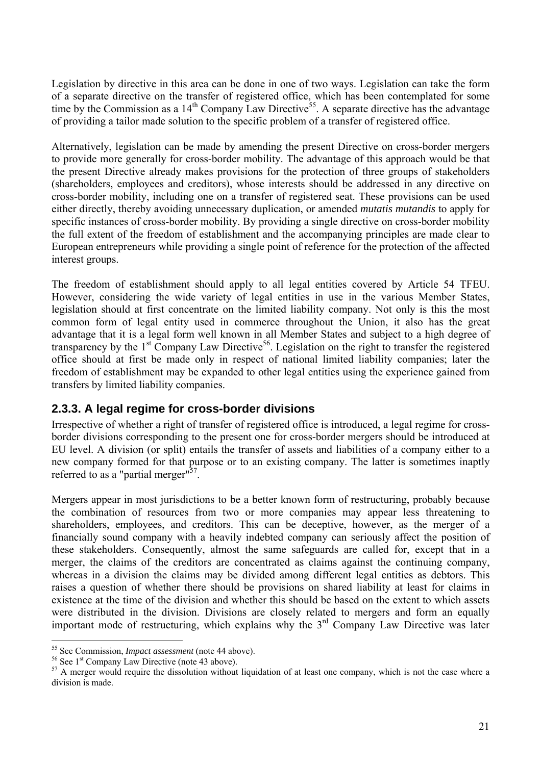Legislation by directive in this area can be done in one of two ways. Legislation can take the form of a separate directive on the transfer of registered office, which has been contemplated for some time by the Commission as a 14<sup>th</sup> Company Law Directive<sup>55</sup>. A separate directive has the advantage of providing a tailor made solution to the specific problem of a transfer of registered office.

Alternatively, legislation can be made by amending the present Directive on cross-border mergers to provide more generally for cross-border mobility. The advantage of this approach would be that the present Directive already makes provisions for the protection of three groups of stakeholders (shareholders, employees and creditors), whose interests should be addressed in any directive on cross-border mobility, including one on a transfer of registered seat. These provisions can be used either directly, thereby avoiding unnecessary duplication, or amended *mutatis mutandis* to apply for specific instances of cross-border mobility. By providing a single directive on cross-border mobility the full extent of the freedom of establishment and the accompanying principles are made clear to European entrepreneurs while providing a single point of reference for the protection of the affected interest groups.

The freedom of establishment should apply to all legal entities covered by Article 54 TFEU. However, considering the wide variety of legal entities in use in the various Member States, legislation should at first concentrate on the limited liability company. Not only is this the most common form of legal entity used in commerce throughout the Union, it also has the great advantage that it is a legal form well known in all Member States and subject to a high degree of transparency by the  $1<sup>st</sup>$  Company Law Directive<sup>56</sup>. Legislation on the right to transfer the registered office should at first be made only in respect of national limited liability companies; later the freedom of establishment may be expanded to other legal entities using the experience gained from transfers by limited liability companies.

#### <span id="page-22-0"></span>**2.3.3. A legal regime for cross-border divisions**

Irrespective of whether a right of transfer of registered office is introduced, a legal regime for crossborder divisions corresponding to the present one for cross-border mergers should be introduced at EU level. A division (or split) entails the transfer of assets and liabilities of a company either to a new company formed for that purpose or to an existing company. The latter is sometimes inaptly referred to as a "partial merger" $57$ .

Mergers appear in most jurisdictions to be a better known form of restructuring, probably because the combination of resources from two or more companies may appear less threatening to shareholders, employees, and creditors. This can be deceptive, however, as the merger of a financially sound company with a heavily indebted company can seriously affect the position of these stakeholders. Consequently, almost the same safeguards are called for, except that in a merger, the claims of the creditors are concentrated as claims against the continuing company, whereas in a division the claims may be divided among different legal entities as debtors. This raises a question of whether there should be provisions on shared liability at least for claims in existence at the time of the division and whether this should be based on the extent to which assets were distributed in the division. Divisions are closely related to mergers and form an equally important mode of restructuring, which explains why the  $3<sup>rd</sup>$  Company Law Directive was later

<sup>&</sup>lt;sup>55</sup> See Commission, *Impact assessment* (note 44 above).<br><sup>56</sup> See 1<sup>st</sup> Company Law Directive (note 43 above).<br><sup>57</sup> A merger would require the dissolution without liquidation of at least one company, which is not the cas division is made.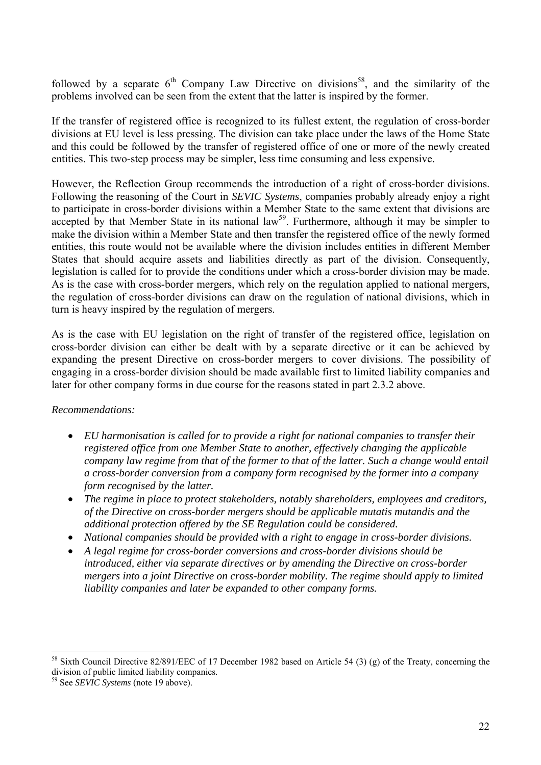followed by a separate  $6<sup>th</sup>$  Company Law Directive on divisions<sup>58</sup>, and the similarity of the problems involved can be seen from the extent that the latter is inspired by the former.

If the transfer of registered office is recognized to its fullest extent, the regulation of cross-border divisions at EU level is less pressing. The division can take place under the laws of the Home State and this could be followed by the transfer of registered office of one or more of the newly created entities. This two-step process may be simpler, less time consuming and less expensive.

However, the Reflection Group recommends the introduction of a right of cross-border divisions. Following the reasoning of the Court in *SEVIC Systems*, companies probably already enjoy a right to participate in cross-border divisions within a Member State to the same extent that divisions are accepted by that Member State in its national law<sup>59</sup>. Furthermore, although it may be simpler to make the division within a Member State and then transfer the registered office of the newly formed entities, this route would not be available where the division includes entities in different Member States that should acquire assets and liabilities directly as part of the division. Consequently, legislation is called for to provide the conditions under which a cross-border division may be made. As is the case with cross-border mergers, which rely on the regulation applied to national mergers, the regulation of cross-border divisions can draw on the regulation of national divisions, which in turn is heavy inspired by the regulation of mergers.

As is the case with EU legislation on the right of transfer of the registered office, legislation on cross-border division can either be dealt with by a separate directive or it can be achieved by expanding the present Directive on cross-border mergers to cover divisions. The possibility of engaging in a cross-border division should be made available first to limited liability companies and later for other company forms in due course for the reasons stated in part 2.3.2 above.

#### *Recommendations:*

- *EU harmonisation is called for to provide a right for national companies to transfer their registered office from one Member State to another, effectively changing the applicable company law regime from that of the former to that of the latter. Such a change would entail a cross-border conversion from a company form recognised by the former into a company form recognised by the latter.*
- *The regime in place to protect stakeholders, notably shareholders, employees and creditors, of the Directive on cross-border mergers should be applicable mutatis mutandis and the additional protection offered by the SE Regulation could be considered.*
- *National companies should be provided with a right to engage in cross-border divisions.*
- *A legal regime for cross-border conversions and cross-border divisions should be introduced, either via separate directives or by amending the Directive on cross-border mergers into a joint Directive on cross-border mobility. The regime should apply to limited liability companies and later be expanded to other company forms.*

<sup>58</sup> Sixth Council Directive 82/891/EEC of 17 December 1982 based on Article 54 (3) (g) of the Treaty, concerning the division of public limited liability companies.

<sup>59</sup> See *SEVIC Systems* (note 19 above).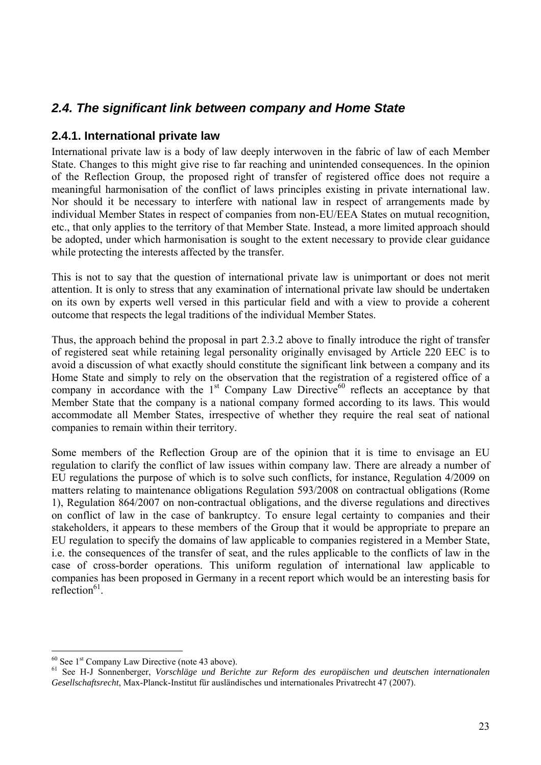# <span id="page-24-0"></span>*2.4. The significant link between company and Home State*

#### <span id="page-24-1"></span>**2.4.1. International private law**

International private law is a body of law deeply interwoven in the fabric of law of each Member State. Changes to this might give rise to far reaching and unintended consequences. In the opinion of the Reflection Group, the proposed right of transfer of registered office does not require a meaningful harmonisation of the conflict of laws principles existing in private international law. Nor should it be necessary to interfere with national law in respect of arrangements made by individual Member States in respect of companies from non-EU/EEA States on mutual recognition, etc., that only applies to the territory of that Member State. Instead, a more limited approach should be adopted, under which harmonisation is sought to the extent necessary to provide clear guidance while protecting the interests affected by the transfer.

This is not to say that the question of international private law is unimportant or does not merit attention. It is only to stress that any examination of international private law should be undertaken on its own by experts well versed in this particular field and with a view to provide a coherent outcome that respects the legal traditions of the individual Member States.

Thus, the approach behind the proposal in part 2.3.2 above to finally introduce the right of transfer of registered seat while retaining legal personality originally envisaged by Article 220 EEC is to avoid a discussion of what exactly should constitute the significant link between a company and its Home State and simply to rely on the observation that the registration of a registered office of a company in accordance with the  $1<sup>st</sup>$  Company Law Directive<sup>60</sup> reflects an acceptance by that Member State that the company is a national company formed according to its laws. This would accommodate all Member States, irrespective of whether they require the real seat of national companies to remain within their territory.

Some members of the Reflection Group are of the opinion that it is time to envisage an EU regulation to clarify the conflict of law issues within company law. There are already a number of EU regulations the purpose of which is to solve such conflicts, for instance, Regulation 4/2009 on matters relating to maintenance obligations Regulation 593/2008 on contractual obligations (Rome 1), Regulation 864/2007 on non-contractual obligations, and the diverse regulations and directives on conflict of law in the case of bankruptcy. To ensure legal certainty to companies and their stakeholders, it appears to these members of the Group that it would be appropriate to prepare an EU regulation to specify the domains of law applicable to companies registered in a Member State, i.e. the consequences of the transfer of seat, and the rules applicable to the conflicts of law in the case of cross-border operations. This uniform regulation of international law applicable to companies has been proposed in Germany in a recent report which would be an interesting basis for reflection $^{61}$ .

 $60$  See 1<sup>st</sup> Company Law Directive (note 43 above).

<sup>&</sup>lt;sup>61</sup> See H-J Sonnenberger, *Vorschläge und Berichte zur Reform des europäischen und deutschen internationalen Gesellschaftsrecht*, Max-Planck-Institut für ausländisches und internationales Privatrecht 47 (2007).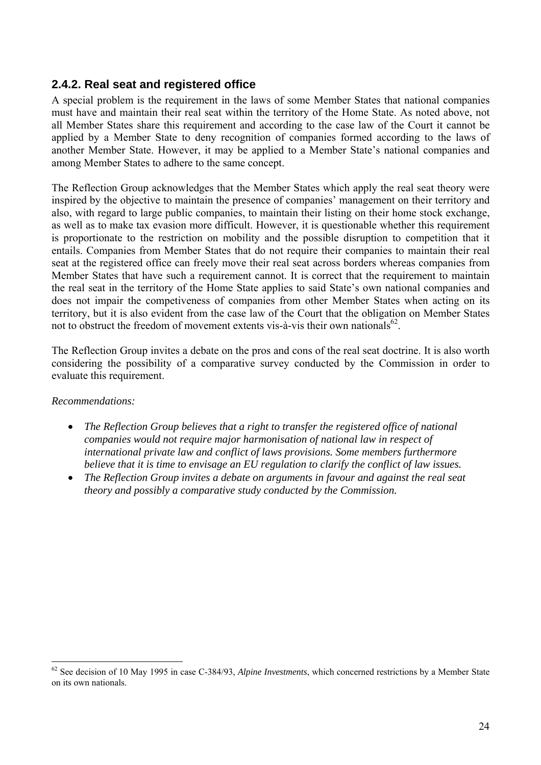#### <span id="page-25-0"></span>**2.4.2. Real seat and registered office**

A special problem is the requirement in the laws of some Member States that national companies must have and maintain their real seat within the territory of the Home State. As noted above, not all Member States share this requirement and according to the case law of the Court it cannot be applied by a Member State to deny recognition of companies formed according to the laws of another Member State. However, it may be applied to a Member State's national companies and among Member States to adhere to the same concept.

The Reflection Group acknowledges that the Member States which apply the real seat theory were inspired by the objective to maintain the presence of companies' management on their territory and also, with regard to large public companies, to maintain their listing on their home stock exchange, as well as to make tax evasion more difficult. However, it is questionable whether this requirement is proportionate to the restriction on mobility and the possible disruption to competition that it entails. Companies from Member States that do not require their companies to maintain their real seat at the registered office can freely move their real seat across borders whereas companies from Member States that have such a requirement cannot. It is correct that the requirement to maintain the real seat in the territory of the Home State applies to said State's own national companies and does not impair the competiveness of companies from other Member States when acting on its territory, but it is also evident from the case law of the Court that the obligation on Member States not to obstruct the freedom of movement extents vis-à-vis their own nationals<sup>62</sup>

The Reflection Group invites a debate on the pros and cons of the real seat doctrine. It is also worth considering the possibility of a comparative survey conducted by the Commission in order to evaluate this requirement.

#### *Recommendations:*

- *The Reflection Group believes that a right to transfer the registered office of national companies would not require major harmonisation of national law in respect of international private law and conflict of laws provisions. Some members furthermore believe that it is time to envisage an EU regulation to clarify the conflict of law issues.*
- *The Reflection Group invites a debate on arguments in favour and against the real seat theory and possibly a comparative study conducted by the Commission.*

<sup>62</sup> See decision of 10 May 1995 in case C-384/93, *Alpine Investments*, which concerned restrictions by a Member State on its own nationals.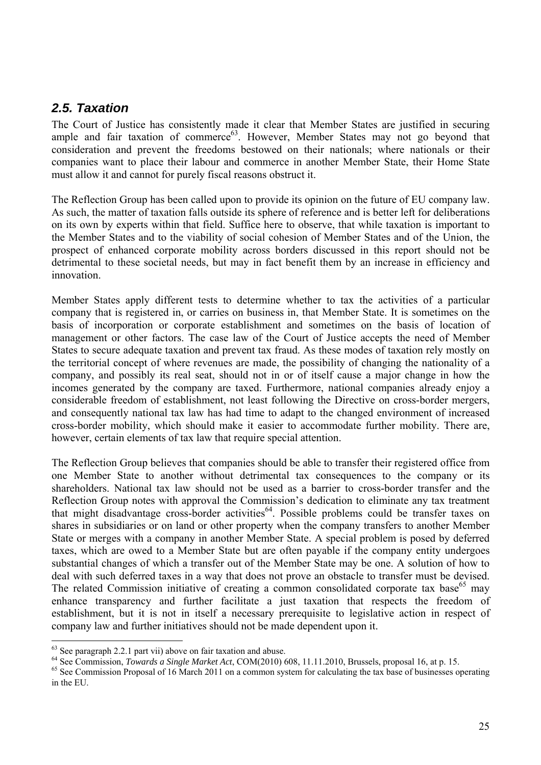#### <span id="page-26-0"></span>*2.5. Taxation*

The Court of Justice has consistently made it clear that Member States are justified in securing ample and fair taxation of commerce<sup>63</sup>. However, Member States may not go beyond that consideration and prevent the freedoms bestowed on their nationals; where nationals or their companies want to place their labour and commerce in another Member State, their Home State must allow it and cannot for purely fiscal reasons obstruct it.

The Reflection Group has been called upon to provide its opinion on the future of EU company law. As such, the matter of taxation falls outside its sphere of reference and is better left for deliberations on its own by experts within that field. Suffice here to observe, that while taxation is important to the Member States and to the viability of social cohesion of Member States and of the Union, the prospect of enhanced corporate mobility across borders discussed in this report should not be detrimental to these societal needs, but may in fact benefit them by an increase in efficiency and innovation.

Member States apply different tests to determine whether to tax the activities of a particular company that is registered in, or carries on business in, that Member State. It is sometimes on the basis of incorporation or corporate establishment and sometimes on the basis of location of management or other factors. The case law of the Court of Justice accepts the need of Member States to secure adequate taxation and prevent tax fraud. As these modes of taxation rely mostly on the territorial concept of where revenues are made, the possibility of changing the nationality of a company, and possibly its real seat, should not in or of itself cause a major change in how the incomes generated by the company are taxed. Furthermore, national companies already enjoy a considerable freedom of establishment, not least following the Directive on cross-border mergers, and consequently national tax law has had time to adapt to the changed environment of increased cross-border mobility, which should make it easier to accommodate further mobility. There are, however, certain elements of tax law that require special attention.

The Reflection Group believes that companies should be able to transfer their registered office from one Member State to another without detrimental tax consequences to the company or its shareholders. National tax law should not be used as a barrier to cross-border transfer and the Reflection Group notes with approval the Commission's dedication to eliminate any tax treatment that might disadvantage cross-border activities<sup>64</sup>. Possible problems could be transfer taxes on shares in subsidiaries or on land or other property when the company transfers to another Member State or merges with a company in another Member State. A special problem is posed by deferred taxes, which are owed to a Member State but are often payable if the company entity undergoes substantial changes of which a transfer out of the Member State may be one. A solution of how to deal with such deferred taxes in a way that does not prove an obstacle to transfer must be devised. The related Commission initiative of creating a common consolidated corporate tax base<sup>65</sup> may enhance transparency and further facilitate a just taxation that respects the freedom of establishment, but it is not in itself a necessary prerequisite to legislative action in respect of company law and further initiatives should not be made dependent upon it.

<sup>&</sup>lt;sup>63</sup> See paragraph 2.2.1 part vii) above on fair taxation and abuse.<br><sup>64</sup> See Commission, *Towards a Single Market Act*, COM(2010) 608, 11.11.2010, Brussels, proposal 16, at p. 15.

 $65$  See Commission Proposal of 16 March 2011 on a common system for calculating the tax base of businesses operating in the EU.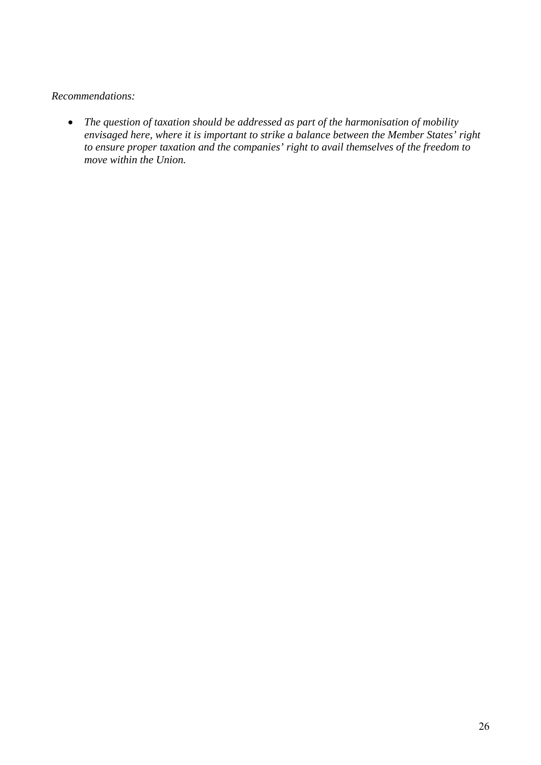#### *Recommendations:*

• *The question of taxation should be addressed as part of the harmonisation of mobility envisaged here, where it is important to strike a balance between the Member States' right to ensure proper taxation and the companies' right to avail themselves of the freedom to move within the Union.*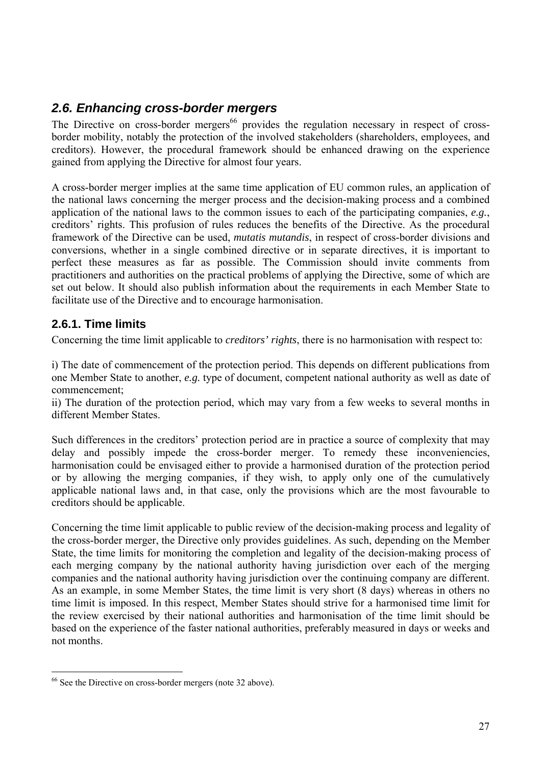# <span id="page-28-0"></span>*2.6. Enhancing cross-border mergers*

The Directive on cross-border mergers<sup>66</sup> provides the regulation necessary in respect of crossborder mobility, notably the protection of the involved stakeholders (shareholders, employees, and creditors). However, the procedural framework should be enhanced drawing on the experience gained from applying the Directive for almost four years.

A cross-border merger implies at the same time application of EU common rules, an application of the national laws concerning the merger process and the decision-making process and a combined application of the national laws to the common issues to each of the participating companies, *e.g.*, creditors' rights. This profusion of rules reduces the benefits of the Directive. As the procedural framework of the Directive can be used, *mutatis mutandis*, in respect of cross-border divisions and conversions, whether in a single combined directive or in separate directives, it is important to perfect these measures as far as possible. The Commission should invite comments from practitioners and authorities on the practical problems of applying the Directive, some of which are set out below. It should also publish information about the requirements in each Member State to facilitate use of the Directive and to encourage harmonisation.

### <span id="page-28-1"></span>**2.6.1. Time limits**

Concerning the time limit applicable to *creditors' rights*, there is no harmonisation with respect to:

i) The date of commencement of the protection period. This depends on different publications from one Member State to another, *e.g.* type of document, competent national authority as well as date of commencement;

ii) The duration of the protection period, which may vary from a few weeks to several months in different Member States.

Such differences in the creditors' protection period are in practice a source of complexity that may delay and possibly impede the cross-border merger. To remedy these inconveniencies, harmonisation could be envisaged either to provide a harmonised duration of the protection period or by allowing the merging companies, if they wish, to apply only one of the cumulatively applicable national laws and, in that case, only the provisions which are the most favourable to creditors should be applicable.

Concerning the time limit applicable to public review of the decision-making process and legality of the cross-border merger, the Directive only provides guidelines. As such, depending on the Member State, the time limits for monitoring the completion and legality of the decision-making process of each merging company by the national authority having jurisdiction over each of the merging companies and the national authority having jurisdiction over the continuing company are different. As an example, in some Member States, the time limit is very short (8 days) whereas in others no time limit is imposed. In this respect, Member States should strive for a harmonised time limit for the review exercised by their national authorities and harmonisation of the time limit should be based on the experience of the faster national authorities, preferably measured in days or weeks and not months.

<sup>&</sup>lt;sup>66</sup> See the Directive on cross-border mergers (note 32 above).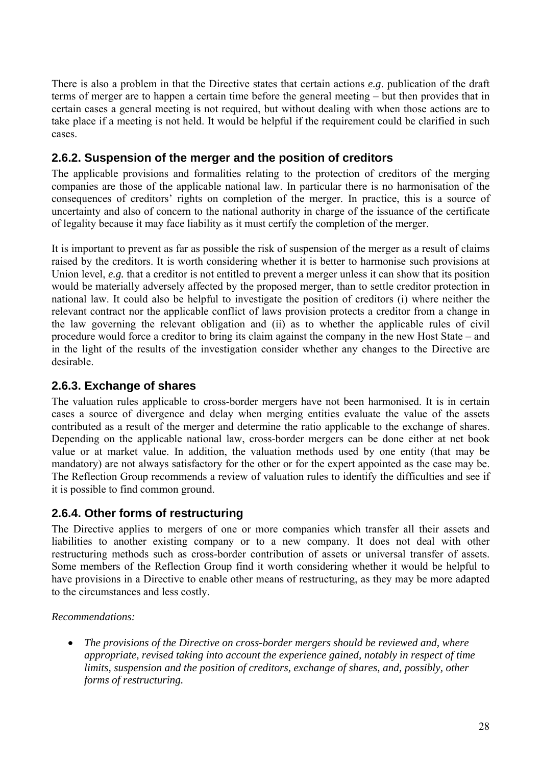There is also a problem in that the Directive states that certain actions *e.g*. publication of the draft terms of merger are to happen a certain time before the general meeting – but then provides that in certain cases a general meeting is not required, but without dealing with when those actions are to take place if a meeting is not held. It would be helpful if the requirement could be clarified in such cases.

#### <span id="page-29-0"></span>**2.6.2. Suspension of the merger and the position of creditors**

The applicable provisions and formalities relating to the protection of creditors of the merging companies are those of the applicable national law. In particular there is no harmonisation of the consequences of creditors' rights on completion of the merger. In practice, this is a source of uncertainty and also of concern to the national authority in charge of the issuance of the certificate of legality because it may face liability as it must certify the completion of the merger.

It is important to prevent as far as possible the risk of suspension of the merger as a result of claims raised by the creditors. It is worth considering whether it is better to harmonise such provisions at Union level, *e.g.* that a creditor is not entitled to prevent a merger unless it can show that its position would be materially adversely affected by the proposed merger, than to settle creditor protection in national law. It could also be helpful to investigate the position of creditors (i) where neither the relevant contract nor the applicable conflict of laws provision protects a creditor from a change in the law governing the relevant obligation and (ii) as to whether the applicable rules of civil procedure would force a creditor to bring its claim against the company in the new Host State – and in the light of the results of the investigation consider whether any changes to the Directive are desirable.

#### <span id="page-29-1"></span>**2.6.3. Exchange of shares**

The valuation rules applicable to cross-border mergers have not been harmonised. It is in certain cases a source of divergence and delay when merging entities evaluate the value of the assets contributed as a result of the merger and determine the ratio applicable to the exchange of shares. Depending on the applicable national law, cross-border mergers can be done either at net book value or at market value. In addition, the valuation methods used by one entity (that may be mandatory) are not always satisfactory for the other or for the expert appointed as the case may be. The Reflection Group recommends a review of valuation rules to identify the difficulties and see if it is possible to find common ground.

#### <span id="page-29-2"></span>**2.6.4. Other forms of restructuring**

The Directive applies to mergers of one or more companies which transfer all their assets and liabilities to another existing company or to a new company. It does not deal with other restructuring methods such as cross-border contribution of assets or universal transfer of assets. Some members of the Reflection Group find it worth considering whether it would be helpful to have provisions in a Directive to enable other means of restructuring, as they may be more adapted to the circumstances and less costly.

#### *Recommendations:*

• *The provisions of the Directive on cross-border mergers should be reviewed and, where appropriate, revised taking into account the experience gained, notably in respect of time limits, suspension and the position of creditors, exchange of shares, and, possibly, other forms of restructuring.*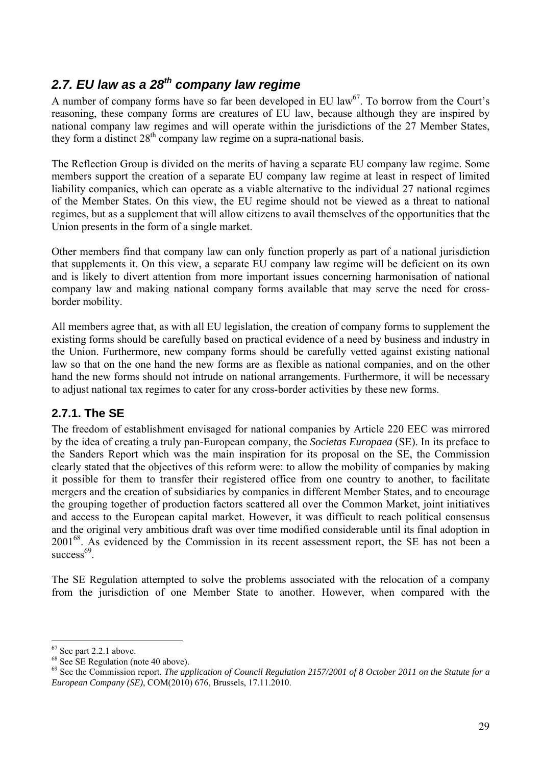# <span id="page-30-0"></span>*2.7. EU law as a 28th company law regime*

A number of company forms have so far been developed in EU law<sup>67</sup>. To borrow from the Court's reasoning, these company forms are creatures of EU law, because although they are inspired by national company law regimes and will operate within the jurisdictions of the 27 Member States, they form a distinct  $28<sup>th</sup>$  company law regime on a supra-national basis.

The Reflection Group is divided on the merits of having a separate EU company law regime. Some members support the creation of a separate EU company law regime at least in respect of limited liability companies, which can operate as a viable alternative to the individual 27 national regimes of the Member States. On this view, the EU regime should not be viewed as a threat to national regimes, but as a supplement that will allow citizens to avail themselves of the opportunities that the Union presents in the form of a single market.

Other members find that company law can only function properly as part of a national jurisdiction that supplements it. On this view, a separate EU company law regime will be deficient on its own and is likely to divert attention from more important issues concerning harmonisation of national company law and making national company forms available that may serve the need for crossborder mobility.

All members agree that, as with all EU legislation, the creation of company forms to supplement the existing forms should be carefully based on practical evidence of a need by business and industry in the Union. Furthermore, new company forms should be carefully vetted against existing national law so that on the one hand the new forms are as flexible as national companies, and on the other hand the new forms should not intrude on national arrangements. Furthermore, it will be necessary to adjust national tax regimes to cater for any cross-border activities by these new forms.

### <span id="page-30-1"></span>**2.7.1. The SE**

The freedom of establishment envisaged for national companies by Article 220 EEC was mirrored by the idea of creating a truly pan-European company, the *Societas Europaea* (SE). In its preface to the Sanders Report which was the main inspiration for its proposal on the SE, the Commission clearly stated that the objectives of this reform were: to allow the mobility of companies by making it possible for them to transfer their registered office from one country to another, to facilitate mergers and the creation of subsidiaries by companies in different Member States, and to encourage the grouping together of production factors scattered all over the Common Market, joint initiatives and access to the European capital market. However, it was difficult to reach political consensus and the original very ambitious draft was over time modified considerable until its final adoption in 2001<sup>68</sup>. As evidenced by the Commission in its recent assessment report, the SE has not been a  $success<sup>69</sup>$ 

The SE Regulation attempted to solve the problems associated with the relocation of a company from the jurisdiction of one Member State to another. However, when compared with the

 $67$  See part 2.2.1 above.

 $68$  See SE Regulation (note 40 above).

<sup>69</sup> See the Commission report, *The application of Council Regulation 2157/2001 of 8 October 2011 on the Statute for a European Company (SE)*, COM(2010) 676, Brussels, 17.11.2010.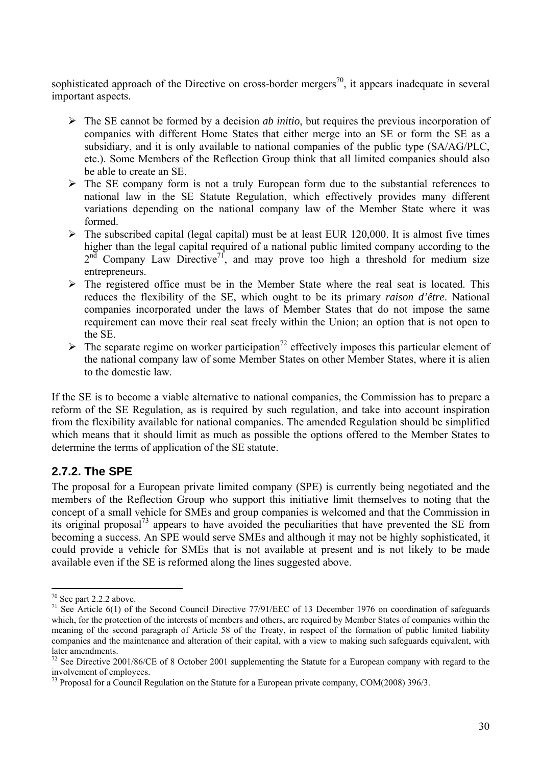sophisticated approach of the Directive on cross-border mergers<sup>70</sup>, it appears inadequate in several important aspects.

- ¾ The SE cannot be formed by a decision *ab initio*, but requires the previous incorporation of companies with different Home States that either merge into an SE or form the SE as a subsidiary, and it is only available to national companies of the public type (SA/AG/PLC, etc.). Some Members of the Reflection Group think that all limited companies should also be able to create an SE.
- $\triangleright$  The SE company form is not a truly European form due to the substantial references to national law in the SE Statute Regulation, which effectively provides many different variations depending on the national company law of the Member State where it was formed.
- $\triangleright$  The subscribed capital (legal capital) must be at least EUR 120,000. It is almost five times higher than the legal capital required of a national public limited company according to the  $2<sup>nd</sup>$  Company Law Directive<sup>71</sup>, and may prove too high a threshold for medium size entrepreneurs.
- $\triangleright$  The registered office must be in the Member State where the real seat is located. This reduces the flexibility of the SE, which ought to be its primary *raison d'être*. National companies incorporated under the laws of Member States that do not impose the same requirement can move their real seat freely within the Union; an option that is not open to the SE.
- $\triangleright$  The separate regime on worker participation<sup>72</sup> effectively imposes this particular element of the national company law of some Member States on other Member States, where it is alien to the domestic law.

If the SE is to become a viable alternative to national companies, the Commission has to prepare a reform of the SE Regulation, as is required by such regulation, and take into account inspiration from the flexibility available for national companies. The amended Regulation should be simplified which means that it should limit as much as possible the options offered to the Member States to determine the terms of application of the SE statute.

#### <span id="page-31-0"></span>**2.7.2. The SPE**

The proposal for a European private limited company (SPE) is currently being negotiated and the members of the Reflection Group who support this initiative limit themselves to noting that the concept of a small vehicle for SMEs and group companies is welcomed and that the Commission in its original proposal73 appears to have avoided the peculiarities that have prevented the SE from becoming a success. An SPE would serve SMEs and although it may not be highly sophisticated, it could provide a vehicle for SMEs that is not available at present and is not likely to be made available even if the SE is reformed along the lines suggested above.

<sup>70</sup> See part 2.2.2 above.

<sup>&</sup>lt;sup>71</sup> See Article 6(1) of the Second Council Directive 77/91/EEC of 13 December 1976 on coordination of safeguards which, for the protection of the interests of members and others, are required by Member States of companies within the meaning of the second paragraph of Article 58 of the Treaty, in respect of the formation of public limited liability companies and the maintenance and alteration of their capital, with a view to making such safeguards equivalent, with later amendments.

<sup>&</sup>lt;sup>72</sup> See Directive 2001/86/CE of 8 October 2001 supplementing the Statute for a European company with regard to the involvement of employees.

 $^{73}$  Proposal for a Council Regulation on the Statute for a European private company, COM(2008) 396/3.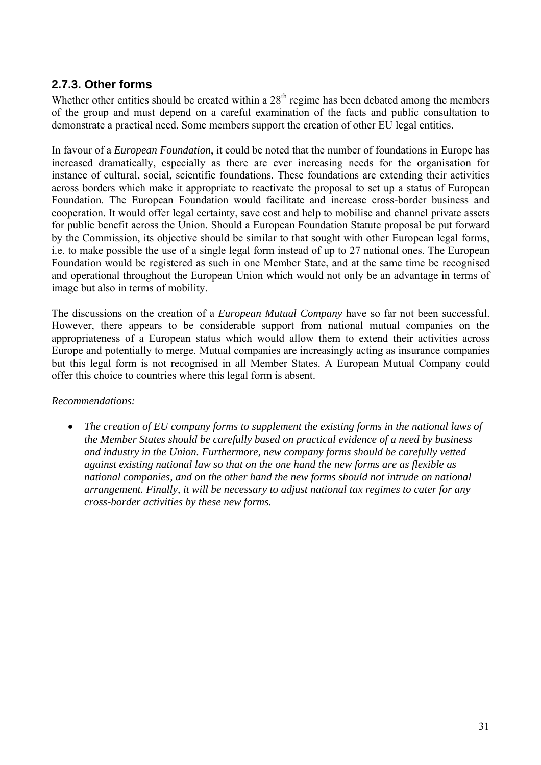#### <span id="page-32-0"></span>**2.7.3. Other forms**

Whether other entities should be created within a  $28<sup>th</sup>$  regime has been debated among the members of the group and must depend on a careful examination of the facts and public consultation to demonstrate a practical need. Some members support the creation of other EU legal entities.

In favour of a *European Foundation*, it could be noted that the number of foundations in Europe has increased dramatically, especially as there are ever increasing needs for the organisation for instance of cultural, social, scientific foundations. These foundations are extending their activities across borders which make it appropriate to reactivate the proposal to set up a status of European Foundation. The European Foundation would facilitate and increase cross-border business and cooperation. It would offer legal certainty, save cost and help to mobilise and channel private assets for public benefit across the Union. Should a European Foundation Statute proposal be put forward by the Commission, its objective should be similar to that sought with other European legal forms, i.e. to make possible the use of a single legal form instead of up to 27 national ones. The European Foundation would be registered as such in one Member State, and at the same time be recognised and operational throughout the European Union which would not only be an advantage in terms of image but also in terms of mobility.

The discussions on the creation of a *European Mutual Company* have so far not been successful. However, there appears to be considerable support from national mutual companies on the appropriateness of a European status which would allow them to extend their activities across Europe and potentially to merge. Mutual companies are increasingly acting as insurance companies but this legal form is not recognised in all Member States. A European Mutual Company could offer this choice to countries where this legal form is absent.

*Recommendations:* 

• *The creation of EU company forms to supplement the existing forms in the national laws of the Member States should be carefully based on practical evidence of a need by business and industry in the Union. Furthermore, new company forms should be carefully vetted against existing national law so that on the one hand the new forms are as flexible as national companies, and on the other hand the new forms should not intrude on national arrangement. Finally, it will be necessary to adjust national tax regimes to cater for any cross-border activities by these new forms.*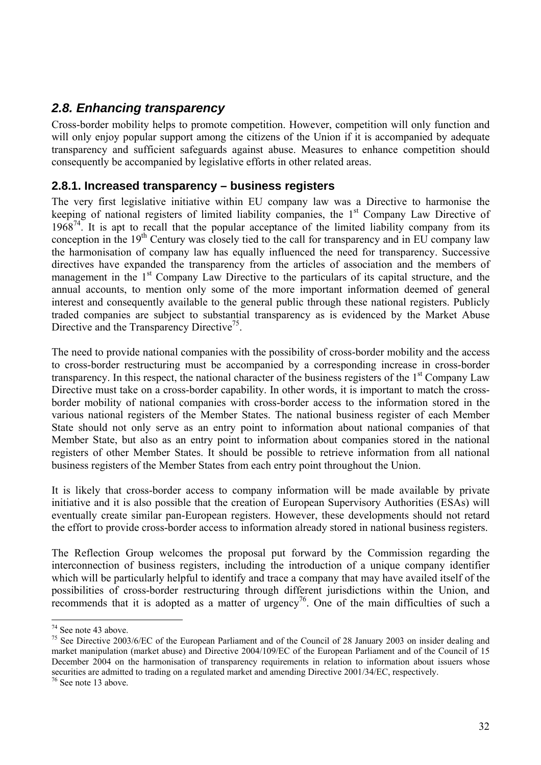# <span id="page-33-0"></span>*2.8. Enhancing transparency*

Cross-border mobility helps to promote competition. However, competition will only function and will only enjoy popular support among the citizens of the Union if it is accompanied by adequate transparency and sufficient safeguards against abuse. Measures to enhance competition should consequently be accompanied by legislative efforts in other related areas.

#### <span id="page-33-1"></span>**2.8.1. Increased transparency – business registers**

The very first legislative initiative within EU company law was a Directive to harmonise the keeping of national registers of limited liability companies, the 1<sup>st</sup> Company Law Directive of  $1968<sup>74</sup>$  It is apt to recall that the popular acceptance of the limited liability company from its conception in the  $19<sup>th</sup>$  Century was closely tied to the call for transparency and in EU company law the harmonisation of company law has equally influenced the need for transparency. Successive directives have expanded the transparency from the articles of association and the members of management in the 1<sup>st</sup> Company Law Directive to the particulars of its capital structure, and the annual accounts, to mention only some of the more important information deemed of general interest and consequently available to the general public through these national registers. Publicly traded companies are subject to substantial transparency as is evidenced by the Market Abuse Directive and the Transparency Directive<sup>75</sup>.

The need to provide national companies with the possibility of cross-border mobility and the access to cross-border restructuring must be accompanied by a corresponding increase in cross-border transparency. In this respect, the national character of the business registers of the  $1<sup>st</sup>$  Company Law Directive must take on a cross-border capability. In other words, it is important to match the crossborder mobility of national companies with cross-border access to the information stored in the various national registers of the Member States. The national business register of each Member State should not only serve as an entry point to information about national companies of that Member State, but also as an entry point to information about companies stored in the national registers of other Member States. It should be possible to retrieve information from all national business registers of the Member States from each entry point throughout the Union.

It is likely that cross-border access to company information will be made available by private initiative and it is also possible that the creation of European Supervisory Authorities (ESAs) will eventually create similar pan-European registers. However, these developments should not retard the effort to provide cross-border access to information already stored in national business registers.

The Reflection Group welcomes the proposal put forward by the Commission regarding the interconnection of business registers, including the introduction of a unique company identifier which will be particularly helpful to identify and trace a company that may have availed itself of the possibilities of cross-border restructuring through different jurisdictions within the Union, and recommends that it is adopted as a matter of urgency<sup>76</sup>. One of the main difficulties of such a

<sup>74</sup> See note 43 above.

<sup>&</sup>lt;sup>75</sup> See Directive 2003/6/EC of the European Parliament and of the Council of 28 January 2003 on insider dealing and market manipulation (market abuse) and Directive 2004/109/EC of the European Parliament and of the Council of 15 December 2004 on the harmonisation of transparency requirements in relation to information about issuers whose securities are admitted to trading on a regulated market and amending Directive 2001/34/EC, respectively.

<sup>76</sup> See note 13 above.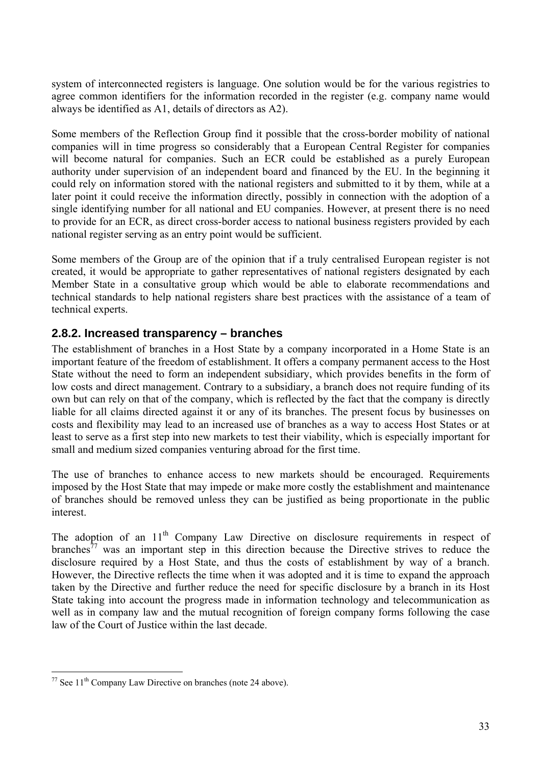system of interconnected registers is language. One solution would be for the various registries to agree common identifiers for the information recorded in the register (e.g. company name would always be identified as A1, details of directors as A2).

Some members of the Reflection Group find it possible that the cross-border mobility of national companies will in time progress so considerably that a European Central Register for companies will become natural for companies. Such an ECR could be established as a purely European authority under supervision of an independent board and financed by the EU. In the beginning it could rely on information stored with the national registers and submitted to it by them, while at a later point it could receive the information directly, possibly in connection with the adoption of a single identifying number for all national and EU companies. However, at present there is no need to provide for an ECR, as direct cross-border access to national business registers provided by each national register serving as an entry point would be sufficient.

Some members of the Group are of the opinion that if a truly centralised European register is not created, it would be appropriate to gather representatives of national registers designated by each Member State in a consultative group which would be able to elaborate recommendations and technical standards to help national registers share best practices with the assistance of a team of technical experts.

#### <span id="page-34-0"></span>**2.8.2. Increased transparency – branches**

The establishment of branches in a Host State by a company incorporated in a Home State is an important feature of the freedom of establishment. It offers a company permanent access to the Host State without the need to form an independent subsidiary, which provides benefits in the form of low costs and direct management. Contrary to a subsidiary, a branch does not require funding of its own but can rely on that of the company, which is reflected by the fact that the company is directly liable for all claims directed against it or any of its branches. The present focus by businesses on costs and flexibility may lead to an increased use of branches as a way to access Host States or at least to serve as a first step into new markets to test their viability, which is especially important for small and medium sized companies venturing abroad for the first time.

The use of branches to enhance access to new markets should be encouraged. Requirements imposed by the Host State that may impede or make more costly the establishment and maintenance of branches should be removed unless they can be justified as being proportionate in the public interest.

The adoption of an  $11<sup>th</sup>$  Company Law Directive on disclosure requirements in respect of branches<sup>77</sup> was an important step in this direction because the Directive strives to reduce the disclosure required by a Host State, and thus the costs of establishment by way of a branch. However, the Directive reflects the time when it was adopted and it is time to expand the approach taken by the Directive and further reduce the need for specific disclosure by a branch in its Host State taking into account the progress made in information technology and telecommunication as well as in company law and the mutual recognition of foreign company forms following the case law of the Court of Justice within the last decade.

 $\overline{a}$  $77$  See 11<sup>th</sup> Company Law Directive on branches (note 24 above).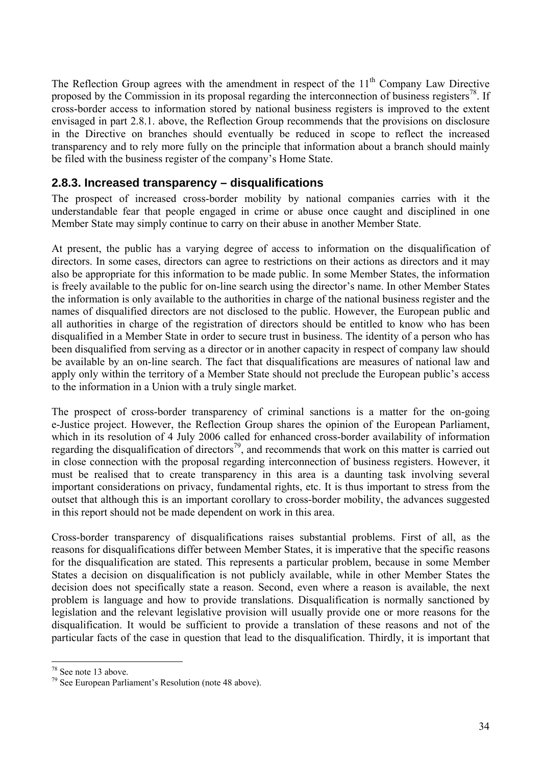The Reflection Group agrees with the amendment in respect of the  $11<sup>th</sup>$  Company Law Directive proposed by the Commission in its proposal regarding the interconnection of business registers<sup>78</sup>. If cross-border access to information stored by national business registers is improved to the extent envisaged in part 2.8.1. above, the Reflection Group recommends that the provisions on disclosure in the Directive on branches should eventually be reduced in scope to reflect the increased transparency and to rely more fully on the principle that information about a branch should mainly be filed with the business register of the company's Home State.

#### <span id="page-35-0"></span>**2.8.3. Increased transparency – disqualifications**

The prospect of increased cross-border mobility by national companies carries with it the understandable fear that people engaged in crime or abuse once caught and disciplined in one Member State may simply continue to carry on their abuse in another Member State.

At present, the public has a varying degree of access to information on the disqualification of directors. In some cases, directors can agree to restrictions on their actions as directors and it may also be appropriate for this information to be made public. In some Member States, the information is freely available to the public for on-line search using the director's name. In other Member States the information is only available to the authorities in charge of the national business register and the names of disqualified directors are not disclosed to the public. However, the European public and all authorities in charge of the registration of directors should be entitled to know who has been disqualified in a Member State in order to secure trust in business. The identity of a person who has been disqualified from serving as a director or in another capacity in respect of company law should be available by an on-line search. The fact that disqualifications are measures of national law and apply only within the territory of a Member State should not preclude the European public's access to the information in a Union with a truly single market.

The prospect of cross-border transparency of criminal sanctions is a matter for the on-going e-Justice project. However, the Reflection Group shares the opinion of the European Parliament, which in its resolution of 4 July 2006 called for enhanced cross-border availability of information regarding the disqualification of directors<sup>79</sup>, and recommends that work on this matter is carried out in close connection with the proposal regarding interconnection of business registers. However, it must be realised that to create transparency in this area is a daunting task involving several important considerations on privacy, fundamental rights, etc. It is thus important to stress from the outset that although this is an important corollary to cross-border mobility, the advances suggested in this report should not be made dependent on work in this area.

Cross-border transparency of disqualifications raises substantial problems. First of all, as the reasons for disqualifications differ between Member States, it is imperative that the specific reasons for the disqualification are stated. This represents a particular problem, because in some Member States a decision on disqualification is not publicly available, while in other Member States the decision does not specifically state a reason. Second, even where a reason is available, the next problem is language and how to provide translations. Disqualification is normally sanctioned by legislation and the relevant legislative provision will usually provide one or more reasons for the disqualification. It would be sufficient to provide a translation of these reasons and not of the particular facts of the case in question that lead to the disqualification. Thirdly, it is important that

<sup>78</sup> See note 13 above.

<sup>79</sup> See European Parliament's Resolution (note 48 above).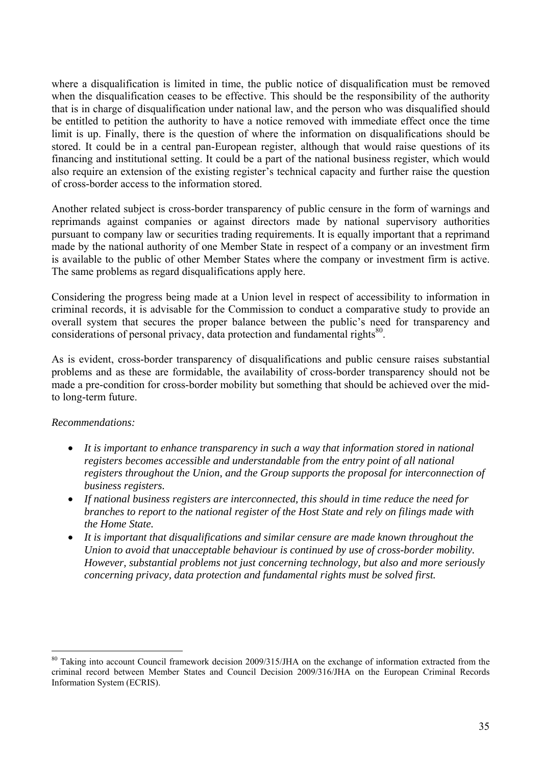where a disqualification is limited in time, the public notice of disqualification must be removed when the disqualification ceases to be effective. This should be the responsibility of the authority that is in charge of disqualification under national law, and the person who was disqualified should be entitled to petition the authority to have a notice removed with immediate effect once the time limit is up. Finally, there is the question of where the information on disqualifications should be stored. It could be in a central pan-European register, although that would raise questions of its financing and institutional setting. It could be a part of the national business register, which would also require an extension of the existing register's technical capacity and further raise the question of cross-border access to the information stored.

Another related subject is cross-border transparency of public censure in the form of warnings and reprimands against companies or against directors made by national supervisory authorities pursuant to company law or securities trading requirements. It is equally important that a reprimand made by the national authority of one Member State in respect of a company or an investment firm is available to the public of other Member States where the company or investment firm is active. The same problems as regard disqualifications apply here.

Considering the progress being made at a Union level in respect of accessibility to information in criminal records, it is advisable for the Commission to conduct a comparative study to provide an overall system that secures the proper balance between the public's need for transparency and considerations of personal privacy, data protection and fundamental rights<sup>80</sup>.

As is evident, cross-border transparency of disqualifications and public censure raises substantial problems and as these are formidable, the availability of cross-border transparency should not be made a pre-condition for cross-border mobility but something that should be achieved over the midto long-term future.

#### *Recommendations:*

- *It is important to enhance transparency in such a way that information stored in national registers becomes accessible and understandable from the entry point of all national registers throughout the Union, and the Group supports the proposal for interconnection of business registers.*
- *If national business registers are interconnected, this should in time reduce the need for branches to report to the national register of the Host State and rely on filings made with the Home State.*
- *It is important that disqualifications and similar censure are made known throughout the Union to avoid that unacceptable behaviour is continued by use of cross-border mobility. However, substantial problems not just concerning technology, but also and more seriously concerning privacy, data protection and fundamental rights must be solved first.*

<sup>&</sup>lt;sup>80</sup> Taking into account Council framework decision 2009/315/JHA on the exchange of information extracted from the criminal record between Member States and Council Decision 2009/316/JHA on the European Criminal Records Information System (ECRIS).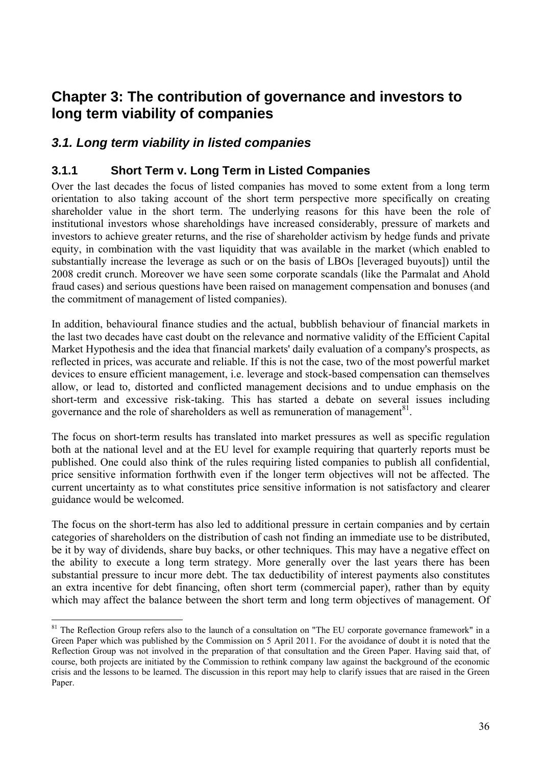# **Chapter 3: The contribution of governance and investors to long term viability of companies**

# *3.1. Long term viability in listed companies*

 $\overline{a}$ 

## **3.1.1 Short Term v. Long Term in Listed Companies**

Over the last decades the focus of listed companies has moved to some extent from a long term orientation to also taking account of the short term perspective more specifically on creating shareholder value in the short term. The underlying reasons for this have been the role of institutional investors whose shareholdings have increased considerably, pressure of markets and investors to achieve greater returns, and the rise of shareholder activism by hedge funds and private equity, in combination with the vast liquidity that was available in the market (which enabled to substantially increase the leverage as such or on the basis of LBOs [leveraged buyouts]) until the 2008 credit crunch. Moreover we have seen some corporate scandals (like the Parmalat and Ahold fraud cases) and serious questions have been raised on management compensation and bonuses (and the commitment of management of listed companies).

In addition, behavioural finance studies and the actual, bubblish behaviour of financial markets in the last two decades have cast doubt on the relevance and normative validity of the Efficient Capital Market Hypothesis and the idea that financial markets' daily evaluation of a company's prospects, as reflected in prices, was accurate and reliable. If this is not the case, two of the most powerful market devices to ensure efficient management, i.e. leverage and stock-based compensation can themselves allow, or lead to, distorted and conflicted management decisions and to undue emphasis on the short-term and excessive risk-taking. This has started a debate on several issues including governance and the role of shareholders as well as remuneration of management<sup>81</sup>.

The focus on short-term results has translated into market pressures as well as specific regulation both at the national level and at the EU level for example requiring that quarterly reports must be published. One could also think of the rules requiring listed companies to publish all confidential, price sensitive information forthwith even if the longer term objectives will not be affected. The current uncertainty as to what constitutes price sensitive information is not satisfactory and clearer guidance would be welcomed.

The focus on the short-term has also led to additional pressure in certain companies and by certain categories of shareholders on the distribution of cash not finding an immediate use to be distributed, be it by way of dividends, share buy backs, or other techniques. This may have a negative effect on the ability to execute a long term strategy. More generally over the last years there has been substantial pressure to incur more debt. The tax deductibility of interest payments also constitutes an extra incentive for debt financing, often short term (commercial paper), rather than by equity which may affect the balance between the short term and long term objectives of management. Of

<sup>&</sup>lt;sup>81</sup> The Reflection Group refers also to the launch of a consultation on "The EU corporate governance framework" in a Green Paper which was published by the Commission on 5 April 2011. For the avoidance of doubt it is noted that the Reflection Group was not involved in the preparation of that consultation and the Green Paper. Having said that, of course, both projects are initiated by the Commission to rethink company law against the background of the economic crisis and the lessons to be learned. The discussion in this report may help to clarify issues that are raised in the Green Paper.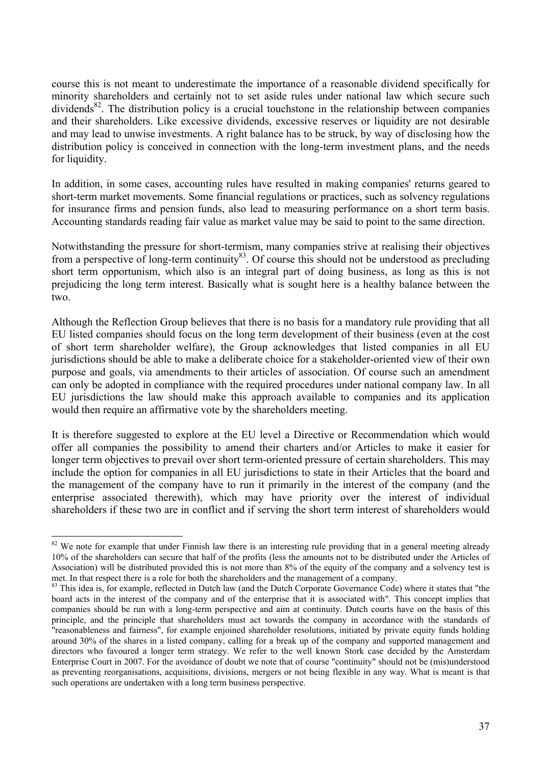course this is not meant to underestimate the importance of a reasonable dividend specifically for minority shareholders and certainly not to set aside rules under national law which secure such dividends<sup>82</sup>. The distribution policy is a crucial touchstone in the relationship between companies and their shareholders. Like excessive dividends, excessive reserves or liquidity are not desirable and may lead to unwise investments. A right balance has to be struck, by way of disclosing how the distribution policy is conceived in connection with the long-term investment plans, and the needs for liquidity.

In addition, in some cases, accounting rules have resulted in making companies' returns geared to short-term market movements. Some financial regulations or practices, such as solvency regulations for insurance firms and pension funds, also lead to measuring performance on a short term basis. Accounting standards reading fair value as market value may be said to point to the same direction.

Notwithstanding the pressure for short-termism, many companies strive at realising their objectives from a perspective of long-term continuity<sup>83</sup>. Of course this should not be understood as precluding short term opportunism, which also is an integral part of doing business, as long as this is not prejudicing the long term interest. Basically what is sought here is a healthy balance between the two.

Although the Reflection Group believes that there is no basis for a mandatory rule providing that all EU listed companies should focus on the long term development of their business (even at the cost of short term shareholder welfare), the Group acknowledges that listed companies in all EU jurisdictions should be able to make a deliberate choice for a stakeholder-oriented view of their own purpose and goals, via amendments to their articles of association. Of course such an amendment can only be adopted in compliance with the required procedures under national company law. In all EU jurisdictions the law should make this approach available to companies and its application would then require an affirmative vote by the shareholders meeting.

It is therefore suggested to explore at the EU level a Directive or Recommendation which would offer all companies the possibility to amend their charters and/or Articles to make it easier for longer term objectives to prevail over short term-oriented pressure of certain shareholders. This may include the option for companies in all EU jurisdictions to state in their Articles that the board and the management of the company have to run it primarily in the interest of the company (and the enterprise associated therewith), which may have priority over the interest of individual shareholders if these two are in conflict and if serving the short term interest of shareholders would

 $82$  We note for example that under Finnish law there is an interesting rule providing that in a general meeting already 10% of the shareholders can secure that half of the profits (less the amounts not to be distributed under the Articles of Association) will be distributed provided this is not more than 8% of the equity of the company and a solvency test is met. In that respect there is a role for both the shareholders and the management of a company.<br><sup>83</sup> This idea is, for example, reflected in Dutch law (and the Dutch Corporate Governance Code) where it states that "the

board acts in the interest of the company and of the enterprise that it is associated with". This concept implies that companies should be run with a long-term perspective and aim at continuity. Dutch courts have on the basis of this principle, and the principle that shareholders must act towards the company in accordance with the standards of "reasonableness and fairness", for example enjoined shareholder resolutions, initiated by private equity funds holding around 30% of the shares in a listed company, calling for a break up of the company and supported management and directors who favoured a longer term strategy. We refer to the well known Stork case decided by the Amsterdam Enterprise Court in 2007. For the avoidance of doubt we note that of course "continuity" should not be (mis)understood as preventing reorganisations, acquisitions, divisions, mergers or not being flexible in any way. What is meant is that such operations are undertaken with a long term business perspective.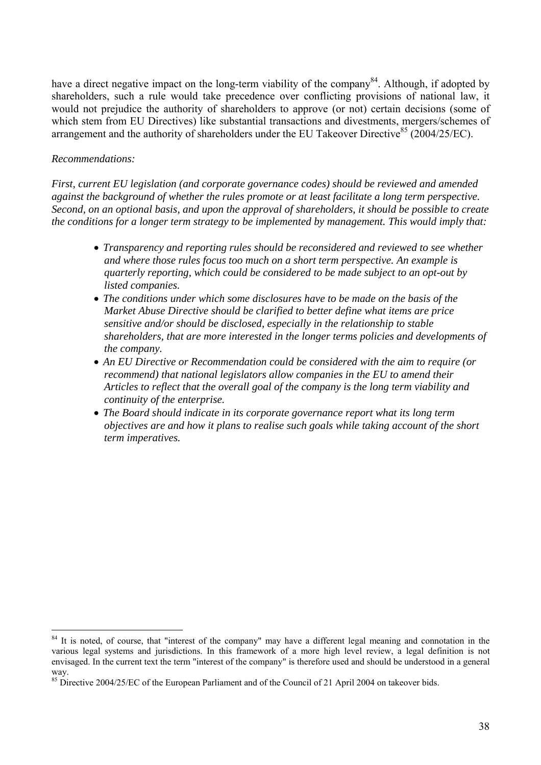have a direct negative impact on the long-term viability of the company<sup>84</sup>. Although, if adopted by shareholders, such a rule would take precedence over conflicting provisions of national law, it would not prejudice the authority of shareholders to approve (or not) certain decisions (some of which stem from EU Directives) like substantial transactions and divestments, mergers/schemes of arrangement and the authority of shareholders under the EU Takeover Directive<sup>85</sup> (2004/25/EC).

#### *Recommendations:*

*First, current EU legislation (and corporate governance codes) should be reviewed and amended against the background of whether the rules promote or at least facilitate a long term perspective. Second, on an optional basis, and upon the approval of shareholders, it should be possible to create the conditions for a longer term strategy to be implemented by management. This would imply that:* 

- *Transparency and reporting rules should be reconsidered and reviewed to see whether and where those rules focus too much on a short term perspective. An example is quarterly reporting, which could be considered to be made subject to an opt-out by listed companies.*
- *The conditions under which some disclosures have to be made on the basis of the Market Abuse Directive should be clarified to better define what items are price sensitive and/or should be disclosed, especially in the relationship to stable shareholders, that are more interested in the longer terms policies and developments of the company.*
- *An EU Directive or Recommendation could be considered with the aim to require (or recommend) that national legislators allow companies in the EU to amend their Articles to reflect that the overall goal of the company is the long term viability and continuity of the enterprise.*
- *The Board should indicate in its corporate governance report what its long term objectives are and how it plans to realise such goals while taking account of the short term imperatives.*

 $\overline{a}$ <sup>84</sup> It is noted, of course, that "interest of the company" may have a different legal meaning and connotation in the various legal systems and jurisdictions. In this framework of a more high level review, a legal definition is not envisaged. In the current text the term "interest of the company" is therefore used and should be understood in a general way.

<sup>&</sup>lt;sup>85</sup> Directive 2004/25/EC of the European Parliament and of the Council of 21 April 2004 on takeover bids.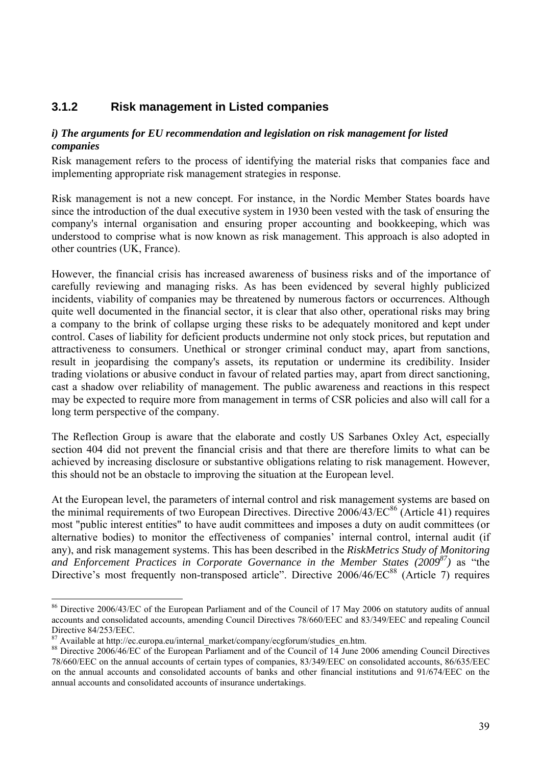## **3.1.2 Risk management in Listed companies**

#### *i) The arguments for EU recommendation and legislation on risk management for listed companies*

Risk management refers to the process of identifying the material risks that companies face and implementing appropriate risk management strategies in response.

Risk management is not a new concept. For instance, in the Nordic Member States boards have since the introduction of the dual executive system in 1930 been vested with the task of ensuring the company's internal organisation and ensuring proper accounting and bookkeeping, which was understood to comprise what is now known as risk management. This approach is also adopted in other countries (UK, France).

However, the financial crisis has increased awareness of business risks and of the importance of carefully reviewing and managing risks. As has been evidenced by several highly publicized incidents, viability of companies may be threatened by numerous factors or occurrences. Although quite well documented in the financial sector, it is clear that also other, operational risks may bring a company to the brink of collapse urging these risks to be adequately monitored and kept under control. Cases of liability for deficient products undermine not only stock prices, but reputation and attractiveness to consumers. Unethical or stronger criminal conduct may, apart from sanctions, result in jeopardising the company's assets, its reputation or undermine its credibility. Insider trading violations or abusive conduct in favour of related parties may, apart from direct sanctioning, cast a shadow over reliability of management. The public awareness and reactions in this respect may be expected to require more from management in terms of CSR policies and also will call for a long term perspective of the company.

The Reflection Group is aware that the elaborate and costly US Sarbanes Oxley Act, especially section 404 did not prevent the financial crisis and that there are therefore limits to what can be achieved by increasing disclosure or substantive obligations relating to risk management. However, this should not be an obstacle to improving the situation at the European level.

At the European level, the parameters of internal control and risk management systems are based on the minimal requirements of two European Directives. Directive  $2006/43/EC^{86}$  (Article 41) requires most "public interest entities" to have audit committees and imposes a duty on audit committees (or alternative bodies) to monitor the effectiveness of companies' internal control, internal audit (if any), and risk management systems. This has been described in the *RiskMetrics Study of Monitoring and Enforcement Practices in Corporate Governance in the Member States (2009<sup>87</sup>) as "the* Directive's most frequently non-transposed article". Directive 2006/46/EC<sup>88</sup> (Article 7) requires

<sup>&</sup>lt;sup>86</sup> Directive 2006/43/EC of the European Parliament and of the Council of 17 May 2006 on statutory audits of annual accounts and consolidated accounts, amending Council Directives 78/660/EEC and 83/349/EEC and repealing Council Directive 84/253/EEC.

<sup>&</sup>lt;sup>87</sup> Available at http://ec.europa.eu/internal\_market/company/ecgforum/studies\_en.htm.

<sup>&</sup>lt;sup>88</sup> Directive 2006/46/EC of the European Parliament and of the Council of  $14$  June 2006 amending Council Directives 78/660/EEC on the annual accounts of certain types of companies, 83/349/EEC on consolidated accounts, 86/635/EEC on the annual accounts and consolidated accounts of banks and other financial institutions and 91/674/EEC on the annual accounts and consolidated accounts of insurance undertakings.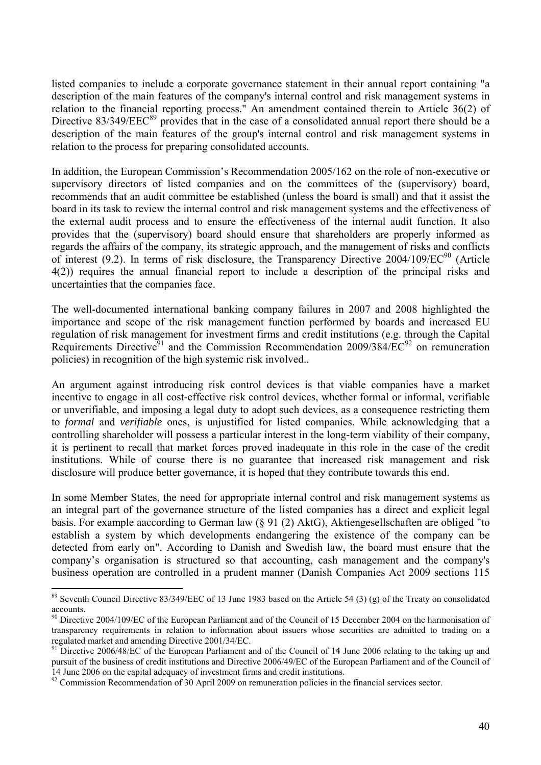listed companies to include a corporate governance statement in their annual report containing "a description of the main features of the company's internal control and risk management systems in relation to the financial reporting process." An amendment contained therein to Article 36(2) of Directive  $83/349/EEC^{89}$  provides that in the case of a consolidated annual report there should be a description of the main features of the group's internal control and risk management systems in relation to the process for preparing consolidated accounts.

In addition, the European Commission's Recommendation 2005/162 on the role of non-executive or supervisory directors of listed companies and on the committees of the (supervisory) board, recommends that an audit committee be established (unless the board is small) and that it assist the board in its task to review the internal control and risk management systems and the effectiveness of the external audit process and to ensure the effectiveness of the internal audit function. It also provides that the (supervisory) board should ensure that shareholders are properly informed as regards the affairs of the company, its strategic approach, and the management of risks and conflicts of interest (9.2). In terms of risk disclosure, the Transparency Directive  $2004/109/EC^{90}$  (Article 4(2)) requires the annual financial report to include a description of the principal risks and uncertainties that the companies face.

The well-documented international banking company failures in 2007 and 2008 highlighted the importance and scope of the risk management function performed by boards and increased EU regulation of risk management for investment firms and credit institutions (e.g. through the Capital Requirements Directive<sup>91</sup> and the Commission Recommendation 2009/384/EC<sup>92</sup> on remuneration policies) in recognition of the high systemic risk involved..

An argument against introducing risk control devices is that viable companies have a market incentive to engage in all cost-effective risk control devices, whether formal or informal, verifiable or unverifiable, and imposing a legal duty to adopt such devices, as a consequence restricting them to *formal* and *verifiable* ones, is unjustified for listed companies. While acknowledging that a controlling shareholder will possess a particular interest in the long-term viability of their company, it is pertinent to recall that market forces proved inadequate in this role in the case of the credit institutions. While of course there is no guarantee that increased risk management and risk disclosure will produce better governance, it is hoped that they contribute towards this end.

In some Member States, the need for appropriate internal control and risk management systems as an integral part of the governance structure of the listed companies has a direct and explicit legal basis. For example aaccording to German law (§ 91 (2) AktG), Aktiengesellschaften are obliged "to establish a system by which developments endangering the existence of the company can be detected from early on". According to Danish and Swedish law, the board must ensure that the company's organisation is structured so that accounting, cash management and the company's business operation are controlled in a prudent manner (Danish Companies Act 2009 sections 115

<sup>&</sup>lt;sup>89</sup> Seventh Council Directive 83/349/EEC of 13 June 1983 based on the Article 54 (3) (g) of the Treaty on consolidated accounts.

<sup>&</sup>lt;sup>90</sup> Directive 2004/109/EC of the European Parliament and of the Council of 15 December 2004 on the harmonisation of transparency requirements in relation to information about issuers whose securities are admitted to trading on a regulated market and amending Directive 2001/34/EC.

<sup>&</sup>lt;sup>91</sup> Directive 2006/48/EC of the European Parliament and of the Council of 14 June 2006 relating to the taking up and pursuit of the business of credit institutions and Directive 2006/49/EC of the European Parliament and of the Council of 14 June 2006 on the capital adequacy of investment firms and credit institutions.

 $92$  Commission Recommendation of 30 April 2009 on remuneration policies in the financial services sector.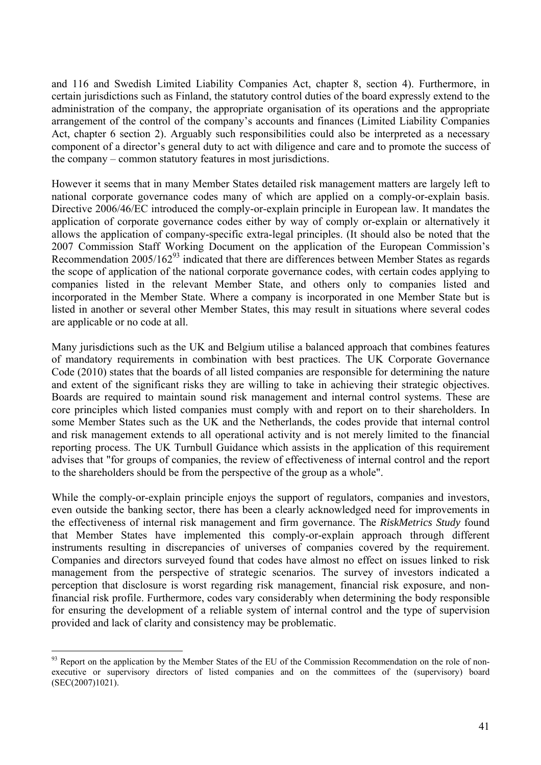and 116 and Swedish Limited Liability Companies Act, chapter 8, section 4). Furthermore, in certain jurisdictions such as Finland, the statutory control duties of the board expressly extend to the administration of the company, the appropriate organisation of its operations and the appropriate arrangement of the control of the company's accounts and finances (Limited Liability Companies Act, chapter 6 section 2). Arguably such responsibilities could also be interpreted as a necessary component of a director's general duty to act with diligence and care and to promote the success of the company – common statutory features in most jurisdictions.

However it seems that in many Member States detailed risk management matters are largely left to national corporate governance codes many of which are applied on a comply-or-explain basis. Directive 2006/46/EC introduced the comply-or-explain principle in European law. It mandates the application of corporate governance codes either by way of comply or-explain or alternatively it allows the application of company-specific extra-legal principles. (It should also be noted that the 2007 Commission Staff Working Document on the application of the European Commission's Recommendation  $2005/162^{93}$  indicated that there are differences between Member States as regards the scope of application of the national corporate governance codes, with certain codes applying to companies listed in the relevant Member State, and others only to companies listed and incorporated in the Member State. Where a company is incorporated in one Member State but is listed in another or several other Member States, this may result in situations where several codes are applicable or no code at all.

Many jurisdictions such as the UK and Belgium utilise a balanced approach that combines features of mandatory requirements in combination with best practices. The UK Corporate Governance Code (2010) states that the boards of all listed companies are responsible for determining the nature and extent of the significant risks they are willing to take in achieving their strategic objectives. Boards are required to maintain sound risk management and internal control systems. These are core principles which listed companies must comply with and report on to their shareholders. In some Member States such as the UK and the Netherlands, the codes provide that internal control and risk management extends to all operational activity and is not merely limited to the financial reporting process. The UK Turnbull Guidance which assists in the application of this requirement advises that "for groups of companies, the review of effectiveness of internal control and the report to the shareholders should be from the perspective of the group as a whole".

While the comply-or-explain principle enjoys the support of regulators, companies and investors, even outside the banking sector, there has been a clearly acknowledged need for improvements in the effectiveness of internal risk management and firm governance. The *RiskMetrics Study* found that Member States have implemented this comply-or-explain approach through different instruments resulting in discrepancies of universes of companies covered by the requirement. Companies and directors surveyed found that codes have almost no effect on issues linked to risk management from the perspective of strategic scenarios. The survey of investors indicated a perception that disclosure is worst regarding risk management, financial risk exposure, and nonfinancial risk profile. Furthermore, codes vary considerably when determining the body responsible for ensuring the development of a reliable system of internal control and the type of supervision provided and lack of clarity and consistency may be problematic.

 $93$  Report on the application by the Member States of the EU of the Commission Recommendation on the role of nonexecutive or supervisory directors of listed companies and on the committees of the (supervisory) board (SEC(2007)1021).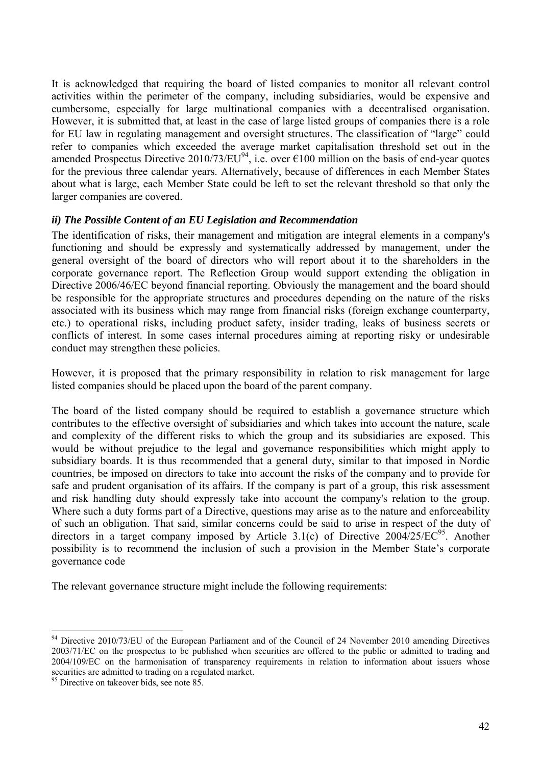It is acknowledged that requiring the board of listed companies to monitor all relevant control activities within the perimeter of the company, including subsidiaries, would be expensive and cumbersome, especially for large multinational companies with a decentralised organisation. However, it is submitted that, at least in the case of large listed groups of companies there is a role for EU law in regulating management and oversight structures. The classification of "large" could refer to companies which exceeded the average market capitalisation threshold set out in the amended Prospectus Directive 2010/73/EU<sup>94</sup>, i.e. over  $\epsilon$ 100 million on the basis of end-year quotes for the previous three calendar years. Alternatively, because of differences in each Member States about what is large, each Member State could be left to set the relevant threshold so that only the larger companies are covered.

#### *ii) The Possible Content of an EU Legislation and Recommendation*

The identification of risks, their management and mitigation are integral elements in a company's functioning and should be expressly and systematically addressed by management, under the general oversight of the board of directors who will report about it to the shareholders in the corporate governance report. The Reflection Group would support extending the obligation in Directive 2006/46/EC beyond financial reporting. Obviously the management and the board should be responsible for the appropriate structures and procedures depending on the nature of the risks associated with its business which may range from financial risks (foreign exchange counterparty, etc.) to operational risks, including product safety, insider trading, leaks of business secrets or conflicts of interest. In some cases internal procedures aiming at reporting risky or undesirable conduct may strengthen these policies.

However, it is proposed that the primary responsibility in relation to risk management for large listed companies should be placed upon the board of the parent company.

The board of the listed company should be required to establish a governance structure which contributes to the effective oversight of subsidiaries and which takes into account the nature, scale and complexity of the different risks to which the group and its subsidiaries are exposed. This would be without prejudice to the legal and governance responsibilities which might apply to subsidiary boards. It is thus recommended that a general duty, similar to that imposed in Nordic countries, be imposed on directors to take into account the risks of the company and to provide for safe and prudent organisation of its affairs. If the company is part of a group, this risk assessment and risk handling duty should expressly take into account the company's relation to the group. Where such a duty forms part of a Directive, questions may arise as to the nature and enforceability of such an obligation. That said, similar concerns could be said to arise in respect of the duty of directors in a target company imposed by Article 3.1(c) of Directive  $2004/25/EC^{95}$ . Another possibility is to recommend the inclusion of such a provision in the Member State's corporate governance code

The relevant governance structure might include the following requirements:

 $\overline{a}$ <sup>94</sup> Directive 2010/73/EU of the European Parliament and of the Council of 24 November 2010 amending Directives 2003/71/EC on the prospectus to be published when securities are offered to the public or admitted to trading and 2004/109/EC on the harmonisation of transparency requirements in relation to information about issuers whose securities are admitted to trading on a regulated market.

<sup>&</sup>lt;sup>95</sup> Directive on takeover bids, see note 85.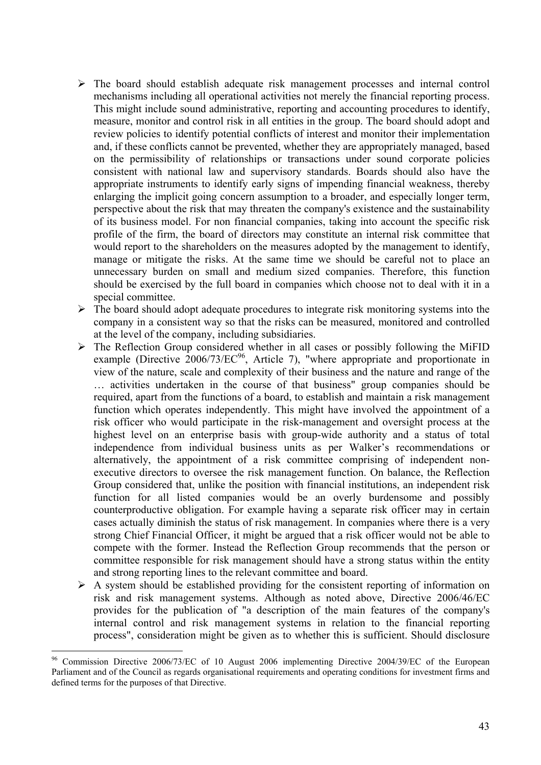- ¾ The board should establish adequate risk management processes and internal control mechanisms including all operational activities not merely the financial reporting process. This might include sound administrative, reporting and accounting procedures to identify, measure, monitor and control risk in all entities in the group. The board should adopt and review policies to identify potential conflicts of interest and monitor their implementation and, if these conflicts cannot be prevented, whether they are appropriately managed, based on the permissibility of relationships or transactions under sound corporate policies consistent with national law and supervisory standards. Boards should also have the appropriate instruments to identify early signs of impending financial weakness, thereby enlarging the implicit going concern assumption to a broader, and especially longer term, perspective about the risk that may threaten the company's existence and the sustainability of its business model. For non financial companies, taking into account the specific risk profile of the firm, the board of directors may constitute an internal risk committee that would report to the shareholders on the measures adopted by the management to identify, manage or mitigate the risks. At the same time we should be careful not to place an unnecessary burden on small and medium sized companies. Therefore, this function should be exercised by the full board in companies which choose not to deal with it in a special committee.
- $\triangleright$  The board should adopt adequate procedures to integrate risk monitoring systems into the company in a consistent way so that the risks can be measured, monitored and controlled at the level of the company, including subsidiaries.
- $\triangleright$  The Reflection Group considered whether in all cases or possibly following the MiFID example (Directive  $2006/73/EC^{96}$ , Article 7), "where appropriate and proportionate in view of the nature, scale and complexity of their business and the nature and range of the … activities undertaken in the course of that business" group companies should be required, apart from the functions of a board, to establish and maintain a risk management function which operates independently. This might have involved the appointment of a risk officer who would participate in the risk-management and oversight process at the highest level on an enterprise basis with group-wide authority and a status of total independence from individual business units as per Walker's recommendations or alternatively, the appointment of a risk committee comprising of independent nonexecutive directors to oversee the risk management function. On balance, the Reflection Group considered that, unlike the position with financial institutions, an independent risk function for all listed companies would be an overly burdensome and possibly counterproductive obligation. For example having a separate risk officer may in certain cases actually diminish the status of risk management. In companies where there is a very strong Chief Financial Officer, it might be argued that a risk officer would not be able to compete with the former. Instead the Reflection Group recommends that the person or committee responsible for risk management should have a strong status within the entity and strong reporting lines to the relevant committee and board.
- $\triangleright$  A system should be established providing for the consistent reporting of information on risk and risk management systems. Although as noted above, Directive 2006/46/EC provides for the publication of "a description of the main features of the company's internal control and risk management systems in relation to the financial reporting process", consideration might be given as to whether this is sufficient. Should disclosure

<sup>96</sup> 96 Commission Directive 2006/73/EC of 10 August 2006 implementing Directive 2004/39/EC of the European Parliament and of the Council as regards organisational requirements and operating conditions for investment firms and defined terms for the purposes of that Directive.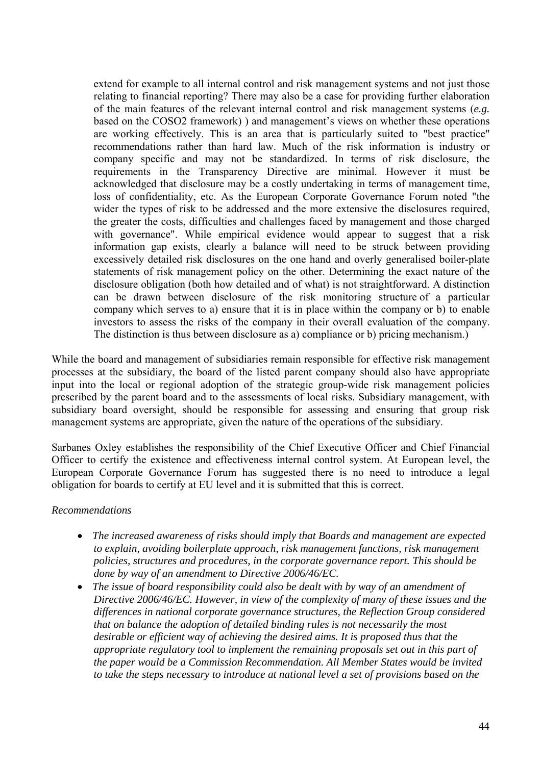extend for example to all internal control and risk management systems and not just those relating to financial reporting? There may also be a case for providing further elaboration of the main features of the relevant internal control and risk management systems (*e.g.* based on the COSO2 framework) ) and management's views on whether these operations are working effectively. This is an area that is particularly suited to "best practice" recommendations rather than hard law. Much of the risk information is industry or company specific and may not be standardized. In terms of risk disclosure, the requirements in the Transparency Directive are minimal. However it must be acknowledged that disclosure may be a costly undertaking in terms of management time, loss of confidentiality, etc. As the European Corporate Governance Forum noted "the wider the types of risk to be addressed and the more extensive the disclosures required, the greater the costs, difficulties and challenges faced by management and those charged with governance". While empirical evidence would appear to suggest that a risk information gap exists, clearly a balance will need to be struck between providing excessively detailed risk disclosures on the one hand and overly generalised boiler-plate statements of risk management policy on the other. Determining the exact nature of the disclosure obligation (both how detailed and of what) is not straightforward. A distinction can be drawn between disclosure of the risk monitoring structure of a particular company which serves to a) ensure that it is in place within the company or b) to enable investors to assess the risks of the company in their overall evaluation of the company. The distinction is thus between disclosure as a) compliance or b) pricing mechanism.)

While the board and management of subsidiaries remain responsible for effective risk management processes at the subsidiary, the board of the listed parent company should also have appropriate input into the local or regional adoption of the strategic group-wide risk management policies prescribed by the parent board and to the assessments of local risks. Subsidiary management, with subsidiary board oversight, should be responsible for assessing and ensuring that group risk management systems are appropriate, given the nature of the operations of the subsidiary.

Sarbanes Oxley establishes the responsibility of the Chief Executive Officer and Chief Financial Officer to certify the existence and effectiveness internal control system. At European level, the European Corporate Governance Forum has suggested there is no need to introduce a legal obligation for boards to certify at EU level and it is submitted that this is correct.

#### *Recommendations*

- *The increased awareness of risks should imply that Boards and management are expected to explain, avoiding boilerplate approach, risk management functions, risk management policies, structures and procedures, in the corporate governance report. This should be done by way of an amendment to Directive 2006/46/EC.*
- *The issue of board responsibility could also be dealt with by way of an amendment of Directive 2006/46/EC. However, in view of the complexity of many of these issues and the differences in national corporate governance structures, the Reflection Group considered that on balance the adoption of detailed binding rules is not necessarily the most desirable or efficient way of achieving the desired aims. It is proposed thus that the appropriate regulatory tool to implement the remaining proposals set out in this part of the paper would be a Commission Recommendation. All Member States would be invited to take the steps necessary to introduce at national level a set of provisions based on the*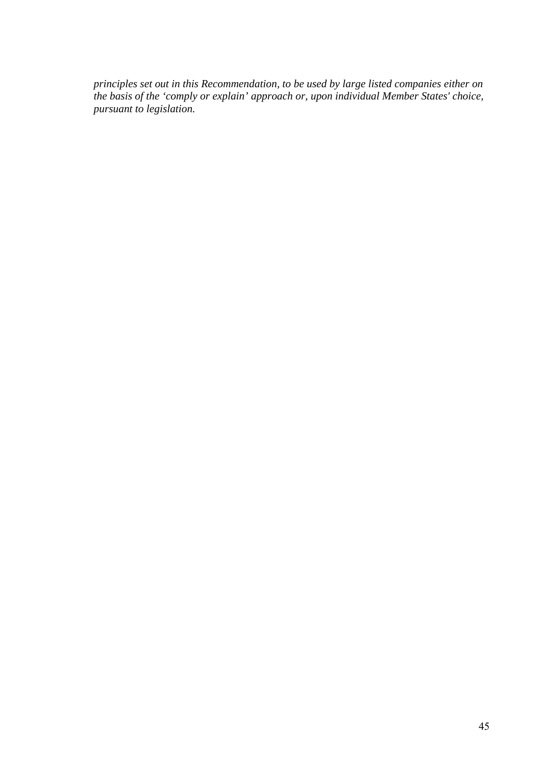*principles set out in this Recommendation, to be used by large listed companies either on the basis of the 'comply or explain' approach or, upon individual Member States' choice, pursuant to legislation.*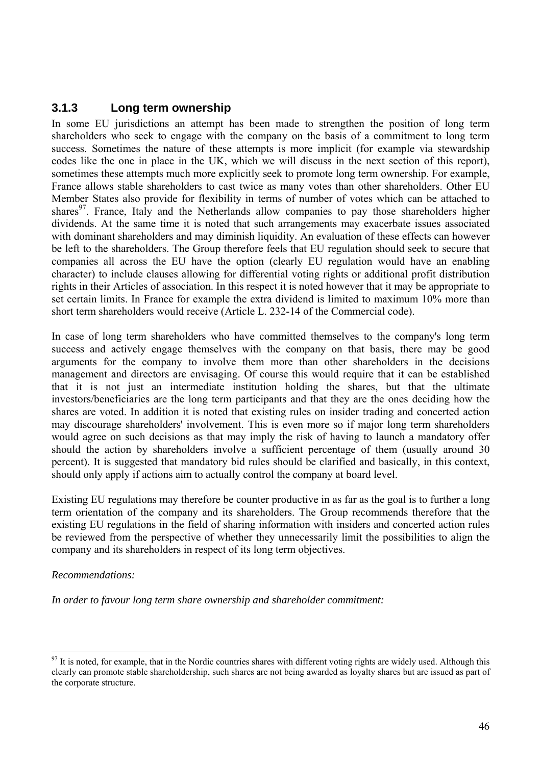## **3.1.3 Long term ownership**

In some EU jurisdictions an attempt has been made to strengthen the position of long term shareholders who seek to engage with the company on the basis of a commitment to long term success. Sometimes the nature of these attempts is more implicit (for example via stewardship codes like the one in place in the UK, which we will discuss in the next section of this report), sometimes these attempts much more explicitly seek to promote long term ownership. For example, France allows stable shareholders to cast twice as many votes than other shareholders. Other EU Member States also provide for flexibility in terms of number of votes which can be attached to shares $97$ . France, Italy and the Netherlands allow companies to pay those shareholders higher dividends. At the same time it is noted that such arrangements may exacerbate issues associated with dominant shareholders and may diminish liquidity. An evaluation of these effects can however be left to the shareholders. The Group therefore feels that EU regulation should seek to secure that companies all across the EU have the option (clearly EU regulation would have an enabling character) to include clauses allowing for differential voting rights or additional profit distribution rights in their Articles of association. In this respect it is noted however that it may be appropriate to set certain limits. In France for example the extra dividend is limited to maximum 10% more than short term shareholders would receive (Article L. 232-14 of the Commercial code).

In case of long term shareholders who have committed themselves to the company's long term success and actively engage themselves with the company on that basis, there may be good arguments for the company to involve them more than other shareholders in the decisions management and directors are envisaging. Of course this would require that it can be established that it is not just an intermediate institution holding the shares, but that the ultimate investors/beneficiaries are the long term participants and that they are the ones deciding how the shares are voted. In addition it is noted that existing rules on insider trading and concerted action may discourage shareholders' involvement. This is even more so if major long term shareholders would agree on such decisions as that may imply the risk of having to launch a mandatory offer should the action by shareholders involve a sufficient percentage of them (usually around 30 percent). It is suggested that mandatory bid rules should be clarified and basically, in this context, should only apply if actions aim to actually control the company at board level.

Existing EU regulations may therefore be counter productive in as far as the goal is to further a long term orientation of the company and its shareholders. The Group recommends therefore that the existing EU regulations in the field of sharing information with insiders and concerted action rules be reviewed from the perspective of whether they unnecessarily limit the possibilities to align the company and its shareholders in respect of its long term objectives.

#### *Recommendations:*

 $\overline{a}$ 

*In order to favour long term share ownership and shareholder commitment:* 

 $97$  It is noted, for example, that in the Nordic countries shares with different voting rights are widely used. Although this clearly can promote stable shareholdership, such shares are not being awarded as loyalty shares but are issued as part of the corporate structure.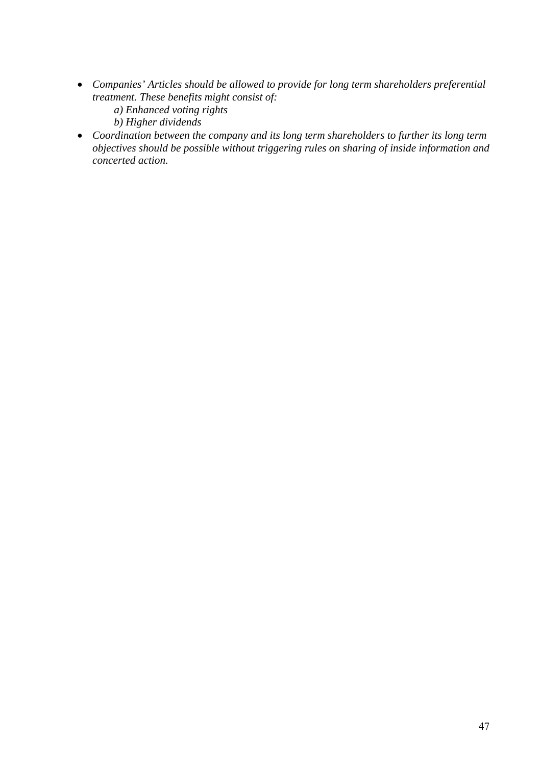- *Companies' Articles should be allowed to provide for long term shareholders preferential treatment. These benefits might consist of:* 
	- *a) Enhanced voting rights*
	- *b) Higher dividends*
- *Coordination between the company and its long term shareholders to further its long term objectives should be possible without triggering rules on sharing of inside information and concerted action.*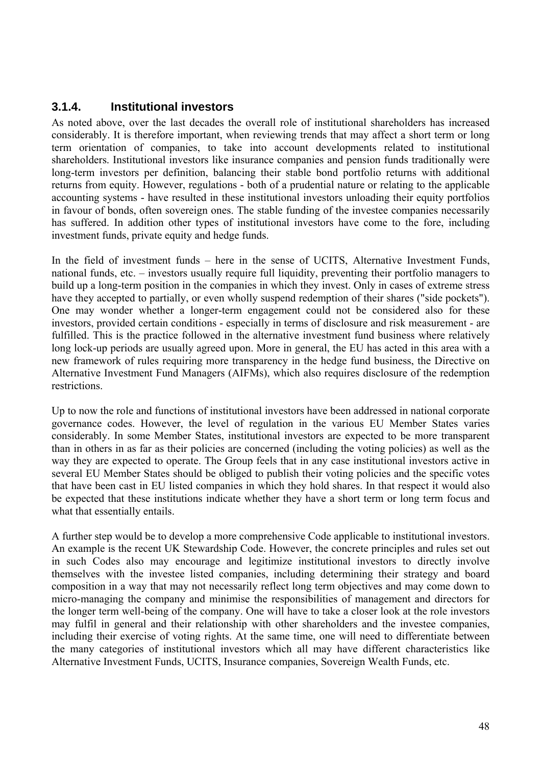## **3.1.4. Institutional investors**

As noted above, over the last decades the overall role of institutional shareholders has increased considerably. It is therefore important, when reviewing trends that may affect a short term or long term orientation of companies, to take into account developments related to institutional shareholders. Institutional investors like insurance companies and pension funds traditionally were long-term investors per definition, balancing their stable bond portfolio returns with additional returns from equity. However, regulations - both of a prudential nature or relating to the applicable accounting systems - have resulted in these institutional investors unloading their equity portfolios in favour of bonds, often sovereign ones. The stable funding of the investee companies necessarily has suffered. In addition other types of institutional investors have come to the fore, including investment funds, private equity and hedge funds.

In the field of investment funds – here in the sense of UCITS, Alternative Investment Funds, national funds, etc. – investors usually require full liquidity, preventing their portfolio managers to build up a long-term position in the companies in which they invest. Only in cases of extreme stress have they accepted to partially, or even wholly suspend redemption of their shares ("side pockets"). One may wonder whether a longer-term engagement could not be considered also for these investors, provided certain conditions - especially in terms of disclosure and risk measurement - are fulfilled. This is the practice followed in the alternative investment fund business where relatively long lock-up periods are usually agreed upon. More in general, the EU has acted in this area with a new framework of rules requiring more transparency in the hedge fund business, the Directive on Alternative Investment Fund Managers (AIFMs), which also requires disclosure of the redemption restrictions.

Up to now the role and functions of institutional investors have been addressed in national corporate governance codes. However, the level of regulation in the various EU Member States varies considerably. In some Member States, institutional investors are expected to be more transparent than in others in as far as their policies are concerned (including the voting policies) as well as the way they are expected to operate. The Group feels that in any case institutional investors active in several EU Member States should be obliged to publish their voting policies and the specific votes that have been cast in EU listed companies in which they hold shares. In that respect it would also be expected that these institutions indicate whether they have a short term or long term focus and what that essentially entails.

A further step would be to develop a more comprehensive Code applicable to institutional investors. An example is the recent UK Stewardship Code. However, the concrete principles and rules set out in such Codes also may encourage and legitimize institutional investors to directly involve themselves with the investee listed companies, including determining their strategy and board composition in a way that may not necessarily reflect long term objectives and may come down to micro-managing the company and minimise the responsibilities of management and directors for the longer term well-being of the company. One will have to take a closer look at the role investors may fulfil in general and their relationship with other shareholders and the investee companies, including their exercise of voting rights. At the same time, one will need to differentiate between the many categories of institutional investors which all may have different characteristics like Alternative Investment Funds, UCITS, Insurance companies, Sovereign Wealth Funds, etc.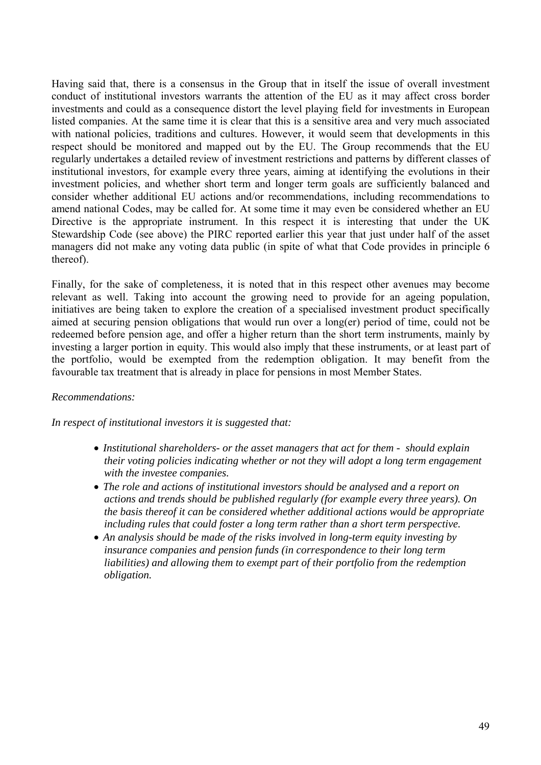Having said that, there is a consensus in the Group that in itself the issue of overall investment conduct of institutional investors warrants the attention of the EU as it may affect cross border investments and could as a consequence distort the level playing field for investments in European listed companies. At the same time it is clear that this is a sensitive area and very much associated with national policies, traditions and cultures. However, it would seem that developments in this respect should be monitored and mapped out by the EU. The Group recommends that the EU regularly undertakes a detailed review of investment restrictions and patterns by different classes of institutional investors, for example every three years, aiming at identifying the evolutions in their investment policies, and whether short term and longer term goals are sufficiently balanced and consider whether additional EU actions and/or recommendations, including recommendations to amend national Codes, may be called for. At some time it may even be considered whether an EU Directive is the appropriate instrument. In this respect it is interesting that under the UK Stewardship Code (see above) the PIRC reported earlier this year that just under half of the asset managers did not make any voting data public (in spite of what that Code provides in principle 6 thereof).

Finally, for the sake of completeness, it is noted that in this respect other avenues may become relevant as well. Taking into account the growing need to provide for an ageing population, initiatives are being taken to explore the creation of a specialised investment product specifically aimed at securing pension obligations that would run over a long(er) period of time, could not be redeemed before pension age, and offer a higher return than the short term instruments, mainly by investing a larger portion in equity. This would also imply that these instruments, or at least part of the portfolio, would be exempted from the redemption obligation. It may benefit from the favourable tax treatment that is already in place for pensions in most Member States.

#### *Recommendations:*

*In respect of institutional investors it is suggested that:* 

- *Institutional shareholders- or the asset managers that act for them should explain their voting policies indicating whether or not they will adopt a long term engagement with the investee companies.*
- *The role and actions of institutional investors should be analysed and a report on actions and trends should be published regularly (for example every three years). On the basis thereof it can be considered whether additional actions would be appropriate including rules that could foster a long term rather than a short term perspective.*
- An analysis should be made of the risks involved in long-term equity investing by *insurance companies and pension funds (in correspondence to their long term liabilities) and allowing them to exempt part of their portfolio from the redemption obligation.*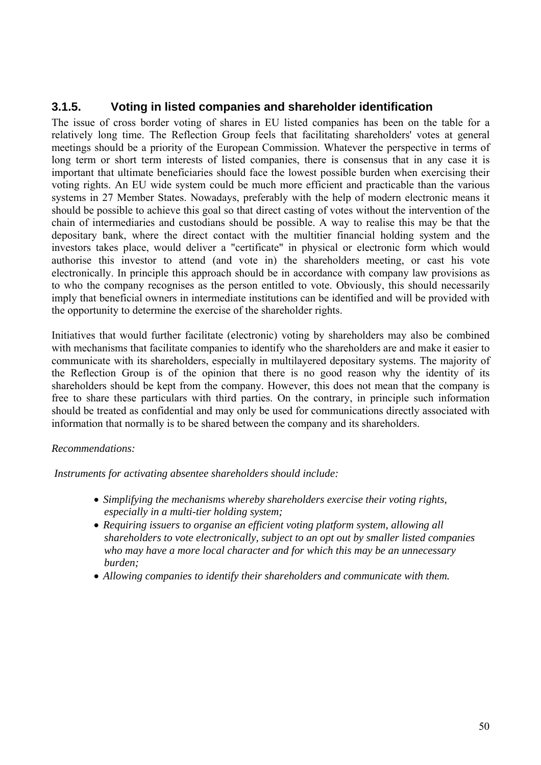## **3.1.5. Voting in listed companies and shareholder identification**

The issue of cross border voting of shares in EU listed companies has been on the table for a relatively long time. The Reflection Group feels that facilitating shareholders' votes at general meetings should be a priority of the European Commission. Whatever the perspective in terms of long term or short term interests of listed companies, there is consensus that in any case it is important that ultimate beneficiaries should face the lowest possible burden when exercising their voting rights. An EU wide system could be much more efficient and practicable than the various systems in 27 Member States. Nowadays, preferably with the help of modern electronic means it should be possible to achieve this goal so that direct casting of votes without the intervention of the chain of intermediaries and custodians should be possible. A way to realise this may be that the depositary bank, where the direct contact with the multitier financial holding system and the investors takes place, would deliver a "certificate" in physical or electronic form which would authorise this investor to attend (and vote in) the shareholders meeting, or cast his vote electronically. In principle this approach should be in accordance with company law provisions as to who the company recognises as the person entitled to vote. Obviously, this should necessarily imply that beneficial owners in intermediate institutions can be identified and will be provided with the opportunity to determine the exercise of the shareholder rights.

Initiatives that would further facilitate (electronic) voting by shareholders may also be combined with mechanisms that facilitate companies to identify who the shareholders are and make it easier to communicate with its shareholders, especially in multilayered depositary systems. The majority of the Reflection Group is of the opinion that there is no good reason why the identity of its shareholders should be kept from the company. However, this does not mean that the company is free to share these particulars with third parties. On the contrary, in principle such information should be treated as confidential and may only be used for communications directly associated with information that normally is to be shared between the company and its shareholders.

#### *Recommendations:*

 *Instruments for activating absentee shareholders should include:* 

- *Simplifying the mechanisms whereby shareholders exercise their voting rights, especially in a multi-tier holding system;*
- *Requiring issuers to organise an efficient voting platform system, allowing all shareholders to vote electronically, subject to an opt out by smaller listed companies who may have a more local character and for which this may be an unnecessary burden;*
- *Allowing companies to identify their shareholders and communicate with them.*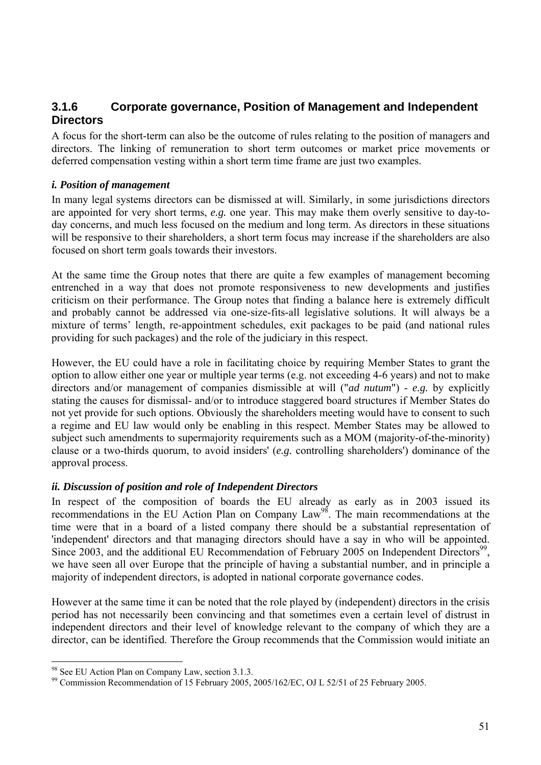## **3.1.6 Corporate governance, Position of Management and Independent Directors**

A focus for the short-term can also be the outcome of rules relating to the position of managers and directors. The linking of remuneration to short term outcomes or market price movements or deferred compensation vesting within a short term time frame are just two examples.

#### *i. Position of management*

In many legal systems directors can be dismissed at will. Similarly, in some jurisdictions directors are appointed for very short terms, *e.g.* one year. This may make them overly sensitive to day-today concerns, and much less focused on the medium and long term. As directors in these situations will be responsive to their shareholders, a short term focus may increase if the shareholders are also focused on short term goals towards their investors.

At the same time the Group notes that there are quite a few examples of management becoming entrenched in a way that does not promote responsiveness to new developments and justifies criticism on their performance. The Group notes that finding a balance here is extremely difficult and probably cannot be addressed via one-size-fits-all legislative solutions. It will always be a mixture of terms' length, re-appointment schedules, exit packages to be paid (and national rules providing for such packages) and the role of the judiciary in this respect.

However, the EU could have a role in facilitating choice by requiring Member States to grant the option to allow either one year or multiple year terms (e.g. not exceeding 4-6 years) and not to make directors and/or management of companies dismissible at will ("*ad nutum*") - *e.g.* by explicitly stating the causes for dismissal- and/or to introduce staggered board structures if Member States do not yet provide for such options. Obviously the shareholders meeting would have to consent to such a regime and EU law would only be enabling in this respect. Member States may be allowed to subject such amendments to supermajority requirements such as a MOM (majority-of-the-minority) clause or a two-thirds quorum, to avoid insiders' (*e.g.* controlling shareholders') dominance of the approval process.

#### *ii. Discussion of position and role of Independent Directors*

In respect of the composition of boards the EU already as early as in 2003 issued its recommendations in the EU Action Plan on Company Law98. The main recommendations at the time were that in a board of a listed company there should be a substantial representation of 'independent' directors and that managing directors should have a say in who will be appointed. Since 2003, and the additional EU Recommendation of February 2005 on Independent Directors<sup>99</sup>. we have seen all over Europe that the principle of having a substantial number, and in principle a majority of independent directors, is adopted in national corporate governance codes.

However at the same time it can be noted that the role played by (independent) directors in the crisis period has not necessarily been convincing and that sometimes even a certain level of distrust in independent directors and their level of knowledge relevant to the company of which they are a director, can be identified. Therefore the Group recommends that the Commission would initiate an

<sup>&</sup>lt;sup>98</sup> See EU Action Plan on Company Law, section 3.1.3.

<sup>99</sup> Commission Recommendation of 15 February 2005, 2005/162/EC, OJ L 52/51 of 25 February 2005.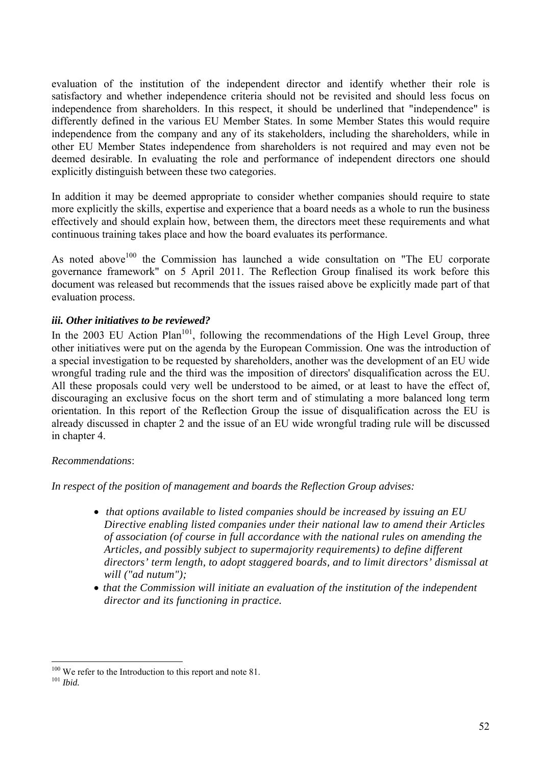evaluation of the institution of the independent director and identify whether their role is satisfactory and whether independence criteria should not be revisited and should less focus on independence from shareholders. In this respect, it should be underlined that "independence" is differently defined in the various EU Member States. In some Member States this would require independence from the company and any of its stakeholders, including the shareholders, while in other EU Member States independence from shareholders is not required and may even not be deemed desirable. In evaluating the role and performance of independent directors one should explicitly distinguish between these two categories.

In addition it may be deemed appropriate to consider whether companies should require to state more explicitly the skills, expertise and experience that a board needs as a whole to run the business effectively and should explain how, between them, the directors meet these requirements and what continuous training takes place and how the board evaluates its performance.

As noted above<sup>100</sup> the Commission has launched a wide consultation on "The EU corporate governance framework" on 5 April 2011. The Reflection Group finalised its work before this document was released but recommends that the issues raised above be explicitly made part of that evaluation process.

### *iii. Other initiatives to be reviewed?*

In the 2003 EU Action Plan<sup>101</sup>, following the recommendations of the High Level Group, three other initiatives were put on the agenda by the European Commission. One was the introduction of a special investigation to be requested by shareholders, another was the development of an EU wide wrongful trading rule and the third was the imposition of directors' disqualification across the EU. All these proposals could very well be understood to be aimed, or at least to have the effect of, discouraging an exclusive focus on the short term and of stimulating a more balanced long term orientation. In this report of the Reflection Group the issue of disqualification across the EU is already discussed in chapter 2 and the issue of an EU wide wrongful trading rule will be discussed in chapter 4.

#### *Recommendations*:

*In respect of the position of management and boards the Reflection Group advises:* 

- • *that options available to listed companies should be increased by issuing an EU Directive enabling listed companies under their national law to amend their Articles of association (of course in full accordance with the national rules on amending the Articles, and possibly subject to supermajority requirements) to define different directors' term length, to adopt staggered boards, and to limit directors' dismissal at will ("ad nutum");*
- *that the Commission will initiate an evaluation of the institution of the independent director and its functioning in practice.*

 $\overline{a}$ <sup>100</sup> We refer to the Introduction to this report and note 81.<br><sup>101</sup> *Ibid.*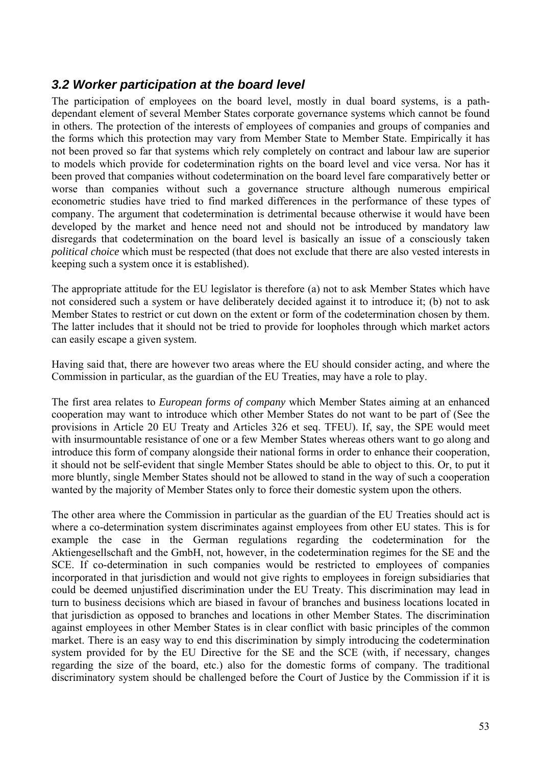## *3.2 Worker participation at the board level*

The participation of employees on the board level, mostly in dual board systems, is a pathdependant element of several Member States corporate governance systems which cannot be found in others. The protection of the interests of employees of companies and groups of companies and the forms which this protection may vary from Member State to Member State. Empirically it has not been proved so far that systems which rely completely on contract and labour law are superior to models which provide for codetermination rights on the board level and vice versa. Nor has it been proved that companies without codetermination on the board level fare comparatively better or worse than companies without such a governance structure although numerous empirical econometric studies have tried to find marked differences in the performance of these types of company. The argument that codetermination is detrimental because otherwise it would have been developed by the market and hence need not and should not be introduced by mandatory law disregards that codetermination on the board level is basically an issue of a consciously taken *political choice* which must be respected (that does not exclude that there are also vested interests in keeping such a system once it is established).

The appropriate attitude for the EU legislator is therefore (a) not to ask Member States which have not considered such a system or have deliberately decided against it to introduce it; (b) not to ask Member States to restrict or cut down on the extent or form of the codetermination chosen by them. The latter includes that it should not be tried to provide for loopholes through which market actors can easily escape a given system.

Having said that, there are however two areas where the EU should consider acting, and where the Commission in particular, as the guardian of the EU Treaties, may have a role to play.

The first area relates to *European forms of company* which Member States aiming at an enhanced cooperation may want to introduce which other Member States do not want to be part of (See the provisions in Article 20 EU Treaty and Articles 326 et seq. TFEU). If, say, the SPE would meet with insurmountable resistance of one or a few Member States whereas others want to go along and introduce this form of company alongside their national forms in order to enhance their cooperation, it should not be self-evident that single Member States should be able to object to this. Or, to put it more bluntly, single Member States should not be allowed to stand in the way of such a cooperation wanted by the majority of Member States only to force their domestic system upon the others.

The other area where the Commission in particular as the guardian of the EU Treaties should act is where a co-determination system discriminates against employees from other EU states. This is for example the case in the German regulations regarding the codetermination for the Aktiengesellschaft and the GmbH, not, however, in the codetermination regimes for the SE and the SCE. If co-determination in such companies would be restricted to employees of companies incorporated in that jurisdiction and would not give rights to employees in foreign subsidiaries that could be deemed unjustified discrimination under the EU Treaty. This discrimination may lead in turn to business decisions which are biased in favour of branches and business locations located in that jurisdiction as opposed to branches and locations in other Member States. The discrimination against employees in other Member States is in clear conflict with basic principles of the common market. There is an easy way to end this discrimination by simply introducing the codetermination system provided for by the EU Directive for the SE and the SCE (with, if necessary, changes regarding the size of the board, etc.) also for the domestic forms of company. The traditional discriminatory system should be challenged before the Court of Justice by the Commission if it is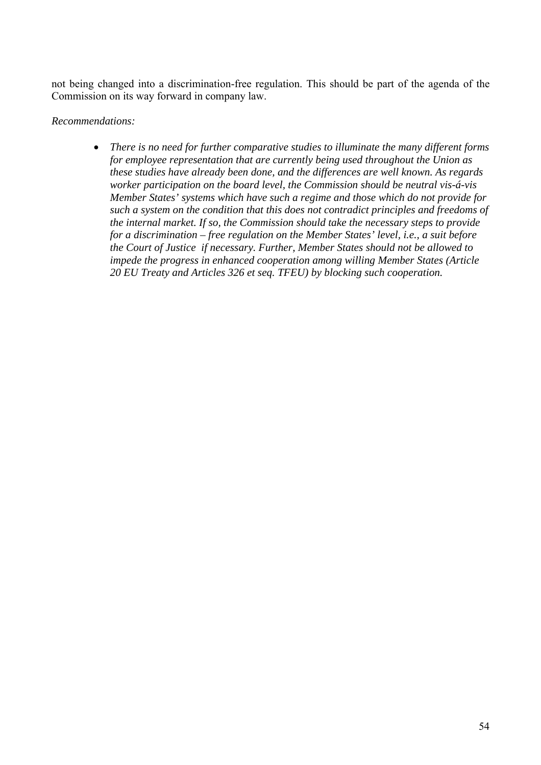not being changed into a discrimination-free regulation. This should be part of the agenda of the Commission on its way forward in company law.

#### *Recommendations:*

• *There is no need for further comparative studies to illuminate the many different forms for employee representation that are currently being used throughout the Union as these studies have already been done, and the differences are well known. As regards worker participation on the board level, the Commission should be neutral vis-á-vis Member States' systems which have such a regime and those which do not provide for such a system on the condition that this does not contradict principles and freedoms of the internal market. If so, the Commission should take the necessary steps to provide for a discrimination – free regulation on the Member States' level, i.e., a suit before the Court of Justice if necessary. Further, Member States should not be allowed to impede the progress in enhanced cooperation among willing Member States (Article 20 EU Treaty and Articles 326 et seq. TFEU) by blocking such cooperation.*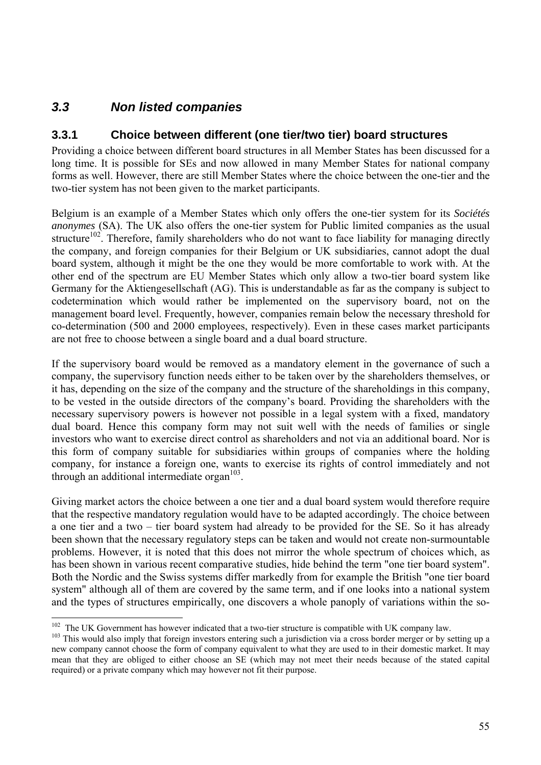# *3.3 Non listed companies*

 $\overline{a}$ 

## **3.3.1 Choice between different (one tier/two tier) board structures**

Providing a choice between different board structures in all Member States has been discussed for a long time. It is possible for SEs and now allowed in many Member States for national company forms as well. However, there are still Member States where the choice between the one-tier and the two-tier system has not been given to the market participants.

Belgium is an example of a Member States which only offers the one-tier system for its *Sociétés anonymes* (SA). The UK also offers the one-tier system for Public limited companies as the usual structure<sup>102</sup>. Therefore, family shareholders who do not want to face liability for managing directly the company, and foreign companies for their Belgium or UK subsidiaries, cannot adopt the dual board system, although it might be the one they would be more comfortable to work with. At the other end of the spectrum are EU Member States which only allow a two-tier board system like Germany for the Aktiengesellschaft (AG). This is understandable as far as the company is subject to codetermination which would rather be implemented on the supervisory board, not on the management board level. Frequently, however, companies remain below the necessary threshold for co-determination (500 and 2000 employees, respectively). Even in these cases market participants are not free to choose between a single board and a dual board structure.

If the supervisory board would be removed as a mandatory element in the governance of such a company, the supervisory function needs either to be taken over by the shareholders themselves, or it has, depending on the size of the company and the structure of the shareholdings in this company, to be vested in the outside directors of the company's board. Providing the shareholders with the necessary supervisory powers is however not possible in a legal system with a fixed, mandatory dual board. Hence this company form may not suit well with the needs of families or single investors who want to exercise direct control as shareholders and not via an additional board. Nor is this form of company suitable for subsidiaries within groups of companies where the holding company, for instance a foreign one, wants to exercise its rights of control immediately and not through an additional intermediate organ $103$ .

Giving market actors the choice between a one tier and a dual board system would therefore require that the respective mandatory regulation would have to be adapted accordingly. The choice between a one tier and a two – tier board system had already to be provided for the SE. So it has already been shown that the necessary regulatory steps can be taken and would not create non-surmountable problems. However, it is noted that this does not mirror the whole spectrum of choices which, as has been shown in various recent comparative studies, hide behind the term "one tier board system". Both the Nordic and the Swiss systems differ markedly from for example the British "one tier board system" although all of them are covered by the same term, and if one looks into a national system and the types of structures empirically, one discovers a whole panoply of variations within the so-

<sup>&</sup>lt;sup>102</sup> The UK Government has however indicated that a two-tier structure is compatible with UK company law.<br><sup>103</sup> This would also imply that foreign investors entering such a jurisdiction via a cross border merger or by se new company cannot choose the form of company equivalent to what they are used to in their domestic market. It may mean that they are obliged to either choose an SE (which may not meet their needs because of the stated capital required) or a private company which may however not fit their purpose.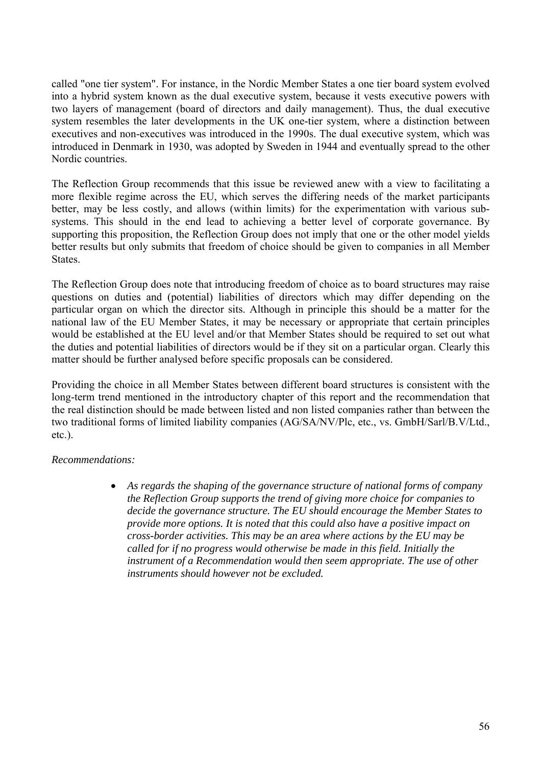called "one tier system". For instance, in the Nordic Member States a one tier board system evolved into a hybrid system known as the dual executive system, because it vests executive powers with two layers of management (board of directors and daily management). Thus, the dual executive system resembles the later developments in the UK one-tier system, where a distinction between executives and non-executives was introduced in the 1990s. The dual executive system, which was introduced in Denmark in 1930, was adopted by Sweden in 1944 and eventually spread to the other Nordic countries.

The Reflection Group recommends that this issue be reviewed anew with a view to facilitating a more flexible regime across the EU, which serves the differing needs of the market participants better, may be less costly, and allows (within limits) for the experimentation with various subsystems. This should in the end lead to achieving a better level of corporate governance. By supporting this proposition, the Reflection Group does not imply that one or the other model yields better results but only submits that freedom of choice should be given to companies in all Member States.

The Reflection Group does note that introducing freedom of choice as to board structures may raise questions on duties and (potential) liabilities of directors which may differ depending on the particular organ on which the director sits. Although in principle this should be a matter for the national law of the EU Member States, it may be necessary or appropriate that certain principles would be established at the EU level and/or that Member States should be required to set out what the duties and potential liabilities of directors would be if they sit on a particular organ. Clearly this matter should be further analysed before specific proposals can be considered.

Providing the choice in all Member States between different board structures is consistent with the long-term trend mentioned in the introductory chapter of this report and the recommendation that the real distinction should be made between listed and non listed companies rather than between the two traditional forms of limited liability companies (AG/SA/NV/Plc, etc., vs. GmbH/Sarl/B.V/Ltd., etc.).

#### *Recommendations:*

• *As regards the shaping of the governance structure of national forms of company the Reflection Group supports the trend of giving more choice for companies to decide the governance structure. The EU should encourage the Member States to provide more options. It is noted that this could also have a positive impact on cross-border activities. This may be an area where actions by the EU may be called for if no progress would otherwise be made in this field. Initially the instrument of a Recommendation would then seem appropriate. The use of other instruments should however not be excluded.*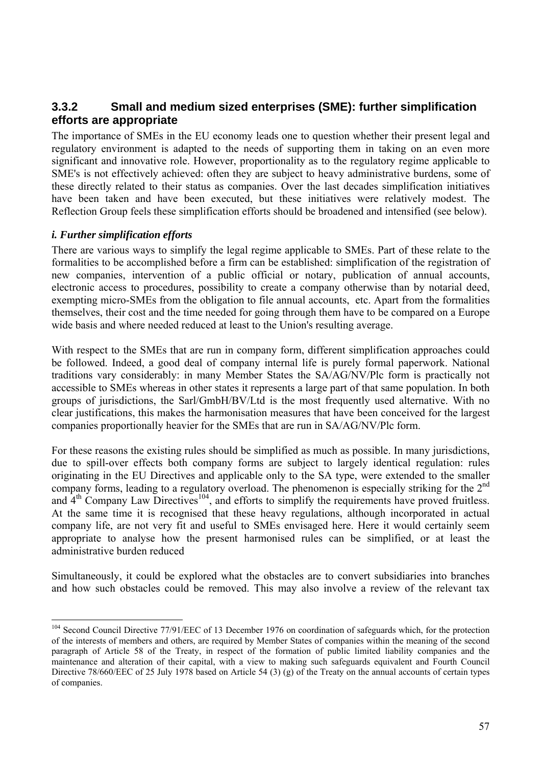## **3.3.2 Small and medium sized enterprises (SME): further simplification efforts are appropriate**

The importance of SMEs in the EU economy leads one to question whether their present legal and regulatory environment is adapted to the needs of supporting them in taking on an even more significant and innovative role. However, proportionality as to the regulatory regime applicable to SME's is not effectively achieved: often they are subject to heavy administrative burdens, some of these directly related to their status as companies. Over the last decades simplification initiatives have been taken and have been executed, but these initiatives were relatively modest. The Reflection Group feels these simplification efforts should be broadened and intensified (see below).

#### *i. Further simplification efforts*

 $\overline{a}$ 

There are various ways to simplify the legal regime applicable to SMEs. Part of these relate to the formalities to be accomplished before a firm can be established: simplification of the registration of new companies, intervention of a public official or notary, publication of annual accounts, electronic access to procedures, possibility to create a company otherwise than by notarial deed, exempting micro-SMEs from the obligation to file annual accounts, etc. Apart from the formalities themselves, their cost and the time needed for going through them have to be compared on a Europe wide basis and where needed reduced at least to the Union's resulting average.

With respect to the SMEs that are run in company form, different simplification approaches could be followed. Indeed, a good deal of company internal life is purely formal paperwork. National traditions vary considerably: in many Member States the SA/AG/NV/Plc form is practically not accessible to SMEs whereas in other states it represents a large part of that same population. In both groups of jurisdictions, the Sarl/GmbH/BV/Ltd is the most frequently used alternative. With no clear justifications, this makes the harmonisation measures that have been conceived for the largest companies proportionally heavier for the SMEs that are run in SA/AG/NV/Plc form.

For these reasons the existing rules should be simplified as much as possible. In many jurisdictions, due to spill-over effects both company forms are subject to largely identical regulation: rules originating in the EU Directives and applicable only to the SA type, were extended to the smaller company forms, leading to a regulatory overload. The phenomenon is especially striking for the  $2<sup>nd</sup>$ and  $4<sup>th</sup>$  Company Law Directives<sup>104</sup>, and efforts to simplify the requirements have proved fruitless. At the same time it is recognised that these heavy regulations, although incorporated in actual company life, are not very fit and useful to SMEs envisaged here. Here it would certainly seem appropriate to analyse how the present harmonised rules can be simplified, or at least the administrative burden reduced

Simultaneously, it could be explored what the obstacles are to convert subsidiaries into branches and how such obstacles could be removed. This may also involve a review of the relevant tax

<sup>&</sup>lt;sup>104</sup> Second Council Directive 77/91/EEC of 13 December 1976 on coordination of safeguards which, for the protection of the interests of members and others, are required by Member States of companies within the meaning of the second paragraph of Article 58 of the Treaty, in respect of the formation of public limited liability companies and the maintenance and alteration of their capital, with a view to making such safeguards equivalent and Fourth Council Directive 78/660/EEC of 25 July 1978 based on Article 54 (3) (g) of the Treaty on the annual accounts of certain types of companies.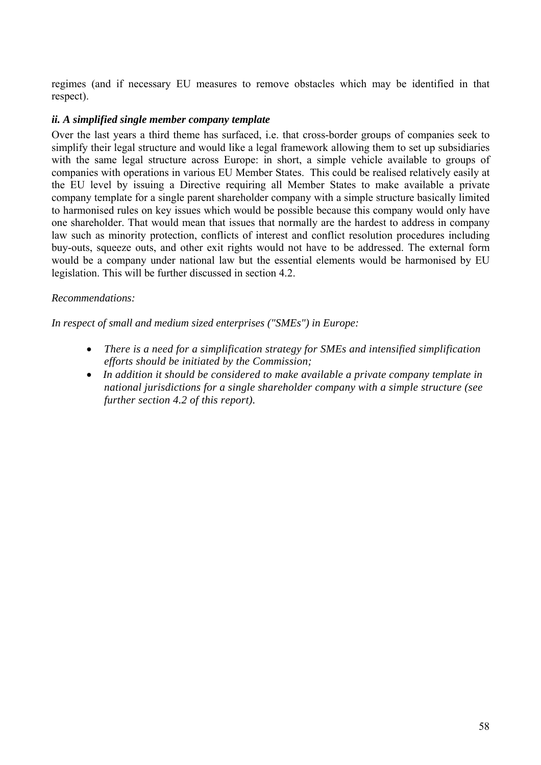regimes (and if necessary EU measures to remove obstacles which may be identified in that respect).

#### *ii. A simplified single member company template*

Over the last years a third theme has surfaced, i.e. that cross-border groups of companies seek to simplify their legal structure and would like a legal framework allowing them to set up subsidiaries with the same legal structure across Europe: in short, a simple vehicle available to groups of companies with operations in various EU Member States. This could be realised relatively easily at the EU level by issuing a Directive requiring all Member States to make available a private company template for a single parent shareholder company with a simple structure basically limited to harmonised rules on key issues which would be possible because this company would only have one shareholder. That would mean that issues that normally are the hardest to address in company law such as minority protection, conflicts of interest and conflict resolution procedures including buy-outs, squeeze outs, and other exit rights would not have to be addressed. The external form would be a company under national law but the essential elements would be harmonised by EU legislation. This will be further discussed in section 4.2.

#### *Recommendations:*

*In respect of small and medium sized enterprises ("SMEs") in Europe:* 

- • *There is a need for a simplification strategy for SMEs and intensified simplification efforts should be initiated by the Commission;*
- *In addition it should be considered to make available a private company template in national jurisdictions for a single shareholder company with a simple structure (see further section 4.2 of this report).*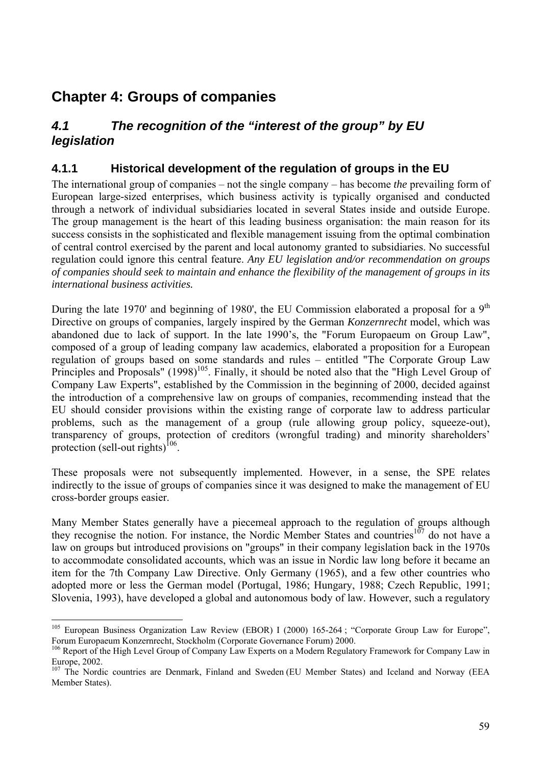# **Chapter 4: Groups of companies**

 $\overline{a}$ 

# *4.1 The recognition of the "interest of the group" by EU legislation*

## **4.1.1 Historical development of the regulation of groups in the EU**

The international group of companies – not the single company – has become *the* prevailing form of European large-sized enterprises, which business activity is typically organised and conducted through a network of individual subsidiaries located in several States inside and outside Europe. The group management is the heart of this leading business organisation: the main reason for its success consists in the sophisticated and flexible management issuing from the optimal combination of central control exercised by the parent and local autonomy granted to subsidiaries. No successful regulation could ignore this central feature. *Any EU legislation and/or recommendation on groups of companies should seek to maintain and enhance the flexibility of the management of groups in its international business activities.* 

During the late 1970' and beginning of 1980', the EU Commission elaborated a proposal for a  $9<sup>th</sup>$ Directive on groups of companies, largely inspired by the German *Konzernrecht* model, which was abandoned due to lack of support. In the late 1990's, the "Forum Europaeum on Group Law", composed of a group of leading company law academics, elaborated a proposition for a European regulation of groups based on some standards and rules – entitled "The Corporate Group Law Principles and Proposals" (1998)<sup>105</sup>. Finally, it should be noted also that the "High Level Group of Company Law Experts", established by the Commission in the beginning of 2000, decided against the introduction of a comprehensive law on groups of companies, recommending instead that the EU should consider provisions within the existing range of corporate law to address particular problems, such as the management of a group (rule allowing group policy, squeeze-out), transparency of groups, protection of creditors (wrongful trading) and minority shareholders' protection (sell-out rights) $^{106}$ .

These proposals were not subsequently implemented. However, in a sense, the SPE relates indirectly to the issue of groups of companies since it was designed to make the management of EU cross-border groups easier.

Many Member States generally have a piecemeal approach to the regulation of groups although they recognise the notion. For instance, the Nordic Member States and countries<sup>107</sup> do not have a law on groups but introduced provisions on "groups" in their company legislation back in the 1970s to accommodate consolidated accounts, which was an issue in Nordic law long before it became an item for the 7th Company Law Directive. Only Germany (1965), and a few other countries who adopted more or less the German model (Portugal, 1986; Hungary, 1988; Czech Republic, 1991; Slovenia, 1993), have developed a global and autonomous body of law. However, such a regulatory

<sup>&</sup>lt;sup>105</sup> European Business Organization Law Review (EBOR) I (2000) 165-264 ; "Corporate Group Law for Europe", Forum Europaeum Konzernrecht, Stockholm (Corporate Governance Forum) 2000.

<sup>&</sup>lt;sup>106</sup> Report of the High Level Group of Company Law Experts on a Modern Regulatory Framework for Company Law in Europe, 2002.

<sup>&</sup>lt;sup>107</sup> The Nordic countries are Denmark, Finland and Sweden (EU Member States) and Iceland and Norway (EEA Member States).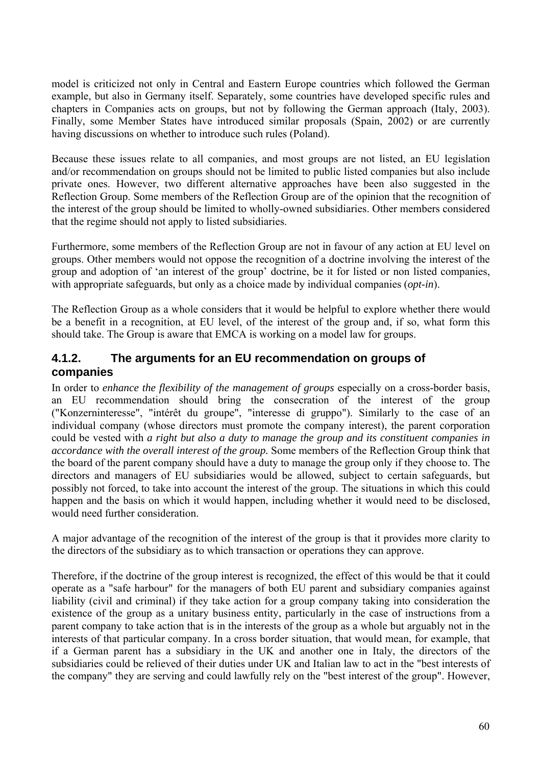model is criticized not only in Central and Eastern Europe countries which followed the German example, but also in Germany itself. Separately, some countries have developed specific rules and chapters in Companies acts on groups, but not by following the German approach (Italy, 2003). Finally, some Member States have introduced similar proposals (Spain, 2002) or are currently having discussions on whether to introduce such rules (Poland).

Because these issues relate to all companies, and most groups are not listed, an EU legislation and/or recommendation on groups should not be limited to public listed companies but also include private ones. However, two different alternative approaches have been also suggested in the Reflection Group. Some members of the Reflection Group are of the opinion that the recognition of the interest of the group should be limited to wholly-owned subsidiaries. Other members considered that the regime should not apply to listed subsidiaries.

Furthermore, some members of the Reflection Group are not in favour of any action at EU level on groups. Other members would not oppose the recognition of a doctrine involving the interest of the group and adoption of 'an interest of the group' doctrine, be it for listed or non listed companies, with appropriate safeguards, but only as a choice made by individual companies (*opt-in*).

The Reflection Group as a whole considers that it would be helpful to explore whether there would be a benefit in a recognition, at EU level, of the interest of the group and, if so, what form this should take. The Group is aware that EMCA is working on a model law for groups.

## **4.1.2. The arguments for an EU recommendation on groups of companies**

In order to *enhance the flexibility of the management of groups* especially on a cross-border basis, an EU recommendation should bring the consecration of the interest of the group ("Konzerninteresse", "intérêt du groupe", "interesse di gruppo"). Similarly to the case of an individual company (whose directors must promote the company interest), the parent corporation could be vested with *a right but also a duty to manage the group and its constituent companies in accordance with the overall interest of the group.* Some members of the Reflection Group think that the board of the parent company should have a duty to manage the group only if they choose to. The directors and managers of EU subsidiaries would be allowed, subject to certain safeguards, but possibly not forced, to take into account the interest of the group. The situations in which this could happen and the basis on which it would happen, including whether it would need to be disclosed, would need further consideration.

A major advantage of the recognition of the interest of the group is that it provides more clarity to the directors of the subsidiary as to which transaction or operations they can approve.

Therefore, if the doctrine of the group interest is recognized, the effect of this would be that it could operate as a "safe harbour" for the managers of both EU parent and subsidiary companies against liability (civil and criminal) if they take action for a group company taking into consideration the existence of the group as a unitary business entity, particularly in the case of instructions from a parent company to take action that is in the interests of the group as a whole but arguably not in the interests of that particular company. In a cross border situation, that would mean, for example, that if a German parent has a subsidiary in the UK and another one in Italy, the directors of the subsidiaries could be relieved of their duties under UK and Italian law to act in the "best interests of the company" they are serving and could lawfully rely on the "best interest of the group". However,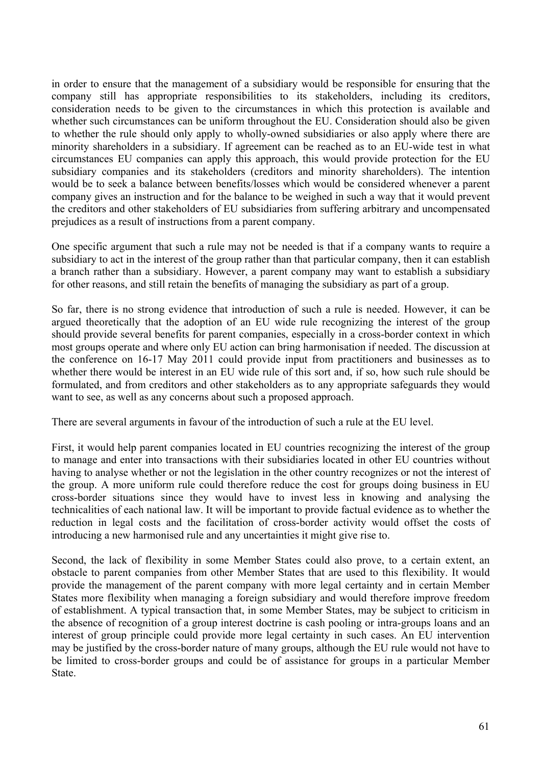in order to ensure that the management of a subsidiary would be responsible for ensuring that the company still has appropriate responsibilities to its stakeholders, including its creditors, consideration needs to be given to the circumstances in which this protection is available and whether such circumstances can be uniform throughout the EU. Consideration should also be given to whether the rule should only apply to wholly-owned subsidiaries or also apply where there are minority shareholders in a subsidiary. If agreement can be reached as to an EU-wide test in what circumstances EU companies can apply this approach, this would provide protection for the EU subsidiary companies and its stakeholders (creditors and minority shareholders). The intention would be to seek a balance between benefits/losses which would be considered whenever a parent company gives an instruction and for the balance to be weighed in such a way that it would prevent the creditors and other stakeholders of EU subsidiaries from suffering arbitrary and uncompensated prejudices as a result of instructions from a parent company.

One specific argument that such a rule may not be needed is that if a company wants to require a subsidiary to act in the interest of the group rather than that particular company, then it can establish a branch rather than a subsidiary. However, a parent company may want to establish a subsidiary for other reasons, and still retain the benefits of managing the subsidiary as part of a group.

So far, there is no strong evidence that introduction of such a rule is needed. However, it can be argued theoretically that the adoption of an EU wide rule recognizing the interest of the group should provide several benefits for parent companies, especially in a cross-border context in which most groups operate and where only EU action can bring harmonisation if needed. The discussion at the conference on 16-17 May 2011 could provide input from practitioners and businesses as to whether there would be interest in an EU wide rule of this sort and, if so, how such rule should be formulated, and from creditors and other stakeholders as to any appropriate safeguards they would want to see, as well as any concerns about such a proposed approach.

There are several arguments in favour of the introduction of such a rule at the EU level.

First, it would help parent companies located in EU countries recognizing the interest of the group to manage and enter into transactions with their subsidiaries located in other EU countries without having to analyse whether or not the legislation in the other country recognizes or not the interest of the group. A more uniform rule could therefore reduce the cost for groups doing business in EU cross-border situations since they would have to invest less in knowing and analysing the technicalities of each national law. It will be important to provide factual evidence as to whether the reduction in legal costs and the facilitation of cross-border activity would offset the costs of introducing a new harmonised rule and any uncertainties it might give rise to.

Second, the lack of flexibility in some Member States could also prove, to a certain extent, an obstacle to parent companies from other Member States that are used to this flexibility. It would provide the management of the parent company with more legal certainty and in certain Member States more flexibility when managing a foreign subsidiary and would therefore improve freedom of establishment. A typical transaction that, in some Member States, may be subject to criticism in the absence of recognition of a group interest doctrine is cash pooling or intra-groups loans and an interest of group principle could provide more legal certainty in such cases. An EU intervention may be justified by the cross-border nature of many groups, although the EU rule would not have to be limited to cross-border groups and could be of assistance for groups in a particular Member State.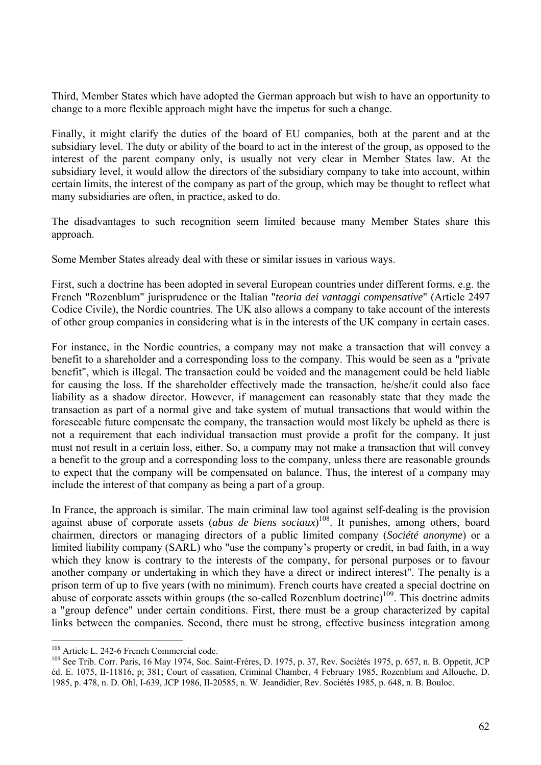Third, Member States which have adopted the German approach but wish to have an opportunity to change to a more flexible approach might have the impetus for such a change.

Finally, it might clarify the duties of the board of EU companies, both at the parent and at the subsidiary level. The duty or ability of the board to act in the interest of the group, as opposed to the interest of the parent company only, is usually not very clear in Member States law. At the subsidiary level, it would allow the directors of the subsidiary company to take into account, within certain limits, the interest of the company as part of the group, which may be thought to reflect what many subsidiaries are often, in practice, asked to do.

The disadvantages to such recognition seem limited because many Member States share this approach.

Some Member States already deal with these or similar issues in various ways.

First, such a doctrine has been adopted in several European countries under different forms, e.g. the French "Rozenblum" jurisprudence or the Italian "*teoria dei vantaggi compensative*" (Article 2497 Codice Civile), the Nordic countries. The UK also allows a company to take account of the interests of other group companies in considering what is in the interests of the UK company in certain cases.

For instance, in the Nordic countries, a company may not make a transaction that will convey a benefit to a shareholder and a corresponding loss to the company. This would be seen as a "private benefit", which is illegal. The transaction could be voided and the management could be held liable for causing the loss. If the shareholder effectively made the transaction, he/she/it could also face liability as a shadow director. However, if management can reasonably state that they made the transaction as part of a normal give and take system of mutual transactions that would within the foreseeable future compensate the company, the transaction would most likely be upheld as there is not a requirement that each individual transaction must provide a profit for the company. It just must not result in a certain loss, either. So, a company may not make a transaction that will convey a benefit to the group and a corresponding loss to the company, unless there are reasonable grounds to expect that the company will be compensated on balance. Thus, the interest of a company may include the interest of that company as being a part of a group.

In France, the approach is similar. The main criminal law tool against self-dealing is the provision against abuse of corporate assets (*abus de biens sociaux*) 108. It punishes, among others, board chairmen, directors or managing directors of a public limited company (*Société anonyme*) or a limited liability company (SARL) who "use the company's property or credit, in bad faith, in a way which they know is contrary to the interests of the company, for personal purposes or to favour another company or undertaking in which they have a direct or indirect interest". The penalty is a prison term of up to five years (with no minimum). French courts have created a special doctrine on abuse of corporate assets within groups (the so-called Rozenblum doctrine)<sup>109</sup>. This doctrine admits a "group defence" under certain conditions. First, there must be a group characterized by capital links between the companies. Second, there must be strong, effective business integration among

<sup>&</sup>lt;sup>108</sup> Article L. 242-6 French Commercial code.<br><sup>109</sup> See Trib. Corr. Paris, 16 May 1974, Soc. Saint-Frères, D. 1975, p. 37, Rev. Sociétés 1975, p. 657, n. B. Oppetit, JCP éd. E. 1075, II-11816, p; 381; Court of cassation, Criminal Chamber, 4 February 1985, Rozenblum and Allouche, D. 1985, p. 478, n. D. Ohl, I-639, JCP 1986, II-20585, n. W. Jeandidier, Rev. Sociétés 1985, p. 648, n. B. Bouloc.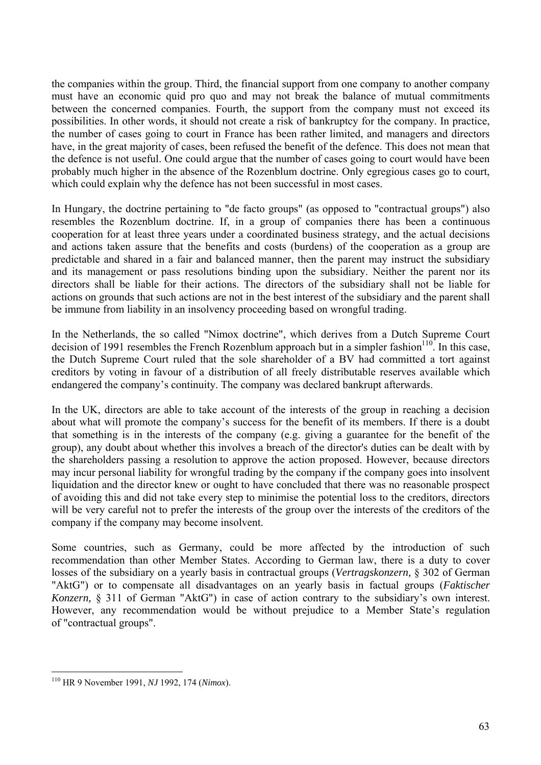the companies within the group. Third, the financial support from one company to another company must have an economic quid pro quo and may not break the balance of mutual commitments between the concerned companies. Fourth, the support from the company must not exceed its possibilities. In other words, it should not create a risk of bankruptcy for the company. In practice, the number of cases going to court in France has been rather limited, and managers and directors have, in the great majority of cases, been refused the benefit of the defence. This does not mean that the defence is not useful. One could argue that the number of cases going to court would have been probably much higher in the absence of the Rozenblum doctrine. Only egregious cases go to court, which could explain why the defence has not been successful in most cases.

In Hungary, the doctrine pertaining to "de facto groups" (as opposed to "contractual groups") also resembles the Rozenblum doctrine. If, in a group of companies there has been a continuous cooperation for at least three years under a coordinated business strategy, and the actual decisions and actions taken assure that the benefits and costs (burdens) of the cooperation as a group are predictable and shared in a fair and balanced manner, then the parent may instruct the subsidiary and its management or pass resolutions binding upon the subsidiary. Neither the parent nor its directors shall be liable for their actions. The directors of the subsidiary shall not be liable for actions on grounds that such actions are not in the best interest of the subsidiary and the parent shall be immune from liability in an insolvency proceeding based on wrongful trading.

In the Netherlands, the so called "Nimox doctrine", which derives from a Dutch Supreme Court decision of 1991 resembles the French Rozenblum approach but in a simpler fashion $110$ . In this case, the Dutch Supreme Court ruled that the sole shareholder of a BV had committed a tort against creditors by voting in favour of a distribution of all freely distributable reserves available which endangered the company's continuity. The company was declared bankrupt afterwards.

In the UK, directors are able to take account of the interests of the group in reaching a decision about what will promote the company's success for the benefit of its members. If there is a doubt that something is in the interests of the company (e.g. giving a guarantee for the benefit of the group), any doubt about whether this involves a breach of the director's duties can be dealt with by the shareholders passing a resolution to approve the action proposed. However, because directors may incur personal liability for wrongful trading by the company if the company goes into insolvent liquidation and the director knew or ought to have concluded that there was no reasonable prospect of avoiding this and did not take every step to minimise the potential loss to the creditors, directors will be very careful not to prefer the interests of the group over the interests of the creditors of the company if the company may become insolvent.

Some countries, such as Germany, could be more affected by the introduction of such recommendation than other Member States. According to German law, there is a duty to cover losses of the subsidiary on a yearly basis in contractual groups (*Vertragskonzern,* § 302 of German "AktG") or to compensate all disadvantages on an yearly basis in factual groups (*Faktischer Konzern,* § 311 of German "AktG") in case of action contrary to the subsidiary's own interest. However, any recommendation would be without prejudice to a Member State's regulation of "contractual groups".

<sup>110</sup> HR 9 November 1991, *NJ* 1992, 174 (*Nimox*).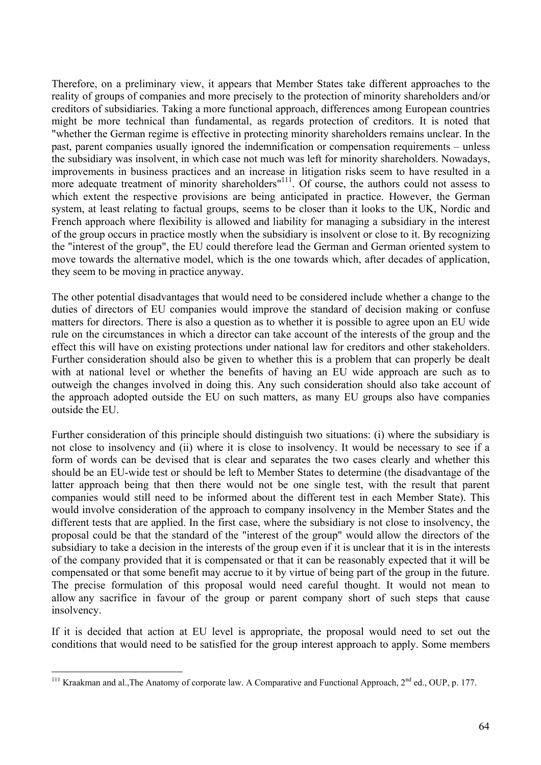Therefore, on a preliminary view, it appears that Member States take different approaches to the reality of groups of companies and more precisely to the protection of minority shareholders and/or creditors of subsidiaries. Taking a more functional approach, differences among European countries might be more technical than fundamental, as regards protection of creditors. It is noted that "whether the German regime is effective in protecting minority shareholders remains unclear. In the past, parent companies usually ignored the indemnification or compensation requirements – unless the subsidiary was insolvent, in which case not much was left for minority shareholders. Nowadays, improvements in business practices and an increase in litigation risks seem to have resulted in a more adequate treatment of minority shareholders<sup> $n$ 111</sup>. Of course, the authors could not assess to which extent the respective provisions are being anticipated in practice. However, the German system, at least relating to factual groups, seems to be closer than it looks to the UK, Nordic and French approach where flexibility is allowed and liability for managing a subsidiary in the interest of the group occurs in practice mostly when the subsidiary is insolvent or close to it. By recognizing the "interest of the group", the EU could therefore lead the German and German oriented system to move towards the alternative model, which is the one towards which, after decades of application, they seem to be moving in practice anyway.

The other potential disadvantages that would need to be considered include whether a change to the duties of directors of EU companies would improve the standard of decision making or confuse matters for directors. There is also a question as to whether it is possible to agree upon an EU wide rule on the circumstances in which a director can take account of the interests of the group and the effect this will have on existing protections under national law for creditors and other stakeholders. Further consideration should also be given to whether this is a problem that can properly be dealt with at national level or whether the benefits of having an EU wide approach are such as to outweigh the changes involved in doing this. Any such consideration should also take account of the approach adopted outside the EU on such matters, as many EU groups also have companies outside the EU.

Further consideration of this principle should distinguish two situations: (i) where the subsidiary is not close to insolvency and (ii) where it is close to insolvency. It would be necessary to see if a form of words can be devised that is clear and separates the two cases clearly and whether this should be an EU-wide test or should be left to Member States to determine (the disadvantage of the latter approach being that then there would not be one single test, with the result that parent companies would still need to be informed about the different test in each Member State). This would involve consideration of the approach to company insolvency in the Member States and the different tests that are applied. In the first case, where the subsidiary is not close to insolvency, the proposal could be that the standard of the "interest of the group" would allow the directors of the subsidiary to take a decision in the interests of the group even if it is unclear that it is in the interests of the company provided that it is compensated or that it can be reasonably expected that it will be compensated or that some benefit may accrue to it by virtue of being part of the group in the future. The precise formulation of this proposal would need careful thought. It would not mean to allow any sacrifice in favour of the group or parent company short of such steps that cause insolvency.

If it is decided that action at EU level is appropriate, the proposal would need to set out the conditions that would need to be satisfied for the group interest approach to apply. Some members

 $\overline{a}$ <sup>111</sup> Kraakman and al., The Anatomy of corporate law. A Comparative and Functional Approach,  $2^{nd}$  ed., OUP, p. 177.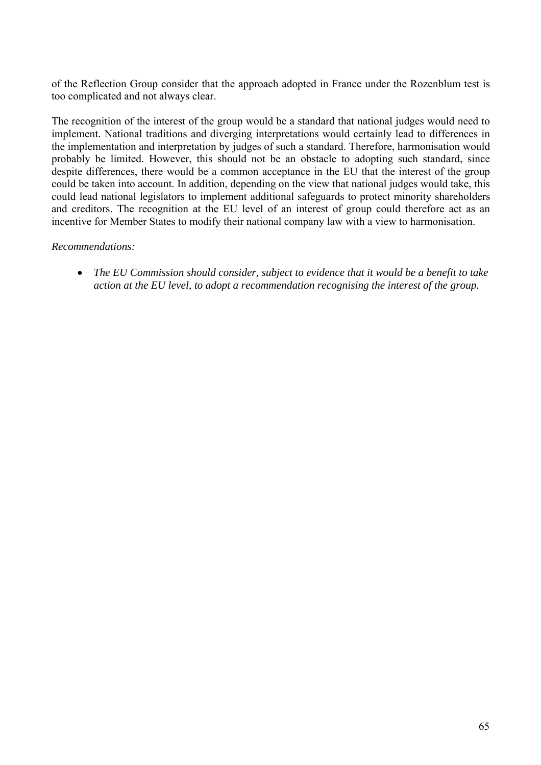of the Reflection Group consider that the approach adopted in France under the Rozenblum test is too complicated and not always clear.

The recognition of the interest of the group would be a standard that national judges would need to implement. National traditions and diverging interpretations would certainly lead to differences in the implementation and interpretation by judges of such a standard. Therefore, harmonisation would probably be limited. However, this should not be an obstacle to adopting such standard, since despite differences, there would be a common acceptance in the EU that the interest of the group could be taken into account. In addition, depending on the view that national judges would take, this could lead national legislators to implement additional safeguards to protect minority shareholders and creditors. The recognition at the EU level of an interest of group could therefore act as an incentive for Member States to modify their national company law with a view to harmonisation.

#### *Recommendations:*

• *The EU Commission should consider, subject to evidence that it would be a benefit to take action at the EU level, to adopt a recommendation recognising the interest of the group.*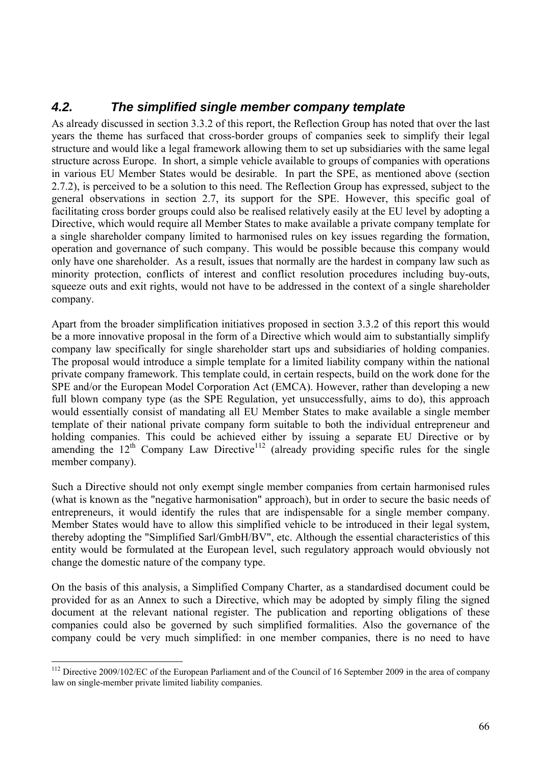# *4.2. The simplified single member company template*

As already discussed in section 3.3.2 of this report, the Reflection Group has noted that over the last years the theme has surfaced that cross-border groups of companies seek to simplify their legal structure and would like a legal framework allowing them to set up subsidiaries with the same legal structure across Europe. In short, a simple vehicle available to groups of companies with operations in various EU Member States would be desirable. In part the SPE, as mentioned above (section 2.7.2), is perceived to be a solution to this need. The Reflection Group has expressed, subject to the general observations in section 2.7, its support for the SPE. However, this specific goal of facilitating cross border groups could also be realised relatively easily at the EU level by adopting a Directive, which would require all Member States to make available a private company template for a single shareholder company limited to harmonised rules on key issues regarding the formation, operation and governance of such company. This would be possible because this company would only have one shareholder. As a result, issues that normally are the hardest in company law such as minority protection, conflicts of interest and conflict resolution procedures including buy-outs, squeeze outs and exit rights, would not have to be addressed in the context of a single shareholder company.

Apart from the broader simplification initiatives proposed in section 3.3.2 of this report this would be a more innovative proposal in the form of a Directive which would aim to substantially simplify company law specifically for single shareholder start ups and subsidiaries of holding companies. The proposal would introduce a simple template for a limited liability company within the national private company framework. This template could, in certain respects, build on the work done for the SPE and/or the European Model Corporation Act (EMCA). However, rather than developing a new full blown company type (as the SPE Regulation, yet unsuccessfully, aims to do), this approach would essentially consist of mandating all EU Member States to make available a single member template of their national private company form suitable to both the individual entrepreneur and holding companies. This could be achieved either by issuing a separate EU Directive or by amending the  $12<sup>th</sup>$  Company Law Directive<sup>112</sup> (already providing specific rules for the single member company).

Such a Directive should not only exempt single member companies from certain harmonised rules (what is known as the "negative harmonisation" approach), but in order to secure the basic needs of entrepreneurs, it would identify the rules that are indispensable for a single member company. Member States would have to allow this simplified vehicle to be introduced in their legal system, thereby adopting the "Simplified Sarl/GmbH/BV", etc. Although the essential characteristics of this entity would be formulated at the European level, such regulatory approach would obviously not change the domestic nature of the company type.

On the basis of this analysis, a Simplified Company Charter, as a standardised document could be provided for as an Annex to such a Directive, which may be adopted by simply filing the signed document at the relevant national register. The publication and reporting obligations of these companies could also be governed by such simplified formalities. Also the governance of the company could be very much simplified: in one member companies, there is no need to have

<sup>&</sup>lt;sup>112</sup> Directive 2009/102/EC of the European Parliament and of the Council of 16 September 2009 in the area of company law on single-member private limited liability companies.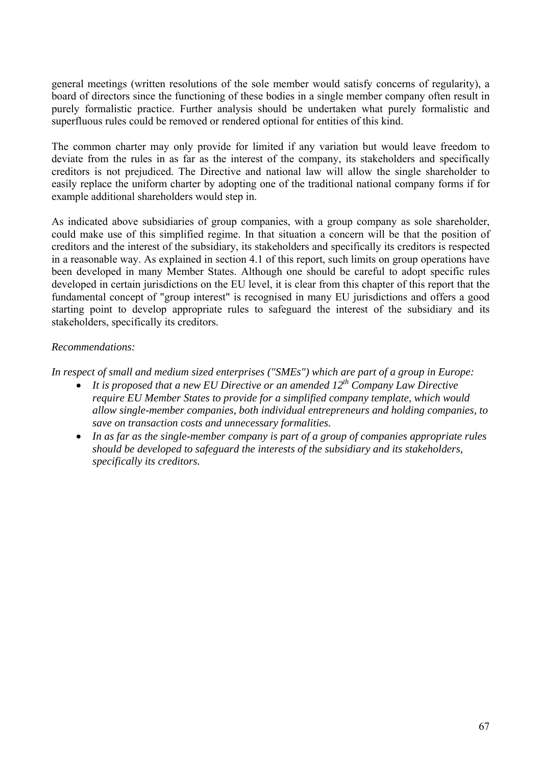general meetings (written resolutions of the sole member would satisfy concerns of regularity), a board of directors since the functioning of these bodies in a single member company often result in purely formalistic practice. Further analysis should be undertaken what purely formalistic and superfluous rules could be removed or rendered optional for entities of this kind.

The common charter may only provide for limited if any variation but would leave freedom to deviate from the rules in as far as the interest of the company, its stakeholders and specifically creditors is not prejudiced. The Directive and national law will allow the single shareholder to easily replace the uniform charter by adopting one of the traditional national company forms if for example additional shareholders would step in.

As indicated above subsidiaries of group companies, with a group company as sole shareholder, could make use of this simplified regime. In that situation a concern will be that the position of creditors and the interest of the subsidiary, its stakeholders and specifically its creditors is respected in a reasonable way. As explained in section 4.1 of this report, such limits on group operations have been developed in many Member States. Although one should be careful to adopt specific rules developed in certain jurisdictions on the EU level, it is clear from this chapter of this report that the fundamental concept of "group interest" is recognised in many EU jurisdictions and offers a good starting point to develop appropriate rules to safeguard the interest of the subsidiary and its stakeholders, specifically its creditors.

### *Recommendations:*

*In respect of small and medium sized enterprises ("SMEs") which are part of a group in Europe:* 

- *It is proposed that a new EU Directive or an amended 12th Company Law Directive require EU Member States to provide for a simplified company template, which would allow single-member companies, both individual entrepreneurs and holding companies, to save on transaction costs and unnecessary formalities.*
- *In as far as the single-member company is part of a group of companies appropriate rules should be developed to safeguard the interests of the subsidiary and its stakeholders, specifically its creditors.*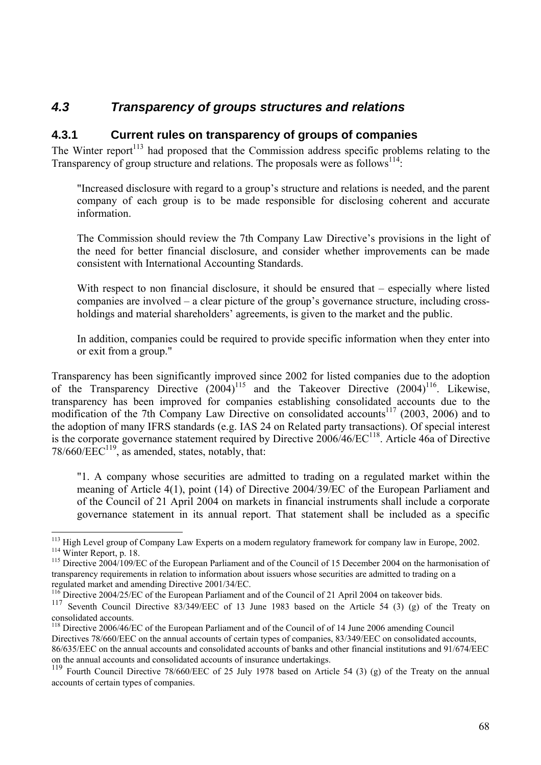# *4.3 Transparency of groups structures and relations*

## **4.3.1 Current rules on transparency of groups of companies**

The Winter report<sup>113</sup> had proposed that the Commission address specific problems relating to the Transparency of group structure and relations. The proposals were as follows<sup>114</sup>:

"Increased disclosure with regard to a group's structure and relations is needed, and the parent company of each group is to be made responsible for disclosing coherent and accurate information.

The Commission should review the 7th Company Law Directive's provisions in the light of the need for better financial disclosure, and consider whether improvements can be made consistent with International Accounting Standards.

With respect to non financial disclosure, it should be ensured that – especially where listed companies are involved – a clear picture of the group's governance structure, including crossholdings and material shareholders' agreements, is given to the market and the public.

In addition, companies could be required to provide specific information when they enter into or exit from a group."

Transparency has been significantly improved since 2002 for listed companies due to the adoption of the Transparency Directive  $(2004)^{115}$  and the Takeover Directive  $(2004)^{116}$ . Likewise, transparency has been improved for companies establishing consolidated accounts due to the modification of the 7th Company Law Directive on consolidated accounts<sup>117</sup> (2003, 2006) and to the adoption of many IFRS standards (e.g. IAS 24 on Related party transactions). Of special interest is the corporate governance statement required by Directive 2006/46/EC<sup>118</sup>. Article 46a of Directive  $78/660/EEC^{119}$ , as amended, states, notably, that:

"1. A company whose securities are admitted to trading on a regulated market within the meaning of Article 4(1), point (14) of Directive 2004/39/EC of the European Parliament and of the Council of 21 April 2004 on markets in financial instruments shall include a corporate governance statement in its annual report. That statement shall be included as a specific

<sup>&</sup>lt;sup>113</sup> High Level group of Company Law Experts on a modern regulatory framework for company law in Europe, 2002.<br><sup>114</sup> Winter Report, p. 18.<br><sup>115</sup> Directive 2004/109/EC of the European Parliament and of the Council of 15 De

transparency requirements in relation to information about issuers whose securities are admitted to trading on a

regulated market and amending Directive 2001/34/EC.<br><sup>116</sup> Directive 2004/25/EC of the European Parliament and of the Council of 21 April 2004 on takeover bids.<br><sup>117</sup> Soventh, Council, Directive, 82/240/EEC of 12 June 1982

Seventh Council Directive 83/349/EEC of 13 June 1983 based on the Article 54 (3) (g) of the Treaty on consolidated accounts.

<sup>&</sup>lt;sup>118</sup> Directive 2006/46/EC of the European Parliament and of the Council of of 14 June 2006 amending Council Directives 78/660/EEC on the annual accounts of certain types of companies, 83/349/EEC on consolidated accounts, 86/635/EEC on the annual accounts and consolidated accounts of banks and other financial institutions and 91/674/EEC on the annual accounts and consolidated accounts of insurance undertakings.

<sup>119</sup> Fourth Council Directive 78/660/EEC of 25 July 1978 based on Article 54 (3) (g) of the Treaty on the annual accounts of certain types of companies.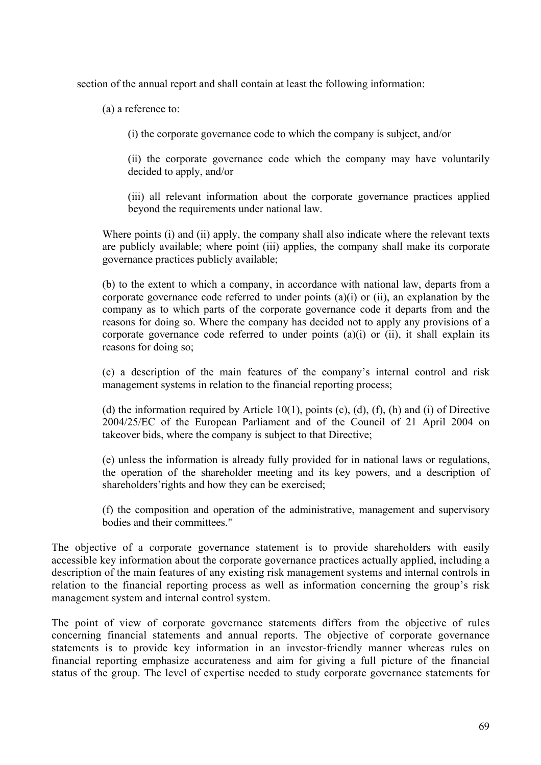section of the annual report and shall contain at least the following information:

(a) a reference to:

(i) the corporate governance code to which the company is subject, and/or

(ii) the corporate governance code which the company may have voluntarily decided to apply, and/or

(iii) all relevant information about the corporate governance practices applied beyond the requirements under national law.

Where points (i) and (ii) apply, the company shall also indicate where the relevant texts are publicly available; where point (iii) applies, the company shall make its corporate governance practices publicly available;

(b) to the extent to which a company, in accordance with national law, departs from a corporate governance code referred to under points (a)(i) or (ii), an explanation by the company as to which parts of the corporate governance code it departs from and the reasons for doing so. Where the company has decided not to apply any provisions of a corporate governance code referred to under points (a)(i) or (ii), it shall explain its reasons for doing so;

(c) a description of the main features of the company's internal control and risk management systems in relation to the financial reporting process;

(d) the information required by Article  $10(1)$ , points (c), (d), (f), (h) and (i) of Directive 2004/25/EC of the European Parliament and of the Council of 21 April 2004 on takeover bids, where the company is subject to that Directive;

(e) unless the information is already fully provided for in national laws or regulations, the operation of the shareholder meeting and its key powers, and a description of shareholders'rights and how they can be exercised;

(f) the composition and operation of the administrative, management and supervisory bodies and their committees."

The objective of a corporate governance statement is to provide shareholders with easily accessible key information about the corporate governance practices actually applied, including a description of the main features of any existing risk management systems and internal controls in relation to the financial reporting process as well as information concerning the group's risk management system and internal control system.

The point of view of corporate governance statements differs from the objective of rules concerning financial statements and annual reports. The objective of corporate governance statements is to provide key information in an investor-friendly manner whereas rules on financial reporting emphasize accurateness and aim for giving a full picture of the financial status of the group. The level of expertise needed to study corporate governance statements for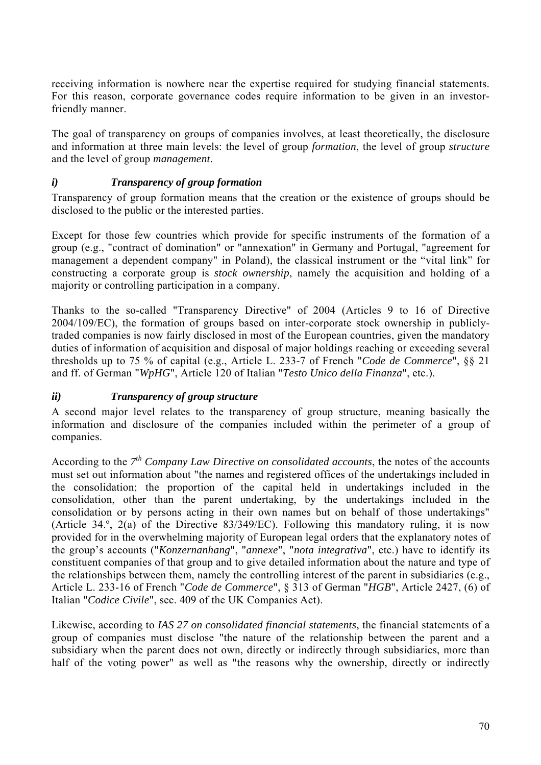receiving information is nowhere near the expertise required for studying financial statements. For this reason, corporate governance codes require information to be given in an investorfriendly manner.

The goal of transparency on groups of companies involves, at least theoretically, the disclosure and information at three main levels: the level of group *formation*, the level of group *structure* and the level of group *management*.

## *i) Transparency of group formation*

Transparency of group formation means that the creation or the existence of groups should be disclosed to the public or the interested parties.

Except for those few countries which provide for specific instruments of the formation of a group (e.g., "contract of domination" or "annexation" in Germany and Portugal, "agreement for management a dependent company" in Poland), the classical instrument or the "vital link" for constructing a corporate group is *stock ownership*, namely the acquisition and holding of a majority or controlling participation in a company.

Thanks to the so-called "Transparency Directive" of 2004 (Articles 9 to 16 of Directive 2004/109/EC), the formation of groups based on inter-corporate stock ownership in publiclytraded companies is now fairly disclosed in most of the European countries, given the mandatory duties of information of acquisition and disposal of major holdings reaching or exceeding several thresholds up to 75 % of capital (e.g., Article L. 233-7 of French "*Code de Commerce*", §§ 21 and ff. of German "*WpHG*", Article 120 of Italian "*Testo Unico della Finanza*", etc.).

#### *ii) Transparency of group structure*

A second major level relates to the transparency of group structure, meaning basically the information and disclosure of the companies included within the perimeter of a group of companies.

According to the *7th Company Law Directive on consolidated accounts*, the notes of the accounts must set out information about "the names and registered offices of the undertakings included in the consolidation; the proportion of the capital held in undertakings included in the consolidation, other than the parent undertaking, by the undertakings included in the consolidation or by persons acting in their own names but on behalf of those undertakings" (Article 34.º, 2(a) of the Directive 83/349/EC). Following this mandatory ruling, it is now provided for in the overwhelming majority of European legal orders that the explanatory notes of the group's accounts ("*Konzernanhang*", "*annexe*", "*nota integrativa*", etc.) have to identify its constituent companies of that group and to give detailed information about the nature and type of the relationships between them, namely the controlling interest of the parent in subsidiaries (e.g., Article L. 233-16 of French "*Code de Commerce*", § 313 of German "*HGB*", Article 2427, (6) of Italian "*Codice Civile*", sec. 409 of the UK Companies Act).

Likewise, according to *IAS 27 on consolidated financial statements*, the financial statements of a group of companies must disclose "the nature of the relationship between the parent and a subsidiary when the parent does not own, directly or indirectly through subsidiaries, more than half of the voting power" as well as "the reasons why the ownership, directly or indirectly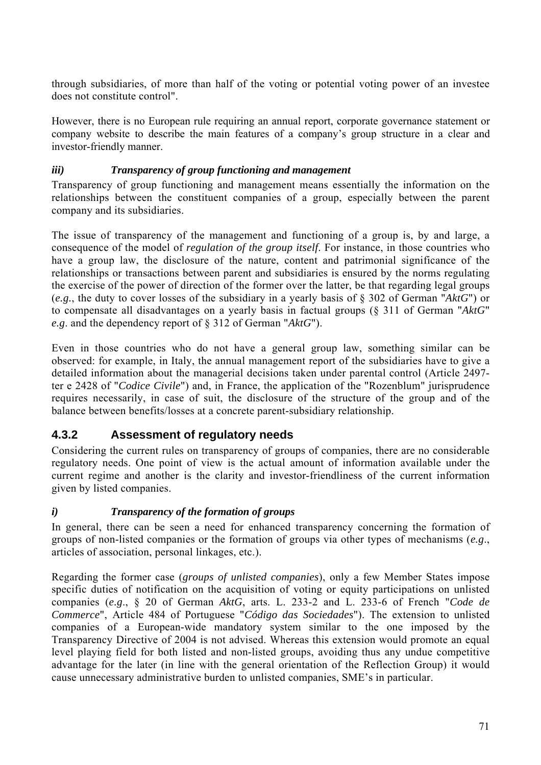through subsidiaries, of more than half of the voting or potential voting power of an investee does not constitute control".

However, there is no European rule requiring an annual report, corporate governance statement or company website to describe the main features of a company's group structure in a clear and investor-friendly manner.

# *iii) Transparency of group functioning and management*

Transparency of group functioning and management means essentially the information on the relationships between the constituent companies of a group, especially between the parent company and its subsidiaries.

The issue of transparency of the management and functioning of a group is, by and large, a consequence of the model of *regulation of the group itself*. For instance, in those countries who have a group law, the disclosure of the nature, content and patrimonial significance of the relationships or transactions between parent and subsidiaries is ensured by the norms regulating the exercise of the power of direction of the former over the latter, be that regarding legal groups (*e.g.*, the duty to cover losses of the subsidiary in a yearly basis of § 302 of German "*AktG*") or to compensate all disadvantages on a yearly basis in factual groups (§ 311 of German "*AktG*" *e.g*. and the dependency report of § 312 of German "*AktG*").

Even in those countries who do not have a general group law, something similar can be observed: for example, in Italy, the annual management report of the subsidiaries have to give a detailed information about the managerial decisions taken under parental control (Article 2497 ter e 2428 of "*Codice Civile*") and, in France, the application of the "Rozenblum" jurisprudence requires necessarily, in case of suit, the disclosure of the structure of the group and of the balance between benefits/losses at a concrete parent-subsidiary relationship.

# **4.3.2 Assessment of regulatory needs**

Considering the current rules on transparency of groups of companies, there are no considerable regulatory needs. One point of view is the actual amount of information available under the current regime and another is the clarity and investor-friendliness of the current information given by listed companies.

## *i) Transparency of the formation of groups*

In general, there can be seen a need for enhanced transparency concerning the formation of groups of non-listed companies or the formation of groups via other types of mechanisms (*e.g*., articles of association, personal linkages, etc.).

Regarding the former case (*groups of unlisted companies*), only a few Member States impose specific duties of notification on the acquisition of voting or equity participations on unlisted companies (*e.g*., § 20 of German *AktG*, arts. L. 233-2 and L. 233-6 of French "*Code de Commerce*", Article 484 of Portuguese "*Código das Sociedades*"). The extension to unlisted companies of a European-wide mandatory system similar to the one imposed by the Transparency Directive of 2004 is not advised. Whereas this extension would promote an equal level playing field for both listed and non-listed groups, avoiding thus any undue competitive advantage for the later (in line with the general orientation of the Reflection Group) it would cause unnecessary administrative burden to unlisted companies, SME's in particular.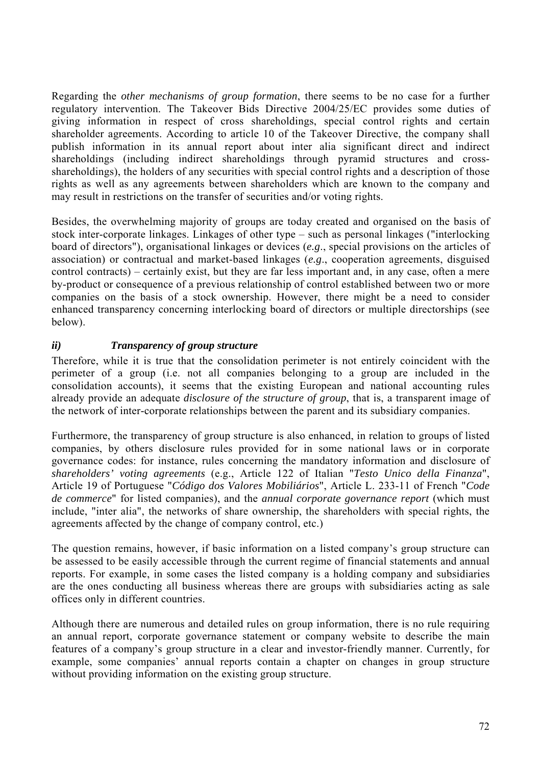Regarding the *other mechanisms of group formation*, there seems to be no case for a further regulatory intervention. The Takeover Bids Directive 2004/25/EC provides some duties of giving information in respect of cross shareholdings, special control rights and certain shareholder agreements. According to article 10 of the Takeover Directive, the company shall publish information in its annual report about inter alia significant direct and indirect shareholdings (including indirect shareholdings through pyramid structures and crossshareholdings), the holders of any securities with special control rights and a description of those rights as well as any agreements between shareholders which are known to the company and may result in restrictions on the transfer of securities and/or voting rights.

Besides, the overwhelming majority of groups are today created and organised on the basis of stock inter-corporate linkages. Linkages of other type – such as personal linkages ("interlocking board of directors"), organisational linkages or devices (*e.g*., special provisions on the articles of association) or contractual and market-based linkages (*e.g*., cooperation agreements, disguised control contracts) – certainly exist, but they are far less important and, in any case, often a mere by-product or consequence of a previous relationship of control established between two or more companies on the basis of a stock ownership. However, there might be a need to consider enhanced transparency concerning interlocking board of directors or multiple directorships (see below).

## *ii) Transparency of group structure*

Therefore, while it is true that the consolidation perimeter is not entirely coincident with the perimeter of a group (i.e. not all companies belonging to a group are included in the consolidation accounts), it seems that the existing European and national accounting rules already provide an adequate *disclosure of the structure of group*, that is, a transparent image of the network of inter-corporate relationships between the parent and its subsidiary companies.

Furthermore, the transparency of group structure is also enhanced, in relation to groups of listed companies, by others disclosure rules provided for in some national laws or in corporate governance codes: for instance, rules concerning the mandatory information and disclosure of *shareholders' voting agreements* (e.g., Article 122 of Italian "*Testo Unico della Finanza*", Article 19 of Portuguese "*Código dos Valores Mobiliários*", Article L. 233-11 of French "*Code de commerce*" for listed companies), and the *annual corporate governance report* (which must include, "inter alia", the networks of share ownership, the shareholders with special rights, the agreements affected by the change of company control, etc.)

The question remains, however, if basic information on a listed company's group structure can be assessed to be easily accessible through the current regime of financial statements and annual reports. For example, in some cases the listed company is a holding company and subsidiaries are the ones conducting all business whereas there are groups with subsidiaries acting as sale offices only in different countries.

Although there are numerous and detailed rules on group information, there is no rule requiring an annual report, corporate governance statement or company website to describe the main features of a company's group structure in a clear and investor-friendly manner. Currently, for example, some companies' annual reports contain a chapter on changes in group structure without providing information on the existing group structure.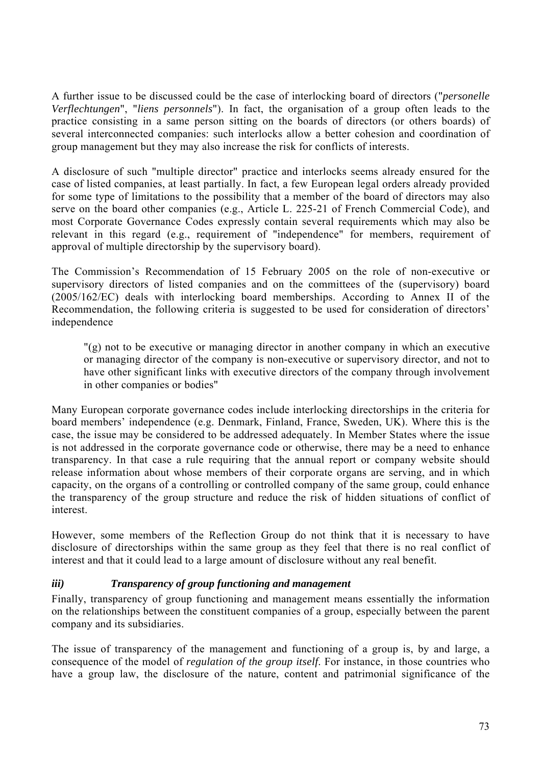A further issue to be discussed could be the case of interlocking board of directors ("*personelle Verflechtungen*", "*liens personnels*"). In fact, the organisation of a group often leads to the practice consisting in a same person sitting on the boards of directors (or others boards) of several interconnected companies: such interlocks allow a better cohesion and coordination of group management but they may also increase the risk for conflicts of interests.

A disclosure of such "multiple director" practice and interlocks seems already ensured for the case of listed companies, at least partially. In fact, a few European legal orders already provided for some type of limitations to the possibility that a member of the board of directors may also serve on the board other companies (e.g., Article L. 225-21 of French Commercial Code), and most Corporate Governance Codes expressly contain several requirements which may also be relevant in this regard (e.g., requirement of "independence" for members, requirement of approval of multiple directorship by the supervisory board).

The Commission's Recommendation of 15 February 2005 on the role of non-executive or supervisory directors of listed companies and on the committees of the (supervisory) board (2005/162/EC) deals with interlocking board memberships. According to Annex II of the Recommendation, the following criteria is suggested to be used for consideration of directors' independence

"(g) not to be executive or managing director in another company in which an executive or managing director of the company is non-executive or supervisory director, and not to have other significant links with executive directors of the company through involvement in other companies or bodies"

Many European corporate governance codes include interlocking directorships in the criteria for board members' independence (e.g. Denmark, Finland, France, Sweden, UK). Where this is the case, the issue may be considered to be addressed adequately. In Member States where the issue is not addressed in the corporate governance code or otherwise, there may be a need to enhance transparency. In that case a rule requiring that the annual report or company website should release information about whose members of their corporate organs are serving, and in which capacity, on the organs of a controlling or controlled company of the same group, could enhance the transparency of the group structure and reduce the risk of hidden situations of conflict of interest.

However, some members of the Reflection Group do not think that it is necessary to have disclosure of directorships within the same group as they feel that there is no real conflict of interest and that it could lead to a large amount of disclosure without any real benefit.

## *iii) Transparency of group functioning and management*

Finally, transparency of group functioning and management means essentially the information on the relationships between the constituent companies of a group, especially between the parent company and its subsidiaries.

The issue of transparency of the management and functioning of a group is, by and large, a consequence of the model of *regulation of the group itself*. For instance, in those countries who have a group law, the disclosure of the nature, content and patrimonial significance of the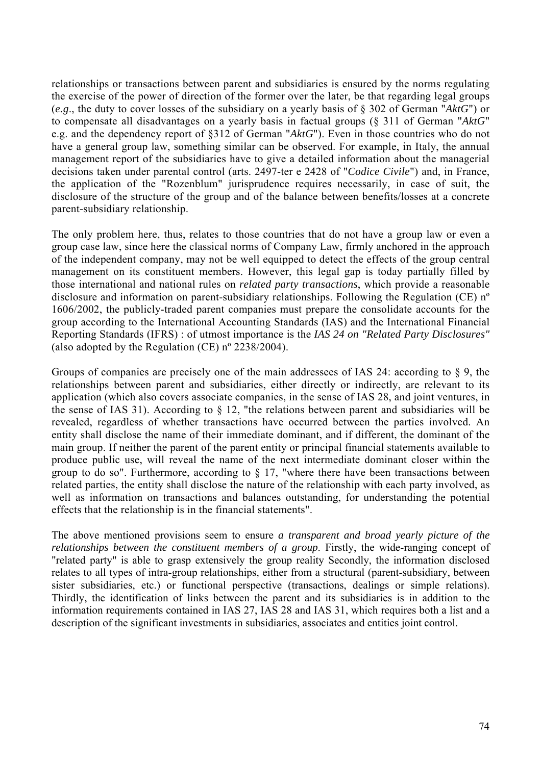relationships or transactions between parent and subsidiaries is ensured by the norms regulating the exercise of the power of direction of the former over the later, be that regarding legal groups (*e.g*., the duty to cover losses of the subsidiary on a yearly basis of § 302 of German "*AktG*") or to compensate all disadvantages on a yearly basis in factual groups (§ 311 of German "*AktG*" e.g. and the dependency report of §312 of German "*AktG*"). Even in those countries who do not have a general group law, something similar can be observed. For example, in Italy, the annual management report of the subsidiaries have to give a detailed information about the managerial decisions taken under parental control (arts. 2497-ter e 2428 of "*Codice Civile*") and, in France, the application of the "Rozenblum" jurisprudence requires necessarily, in case of suit, the disclosure of the structure of the group and of the balance between benefits/losses at a concrete parent-subsidiary relationship.

The only problem here, thus, relates to those countries that do not have a group law or even a group case law, since here the classical norms of Company Law, firmly anchored in the approach of the independent company, may not be well equipped to detect the effects of the group central management on its constituent members. However, this legal gap is today partially filled by those international and national rules on *related party transactions*, which provide a reasonable disclosure and information on parent-subsidiary relationships. Following the Regulation (CE) nº 1606/2002, the publicly-traded parent companies must prepare the consolidate accounts for the group according to the International Accounting Standards (IAS) and the International Financial Reporting Standards (IFRS) : of utmost importance is the *IAS 24 on "Related Party Disclosures"* (also adopted by the Regulation (CE) nº 2238/2004).

Groups of companies are precisely one of the main addressees of IAS 24: according to § 9, the relationships between parent and subsidiaries, either directly or indirectly, are relevant to its application (which also covers associate companies, in the sense of IAS 28, and joint ventures, in the sense of IAS 31). According to § 12, "the relations between parent and subsidiaries will be revealed, regardless of whether transactions have occurred between the parties involved. An entity shall disclose the name of their immediate dominant, and if different, the dominant of the main group. If neither the parent of the parent entity or principal financial statements available to produce public use, will reveal the name of the next intermediate dominant closer within the group to do so". Furthermore, according to § 17, "where there have been transactions between related parties, the entity shall disclose the nature of the relationship with each party involved, as well as information on transactions and balances outstanding, for understanding the potential effects that the relationship is in the financial statements".

The above mentioned provisions seem to ensure *a transparent and broad yearly picture of the relationships between the constituent members of a group*. Firstly, the wide-ranging concept of "related party" is able to grasp extensively the group reality Secondly, the information disclosed relates to all types of intra-group relationships, either from a structural (parent-subsidiary, between sister subsidiaries, etc.) or functional perspective (transactions, dealings or simple relations). Thirdly, the identification of links between the parent and its subsidiaries is in addition to the information requirements contained in IAS 27, IAS 28 and IAS 31, which requires both a list and a description of the significant investments in subsidiaries, associates and entities joint control.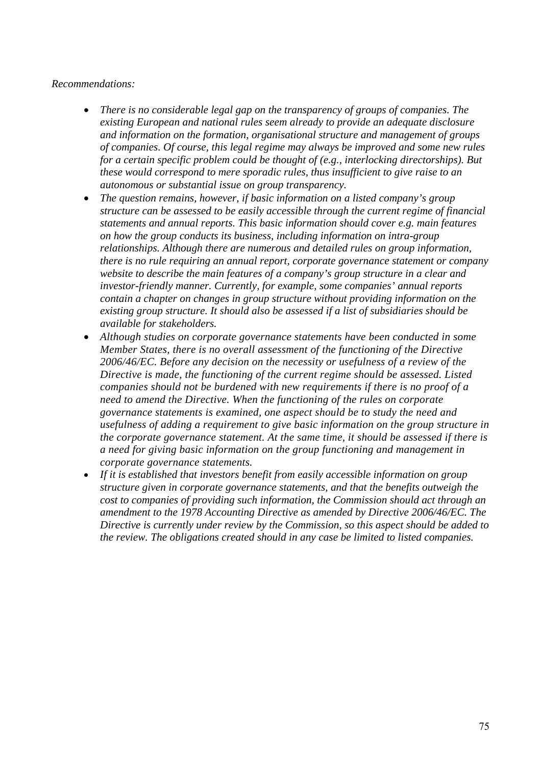#### *Recommendations:*

- *There is no considerable legal gap on the transparency of groups of companies. The existing European and national rules seem already to provide an adequate disclosure and information on the formation, organisational structure and management of groups of companies. Of course, this legal regime may always be improved and some new rules for a certain specific problem could be thought of (e.g., interlocking directorships). But these would correspond to mere sporadic rules, thus insufficient to give raise to an autonomous or substantial issue on group transparency.*
- *The question remains, however, if basic information on a listed company's group structure can be assessed to be easily accessible through the current regime of financial statements and annual reports. This basic information should cover e.g. main features on how the group conducts its business, including information on intra-group relationships. Although there are numerous and detailed rules on group information, there is no rule requiring an annual report, corporate governance statement or company website to describe the main features of a company's group structure in a clear and investor-friendly manner. Currently, for example, some companies' annual reports contain a chapter on changes in group structure without providing information on the existing group structure. It should also be assessed if a list of subsidiaries should be available for stakeholders.*
- *Although studies on corporate governance statements have been conducted in some Member States, there is no overall assessment of the functioning of the Directive 2006/46/EC. Before any decision on the necessity or usefulness of a review of the Directive is made, the functioning of the current regime should be assessed. Listed companies should not be burdened with new requirements if there is no proof of a need to amend the Directive. When the functioning of the rules on corporate governance statements is examined, one aspect should be to study the need and usefulness of adding a requirement to give basic information on the group structure in the corporate governance statement. At the same time, it should be assessed if there is a need for giving basic information on the group functioning and management in corporate governance statements.*
- *If it is established that investors benefit from easily accessible information on group structure given in corporate governance statements, and that the benefits outweigh the cost to companies of providing such information, the Commission should act through an amendment to the 1978 Accounting Directive as amended by Directive 2006/46/EC. The Directive is currently under review by the Commission, so this aspect should be added to the review. The obligations created should in any case be limited to listed companies.*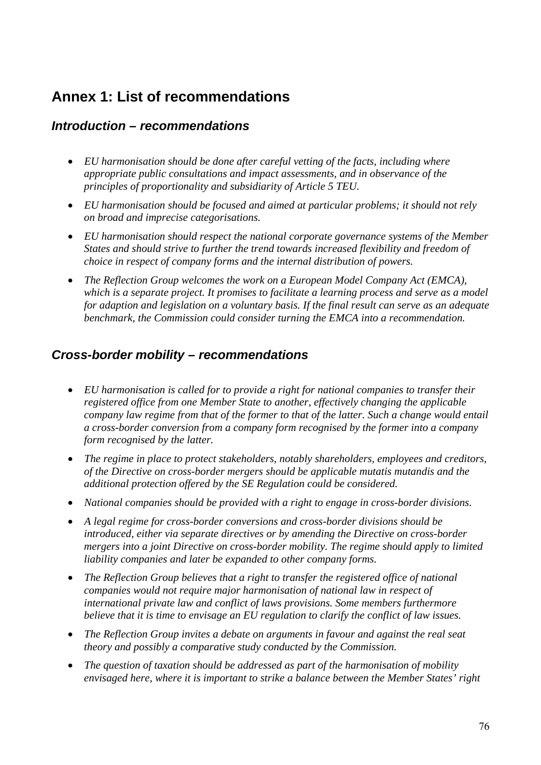# **Annex 1: List of recommendations**

# *Introduction – recommendations*

- *EU harmonisation should be done after careful vetting of the facts, including where appropriate public consultations and impact assessments, and in observance of the principles of proportionality and subsidiarity of Article 5 TEU.*
- *EU harmonisation should be focused and aimed at particular problems; it should not rely on broad and imprecise categorisations.*
- *EU harmonisation should respect the national corporate governance systems of the Member States and should strive to further the trend towards increased flexibility and freedom of choice in respect of company forms and the internal distribution of powers.*
- *The Reflection Group welcomes the work on a European Model Company Act (EMCA), which is a separate project. It promises to facilitate a learning process and serve as a model for adaption and legislation on a voluntary basis. If the final result can serve as an adequate benchmark, the Commission could consider turning the EMCA into a recommendation.*

# *Cross-border mobility – recommendations*

- *EU harmonisation is called for to provide a right for national companies to transfer their registered office from one Member State to another, effectively changing the applicable company law regime from that of the former to that of the latter. Such a change would entail a cross-border conversion from a company form recognised by the former into a company form recognised by the latter.*
- *The regime in place to protect stakeholders, notably shareholders, employees and creditors, of the Directive on cross-border mergers should be applicable mutatis mutandis and the additional protection offered by the SE Regulation could be considered.*
- *National companies should be provided with a right to engage in cross-border divisions.*
- *A legal regime for cross-border conversions and cross-border divisions should be introduced, either via separate directives or by amending the Directive on cross-border mergers into a joint Directive on cross-border mobility. The regime should apply to limited liability companies and later be expanded to other company forms.*
- *The Reflection Group believes that a right to transfer the registered office of national companies would not require major harmonisation of national law in respect of international private law and conflict of laws provisions. Some members furthermore believe that it is time to envisage an EU regulation to clarify the conflict of law issues.*
- *The Reflection Group invites a debate on arguments in favour and against the real seat theory and possibly a comparative study conducted by the Commission.*
- *The question of taxation should be addressed as part of the harmonisation of mobility envisaged here, where it is important to strike a balance between the Member States' right*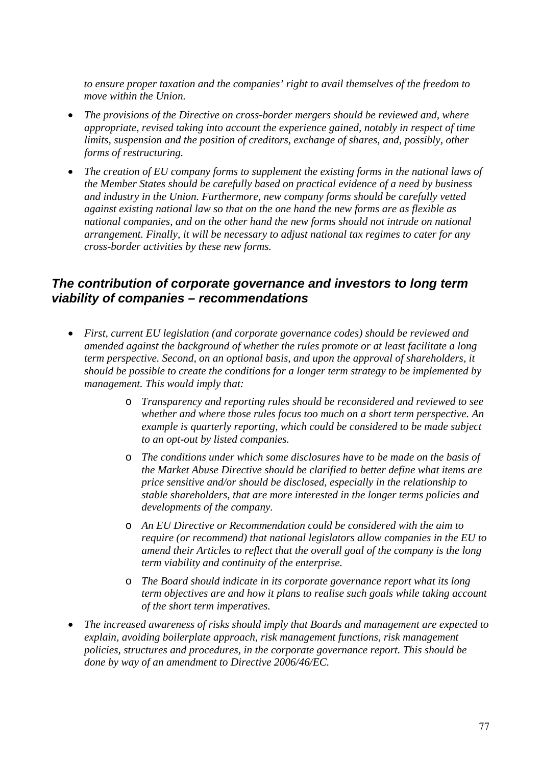*to ensure proper taxation and the companies' right to avail themselves of the freedom to move within the Union.* 

- *The provisions of the Directive on cross-border mergers should be reviewed and, where appropriate, revised taking into account the experience gained, notably in respect of time limits, suspension and the position of creditors, exchange of shares, and, possibly, other forms of restructuring.*
- *The creation of EU company forms to supplement the existing forms in the national laws of the Member States should be carefully based on practical evidence of a need by business and industry in the Union. Furthermore, new company forms should be carefully vetted against existing national law so that on the one hand the new forms are as flexible as national companies, and on the other hand the new forms should not intrude on national arrangement. Finally, it will be necessary to adjust national tax regimes to cater for any cross-border activities by these new forms.*

# *The contribution of corporate governance and investors to long term viability of companies – recommendations*

- *First, current EU legislation (and corporate governance codes) should be reviewed and amended against the background of whether the rules promote or at least facilitate a long term perspective. Second, on an optional basis, and upon the approval of shareholders, it should be possible to create the conditions for a longer term strategy to be implemented by management. This would imply that:* 
	- o *Transparency and reporting rules should be reconsidered and reviewed to see whether and where those rules focus too much on a short term perspective. An example is quarterly reporting, which could be considered to be made subject to an opt-out by listed companies.*
	- o *The conditions under which some disclosures have to be made on the basis of the Market Abuse Directive should be clarified to better define what items are price sensitive and/or should be disclosed, especially in the relationship to stable shareholders, that are more interested in the longer terms policies and developments of the company.*
	- o *An EU Directive or Recommendation could be considered with the aim to require (or recommend) that national legislators allow companies in the EU to amend their Articles to reflect that the overall goal of the company is the long term viability and continuity of the enterprise.*
	- o *The Board should indicate in its corporate governance report what its long term objectives are and how it plans to realise such goals while taking account of the short term imperatives.*
- *The increased awareness of risks should imply that Boards and management are expected to explain, avoiding boilerplate approach, risk management functions, risk management policies, structures and procedures, in the corporate governance report. This should be done by way of an amendment to Directive 2006/46/EC.*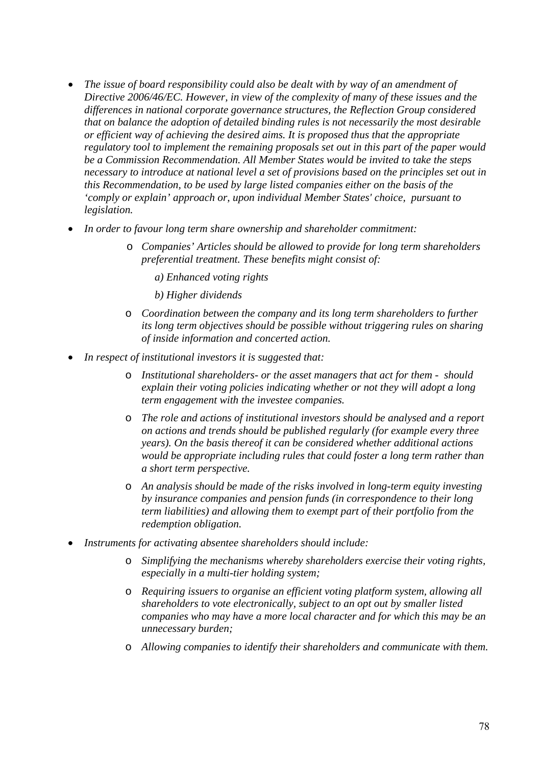- *The issue of board responsibility could also be dealt with by way of an amendment of Directive 2006/46/EC. However, in view of the complexity of many of these issues and the differences in national corporate governance structures, the Reflection Group considered that on balance the adoption of detailed binding rules is not necessarily the most desirable or efficient way of achieving the desired aims. It is proposed thus that the appropriate regulatory tool to implement the remaining proposals set out in this part of the paper would be a Commission Recommendation. All Member States would be invited to take the steps necessary to introduce at national level a set of provisions based on the principles set out in this Recommendation, to be used by large listed companies either on the basis of the 'comply or explain' approach or, upon individual Member States' choice, pursuant to legislation.*
- *In order to favour long term share ownership and shareholder commitment:* 
	- o *Companies' Articles should be allowed to provide for long term shareholders preferential treatment. These benefits might consist of:* 
		- *a) Enhanced voting rights*
		- *b) Higher dividends*
	- o *Coordination between the company and its long term shareholders to further its long term objectives should be possible without triggering rules on sharing of inside information and concerted action.*
- *In respect of institutional investors it is suggested that:* 
	- o *Institutional shareholders- or the asset managers that act for them should explain their voting policies indicating whether or not they will adopt a long term engagement with the investee companies.*
	- o *The role and actions of institutional investors should be analysed and a report on actions and trends should be published regularly (for example every three years). On the basis thereof it can be considered whether additional actions would be appropriate including rules that could foster a long term rather than a short term perspective.*
	- o *An analysis should be made of the risks involved in long-term equity investing by insurance companies and pension funds (in correspondence to their long term liabilities) and allowing them to exempt part of their portfolio from the redemption obligation.*
- *Instruments for activating absentee shareholders should include:* 
	- o *Simplifying the mechanisms whereby shareholders exercise their voting rights, especially in a multi-tier holding system;*
	- o *Requiring issuers to organise an efficient voting platform system, allowing all shareholders to vote electronically, subject to an opt out by smaller listed companies who may have a more local character and for which this may be an unnecessary burden;*
	- o *Allowing companies to identify their shareholders and communicate with them.*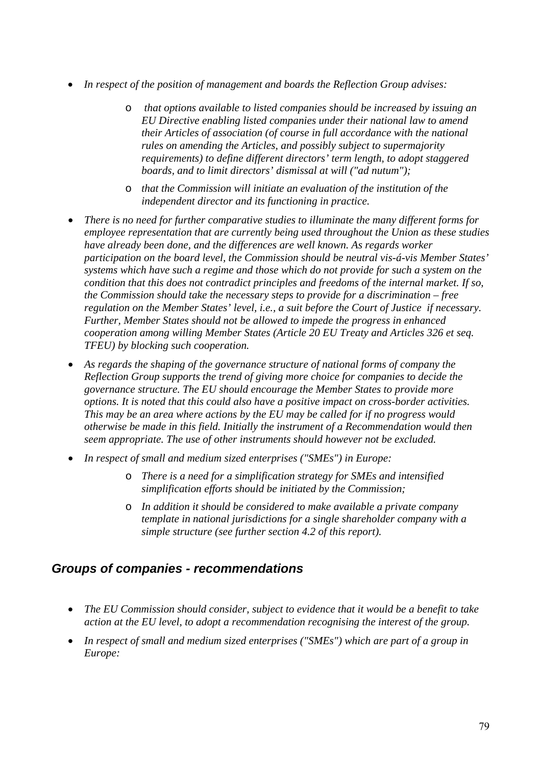- *In respect of the position of management and boards the Reflection Group advises:* 
	- o *that options available to listed companies should be increased by issuing an EU Directive enabling listed companies under their national law to amend their Articles of association (of course in full accordance with the national rules on amending the Articles, and possibly subject to supermajority requirements) to define different directors' term length, to adopt staggered boards, and to limit directors' dismissal at will ("ad nutum");*
	- o *that the Commission will initiate an evaluation of the institution of the independent director and its functioning in practice.*
- *There is no need for further comparative studies to illuminate the many different forms for employee representation that are currently being used throughout the Union as these studies have already been done, and the differences are well known. As regards worker participation on the board level, the Commission should be neutral vis-á-vis Member States' systems which have such a regime and those which do not provide for such a system on the condition that this does not contradict principles and freedoms of the internal market. If so, the Commission should take the necessary steps to provide for a discrimination – free regulation on the Member States' level, i.e., a suit before the Court of Justice if necessary. Further, Member States should not be allowed to impede the progress in enhanced cooperation among willing Member States (Article 20 EU Treaty and Articles 326 et seq. TFEU) by blocking such cooperation.*
- *As regards the shaping of the governance structure of national forms of company the Reflection Group supports the trend of giving more choice for companies to decide the governance structure. The EU should encourage the Member States to provide more options. It is noted that this could also have a positive impact on cross-border activities. This may be an area where actions by the EU may be called for if no progress would otherwise be made in this field. Initially the instrument of a Recommendation would then seem appropriate. The use of other instruments should however not be excluded.*
- *In respect of small and medium sized enterprises ("SMEs") in Europe:* 
	- o *There is a need for a simplification strategy for SMEs and intensified simplification efforts should be initiated by the Commission;*
	- o *In addition it should be considered to make available a private company template in national jurisdictions for a single shareholder company with a simple structure (see further section 4.2 of this report).*

# *Groups of companies - recommendations*

- *The EU Commission should consider, subject to evidence that it would be a benefit to take action at the EU level, to adopt a recommendation recognising the interest of the group.*
- *In respect of small and medium sized enterprises ("SMEs") which are part of a group in Europe:*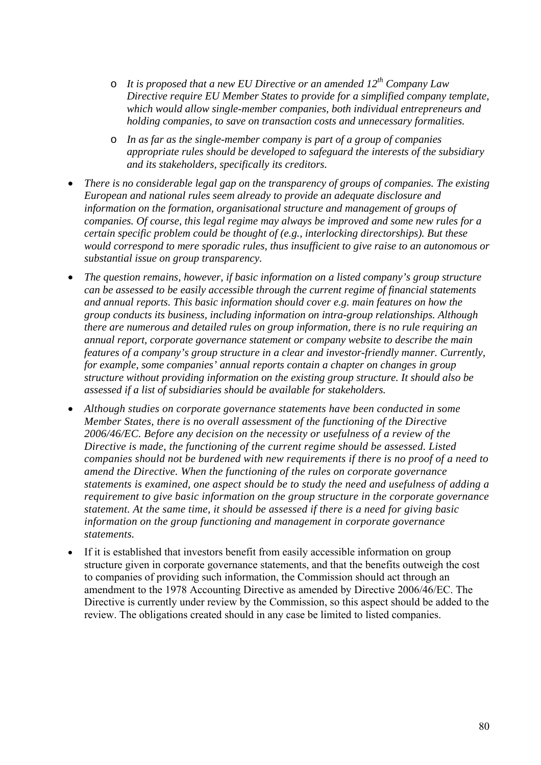- o *It is proposed that a new EU Directive or an amended 12th Company Law Directive require EU Member States to provide for a simplified company template, which would allow single-member companies, both individual entrepreneurs and holding companies, to save on transaction costs and unnecessary formalities.*
- o *In as far as the single-member company is part of a group of companies appropriate rules should be developed to safeguard the interests of the subsidiary and its stakeholders, specifically its creditors.*
- *There is no considerable legal gap on the transparency of groups of companies. The existing European and national rules seem already to provide an adequate disclosure and information on the formation, organisational structure and management of groups of companies. Of course, this legal regime may always be improved and some new rules for a certain specific problem could be thought of (e.g., interlocking directorships). But these would correspond to mere sporadic rules, thus insufficient to give raise to an autonomous or substantial issue on group transparency.*
- *The question remains, however, if basic information on a listed company's group structure can be assessed to be easily accessible through the current regime of financial statements and annual reports. This basic information should cover e.g. main features on how the group conducts its business, including information on intra-group relationships. Although there are numerous and detailed rules on group information, there is no rule requiring an annual report, corporate governance statement or company website to describe the main features of a company's group structure in a clear and investor-friendly manner. Currently, for example, some companies' annual reports contain a chapter on changes in group structure without providing information on the existing group structure. It should also be assessed if a list of subsidiaries should be available for stakeholders.*
- *Although studies on corporate governance statements have been conducted in some Member States, there is no overall assessment of the functioning of the Directive 2006/46/EC. Before any decision on the necessity or usefulness of a review of the Directive is made, the functioning of the current regime should be assessed. Listed companies should not be burdened with new requirements if there is no proof of a need to amend the Directive. When the functioning of the rules on corporate governance statements is examined, one aspect should be to study the need and usefulness of adding a requirement to give basic information on the group structure in the corporate governance statement. At the same time, it should be assessed if there is a need for giving basic information on the group functioning and management in corporate governance statements.*
- If it is established that investors benefit from easily accessible information on group structure given in corporate governance statements, and that the benefits outweigh the cost to companies of providing such information, the Commission should act through an amendment to the 1978 Accounting Directive as amended by Directive 2006/46/EC. The Directive is currently under review by the Commission, so this aspect should be added to the review. The obligations created should in any case be limited to listed companies.